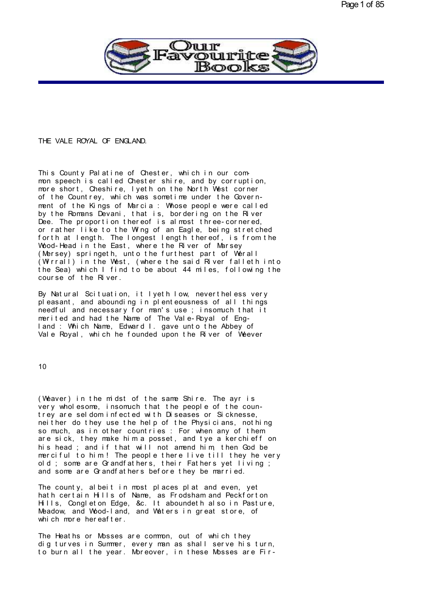

## THE VALE ROYAL OF ENGLAND.

THE VALE ROYAL OF ENGLAND.<br>This County Palatine of Chester, which in our com-<br>mon speech is called Chester shire, and by corruption,<br>more short, Cheshire, lyeth on the North West corner<br>of the Countrey which was sometime u This County Palatine of Chester, which in our common speech is called Chester shire, and by corruption,<br>more short, Cheshire, lyeth on the North West corner<br>of the Countrey, which was sometime under the Govern-<br>ment of the This County Palatine of Chester, which in our common speech is called Chester shire, and by corruption,<br>more short, Cheshire, lyeth on the North West corner<br>of the Countrey, which was sometime under the Govern-<br>ment of the This County Palatine of Chester, which in our com-<br>mon speech is called Chester shire, and by corruption,<br>more short, Cheshire, lyeth on the North West corner<br>of the Countrey, which was sometime under the Govern-<br>ment of t or rather like to the Wing of an Eagle, being stretched more short, Cheshire, lyeth on the North West corner<br>of the Countrey, which was sometime under the Govern-<br>ment of the Kings of Marcia : Whose people were called<br>by the Romans Devani, that is, bordering on the River<br>Dee. T or the Countrey, which was sometime under the Government of the Kings of Marcia: Whose people were called<br>by the Romans Devani, that is, bordering on the River<br>Dee. The proportion thereof is almost three-cornered,<br>or rathe ment of the Kings of Marcia : Whose people were called<br>by the Romans Devani, that is, bordering on the River<br>Dee. The proportion thereof is almost three-cornered,<br>or rather like to the Wing of an Eagle, being stretched<br>for by the Romans Devani, that is, bordering on the River<br>Dee. The proportion thereof is almost three-cornered,<br>or rather like to the Wing of an Eagle, being stretched<br>forth at length. The longest length thereof, is from the<br>W Dee. The proportion thereof is almost three-cornered,<br>or rather like to the Wing of an Eagle, being stretched<br>forth at length. The longest length thereof, is from the<br>Wood-Head in the East, where the River of Marsey<br>(Merse or rather like to the Wing of an Eagle, being stretched<br>forth at length. The longest length thereof, is from the<br>Wood-Head in the East, where the River of Marsey<br>(Mersey) springeth, unto the furthest part of Werall<br>(Wirral Wood-Head in the East, where the River of Marsey<br>(Mersey) springeth, unto the furthest part of Werall<br>(Wirrall) in the West, (where the said River falleth into<br>the Sea) which I find to be about 44 miles, following the<br>cour (Wersey) springeth, unto the furthest part of Werall<br>(Wirrall) in the West, (where the said River falleth into<br>the Sea) which I find to be about 44 miles, following the<br>course of the River.<br>By Natural Scituation, it lyeth

(Wirrall) in the West, (where the said River falleth into<br>the Sea) which I find to be about 44 miles, following the<br>course of the River.<br>By Natural Scituation, it lyeth low, nevertheless very<br>pleasant, and abounding in ple the Sea) which I find to be about 44 miles, following the<br>course of the River.<br>By Natural Scituation, it lyeth low, nevertheless very<br>pleasant, and abounding in plenteousness of all things<br>needful and necessary for man's u course of the River.<br>By Natural Scituation, it lyeth low, nevertheless very<br>pleasant, and abounding in plenteousness of all things<br>needful and necessary for man's use ; insomuch that it<br>merited and had the Name of The Vale By Natural Scituation, it lyeth low, nevertheless very pleasant, and abounding in plenteousness of all things needful and necessary for man's use ; insomuch that it merited and had the Name of The Vale-Royal of England : W By Natural Scituation, it lyeth low, nevertheless very pleasant, and abounding in plenteousness of all things needful and necessary for man's use ; insomuch that it merited and had the Name of The Vale-Royal of England : W

10

10<br>(Weaver) in the midst of the same Shire. The ayr is<br>very wholesome, insomuch that the people of the coun-<br>trev are seldom infected with Diseases or Sicknesse 10<br>(Weaver) in the midst of the same Shire. The ayr is<br>very wholesome, insomuch that the people of the coun-<br>trey are seldom infected with Diseases or Sicknesse,<br>neither do they use the help of the Physicians, nothing (Weaver) in the midst of the same Shire. The ayr is<br>very wholesome, insomuch that the people of the coun-<br>trey are seldom infected with Diseases or Sicknesse,<br>neither do they use the help of the Physicians, nothing<br>so much (Weaver) in the midst of the same Shire. The ayr is<br>very wholesome, insomuch that the people of the coun-<br>trey are seldom infected with Diseases or Sicknesse,<br>neither do they use the help of the Physicians, nothing<br>so much (Weaver) in the midst of the same Shire. The ayr is<br>very wholesome, insomuch that the people of the coun-<br>trey are seldom infected with Diseases or Sicknesse,<br>neither do they use the help of the Physicians, nothing<br>so much (Weaver) in the midst of the same Shire. The ayr is<br>very wholesome, insomuch that the people of the coun-<br>trey are seldom infected with Diseases or Sicknesse,<br>neither do they use the help of the Physicians, nothing<br>so much very wholesome, insomuch that the people of the coun-<br>trey are seldom infected with Diseases or Sicknesse,<br>neither do they use the help of the Physicians, nothing<br>so much, as in other countries : For when any of them<br>are s trey are seldom intected with Diseases or Sicknesse,<br>neither do they use the help of the Physicians, nothing<br>so much, as in other countries : For when any of them<br>are sick, they make him a posset, and tye a kerchieff on<br>hi net ther do they use the help of the Physicians, nothing<br>so much, as in other countries: For when any of them<br>are sick, they make him a posset, and tye a kerchieff on<br>his head; and if that will not amend him, then God be<br>m so much, as in other countries: For when any of them<br>are sick, they make him a posset, and tye a kerchieff on<br>his head; and if that will not amend him, then God be<br>merciful to him! The people there live till they he very<br>o his head; and it that will not amend him, then God be<br>merciful to him! The people there live till they he very<br>old; some are Grandfathers, their Fathers yet living;<br>and some are Grandfathers before they be married.<br>The cou

merciful to him! The people there live till they he very<br>old; some are Grandfathers, their Fathers yet living;<br>and some are Grandfathers before they be married.<br>The county, albeit in most places plat and even, yet<br>hath cer old; some are Grandfathers, their Fathers yet living;<br>and some are Grandfathers before they be married.<br>The county, albeit in most places plat and even, yet<br>hath certain Hills of Name, as Frodsham and Peckforton<br>Hills, Con and some are Grandfathers before they be married.<br>The county, albeit in most places plat and even, yet<br>hath certain Hills of Name, as Frodsham and Peckforton<br>Hills, Congleton Edge, & C. It aboundeth also in Pasture,<br>Meadow The county, albeit in most places<br>hath certain Hills of Name, as Fro<br>Hills, Congleton Edge, &c. It abou<br>Meadow, and Wood-land, and Waters<br>which more hereafter.<br>The Heaths or Messes are semments hath certain Hills of Name, as Frodsham and Peckforton<br>Hills, Congleton Edge, & c. It aboundeth also in Pasture,<br>Meadow, and Wood-land, and Waters in great store, of<br>which more hereafter.<br>The Heaths or Mosses are common, o

Hills, Congleton Edge, & C. It aboundeth also in Pasture,<br>Meadow, and Wood-land, and Waters in great store, of<br>which more hereafter.<br>The Heaths or Mosses are common, out of which they<br>dig turves in Summer, every man as sha Meadow, and Wood-land, and Waters in great store, of<br>which more hereafter.<br>The Heaths or Mosses are common, out of which they<br>dig turves in Summer, every man as shall serve his turn,<br>to burn all the year. Moreover, in thes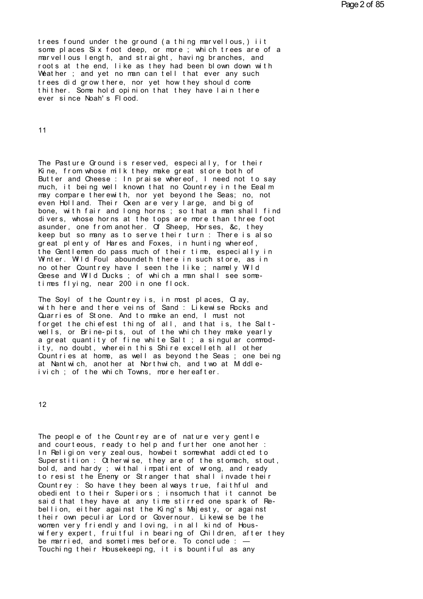trees found under the ground (a thing marvellous,) iit<br>some places Six foot deep, or more ; which trees are of a<br>marvellous length, and straight, having branches, and trees found under the ground (a thing marvellous, ) iit<br>some places Six foot deep, or more ; which trees are of a<br>marvellous length, and straight, having branches, and<br>roots at the end, like as they had been blown down wit trees found under the ground (a thing marvellous,) iit<br>some places Six foot deep, or more ; which trees are of a<br>marvellous length, and straight, having branches, and<br>roots at the end, like as they had been blown down with trees found under the ground (a thing marvellous,) iit<br>some places Six foot deep, or more ; which trees are of a<br>marvellous length, and straight, having branches, and<br>roots at the end, like as they had been blown down with trees found under the ground (a thing marvellous,) it<br>some places Six foot deep, or more ; which trees are of a<br>marvellous length, and straight, having branches, and<br>roots at the end, like as they had been blown down with<br> trees found under the ground (a thing marvellous, ) it<br>some places Six foot deep, or more ; which trees are of a<br>marvellous length, and straight, having branches, and<br>roots at the end, like as they had been blown down with some places Six foot deep, or more; which trees are of a<br>marvellous length, and straight, having branches, and<br>roots at the end, like as they had been blown down with<br>Weather; and yet no man can tell that ever any such<br>tre marvellous length, and straight, h<br>roots at the end, like as they had<br>Weather ; and yet no man can tell<br>trees did grow there, nor yet how<br>thither. Some hold opinion that th<br>ever since Noah's Flood.

11

The Pasture Ground is reserved, especially, for their<br>Kine, from whose milk they make great store both of The Pasture Ground is reserved, especially, for their<br>Kine, from whose milk they make great store both of<br>Butter and Cheese : In praise whereof, I need not to say<br>much it being well known that no Countrey in the Fealm The Pasture Ground is reserved, especially, for their<br>Kine, from whose milk they make great store both of<br>Butter and Cheese : In praise whereof, I need not to say<br>much, it being well known that no Countrey in the Eealm<br>may much, it being well known that no Countrey in the Eealm may compare therewith, nor yet beyond the Seas; no, not The Pasture Ground is reserved, especially, for their<br>Kine, from whose milk they make great store both of<br>Butter and Cheese : In praise whereof, I need not to say<br>much, it being well known that no Countrey in the Eealm<br>may The Pasture Ground is reserved, especially, for their<br>Kine, from whose milk they make great store both of<br>Butter and Cheese : In praise whereof, I need not to say<br>much, it being well known that no Countrey in the Eealm<br>may Kine, from whose milk they make great store both of<br>Butter and Cheese : In praise whereof, I need not to say<br>much, it being well known that no Countrey in the Eealm<br>may compare therewith, nor yet beyond the Seas; no, not<br>e Butter and Cheese : In praise whereof, I need not to say<br>much, it being well known that no Countrey in the Eealm<br>may compare therewith, nor yet beyond the Seas; no, not<br>even Holland. Their Oxen are very large, and big of<br>b much, it being well known that no Countrey in the Eealm<br>may compare therewith, nor yet beyond the Seas; no, not<br>even Holland. Their Oxen are very large, and big of<br>bone, with fair and long horns; so that a man shall find<br>d may compare therewith, nor yet beyond the Seas; no, not<br>even Holland. Their Oxen are very large, and big of<br>bone, with fair and long horns; so that a man shall find<br>divers, whose horns at the tops are more than three foot<br> even Holland. Their Oxen are very large, and big of<br>bone, with fair and long horns; so that a man shall find<br>divers, whose horns at the tops are more than three foot<br>asunder, one from another. Of Sheep, Horses, &c, they<br>ke bone, with fair and long horns; so that a man shall find<br>divers, whose horns at the tops are more than three foot<br>asunder, one from another. Of Sheep, Horses, &c, they<br>keep but so many as to serve their turn: There is also divers, whose horns at the tops are more than three foot assunder, one from another. Of Sheep, Horses, &c, they keep but so many as to serve their turn : There is also great plenty of Hares and Foxes, in hunting whereof, t as under, one from another. Of Sheep, Horses, & c, they<br>keep but so many as to serve their turn : There is also<br>great plenty of Hares and Foxes, in hunting whereof,<br>the Gentlemen do pass much of their time, especially in<br>W keep but so many as to serve their turn : There is also<br>great plenty of Hares and Foxes, in hunting whereof,<br>the Gentlemen do pass much of their time, especially in<br>Winter. Wild Foul aboundeth there in such store, as in<br>no great plenty of Hares and Foxes, in hunting where Gentlemen do pass much of their time, esperval with the Countrey have I seen the like ; namel Geese and Wild Ducks ; of which a man shall set<br>times flying, near 200 in one Winter. Wild Foul aboundeth there in such store, as in<br>no other Countrey have I seen the like ; namely Wild<br>Geese and Wild Ducks ; of which a man shall see some-<br>times flying, near 200 in one flock.<br>The Soyl of the Countre

no other Countrey have I seen the like; namely Wild<br>Geese and Wild Ducks; of which a man shall see some-<br>times flying, near 200 in one flock.<br>The Soyl of the Countrey is, in most places, Clay,<br>with here and there veins of Geese and Wild Ducks; of which a man shall see some-<br>times flying, near 200 in one flock.<br>The Soyl of the Countrey is, in most places, Clay,<br>with here and there veins of Sand : Likewise Rocks and<br>Quarries of Stone. And to fines flying, near 200 in one flock.<br>The Soyl of the Countrey is, in most places, Clay,<br>with here and there veins of Sand : Likewise Rocks and<br>Quarries of Stone. And to make an end, I must not<br>forget the chiefest thing of The Soyl of the Countrey is, in most places, Clay,<br>with here and there veins of Sand : Likewise Rocks and<br>Quarries of Stone. And to make an end, I must not<br>forget the chiefest thing of all, and that is, the Salt-<br>wells, or Whith here and there veins of Sand: Likewise Rocks and<br>Quarries of Stone. And to make an end, I must not<br>forget the chiefest thing of all, and that is, the Salt-<br>wells, or Brine-pits, out of the which they make yearly<br>a gr Cuarries of Stone. And to make an end, I must not<br>forget the chiefest thing of all, and that is, the Salt-<br>wells, or Brine-pits, out of the which they make yearly<br>a great quantity of fine white Salt; a singular commod-<br>ity wells, or Brine-pits, out of the which they make yearly a great quantity of fine white Salt ; a singular commodity, no doubt, wherein this Shire excelleth all other Countries at home, as well as beyond the Seas ; one bein Countries at home, as well as beyond the Seas; one being

12

The people of the Countrey are of nature very gentle<br>and courteous, ready to help and further one another :<br>In Peligion very zealous, bowheit somewhat addicted to The people of the Countrey are of nature very gentle<br>and courteous, ready to help and further one another :<br>In Religion very zealous, howbeit somewhat addicted to<br>Superstition : Chherwise, they are of the stomach, stout The people of the Countrey are of nature very gentle<br>and courteous, ready to help and further one another :<br>In Religion very zealous, howbeit somewhat addicted to<br>Superstition : Otherwise, they are of the stomach, stout,<br>h The people of the Countrey are of nature very gentle<br>and courteous, ready to help and further one another :<br>In Religion very zealous, howbeit somewhat addicted to<br>Superstition : Otherwise, they are of the stomach, stout,<br>b The people of the Countrey are of nature very gentle<br>and courteous, ready to help and further one another :<br>In Religion very zealous, howbeit somewhat addicted to<br>Superstition : Otherwise, they are of the stomach, stout,<br>b The people of the Countrey are of nature very gentle<br>and courteous, ready to help and further one another :<br>In Religion very zealous, howbeit somewhat addicted to<br>Superstition : Otherwise, they are of the stomach, stout,<br>b and courteous, ready to help and further one another :<br>In Religion very zealous, howbeit somewhat addicted to<br>Superstition : Otherwise, they are of the stomach, stout,<br>bold, and hardy ; withal impatient of wrong, and ready In Religion very zealous, howbeit somewhat addicted to<br>Superstition : Otherwise, they are of the stomach, stout,<br>bold, and hardy ; withal impatient of wrong, and ready<br>to resist the Enemy or Stranger that shall invade thei Superstition: Otherwise, they are of the stomach, stout,<br>bold, and hardy; withal impatient of wrong, and ready<br>to resist the Enemy or Stranger that shall invade their<br>Countrey: So have they been always true, faithful and<br>o to resist the Enemy or Stranger that shall invade their<br>Countrey : So have they been always true, faithful and<br>obedient to their Superiors ; insomuch that it cannot be<br>said that they have at any time stirred one spark of R Countrey : So have they been always true, faithful and<br>obedient to their Superiors ; insomuch that it cannot be<br>said that they have at any time stirred one spark of Re-<br>bellion, either against the King's Majesty, or agains said that they have at any time stirred one spark of Re-<br>bellion, either against the King's Majesty, or against<br>their own peculiar Lord or Governour. Likewise be the<br>women very friendly and loving, in all kind of Hous-<br>wif bellion, either against the King's Majesty, or against<br>their own peculiar Lord or Governour. Likewise be the<br>women very friendly and loving, in all kind of Hous-<br>wifery expert, fruitful in bearing of Children, after they<br>b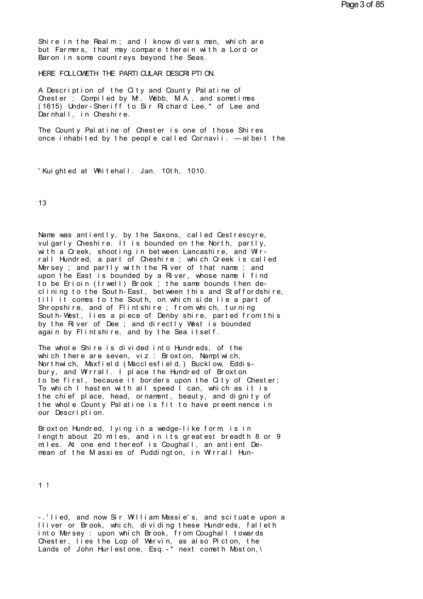Shire in the Realm; and I know divers men, which are<br>but Farmers, that may compare therein with a Lord or<br>Baron in some countreys beyond the Seas Shire in the Realm; and I know divers men, which are<br>but Farmers, that may compare therein with a Lord or<br>Baron in some countreys beyond the Seas. Shire in the Realm; and I know divers men, where farmers, that may compare therein with a L<br>Baron in some countreys beyond the Seas.<br>HERE FOLLOWETH THE PARTICULAR DESCRIPTION Shire in the Realm; and I know divers men, which are<br>but Farmers, that may compare therein with a Lord or<br>Baron in some countreys beyond the Seas.<br>HERE FOLLOWETH THE PARTI CULAR DESCRIPTION.<br>A Pescription of the City and C

but Farmers, that may compare therein with a Lord or<br>Baron in some countreys beyond the Seas.<br>HERE FOLLOWETH THE PARTICULAR DESCRIPTION.<br>A Description of the City and County Palatine of<br>Chester ; Compiled by Mr. Webb, M.A. Baron in some countreys beyond the Seas.<br>HERE FOLLOWETH THE PARTICULAR DESCRIPTION.<br>A Description of the City and County Palatine of<br>Chester ; Compiled by Mr. Webb, M.A., and sometimes<br>(1615) Under-Sheriff to Sir Richard L HERE FOLLOWETH THE PARTICULAR DESCRIPTION.<br>A Description of the City and County Palatine of<br>Chester ; Compiled by Mr. Webb, M.A., and sometimes<br>(1615) Under-Sheriff to Sir Richard Lee,\* of Lee and<br>Darnhall, in Cheshire. HERE FOLLOWEIH IHE PARIICULAR DESON<br>A Description of the City and Coun<br>Chester ; Compiled by Mr. Webb, M<br>(1615) Under-Sheriff to Sir Richar<br>Darnhall, in Cheshire.<br>The County Palatine of Chester is A Description of the City and County Palatine of<br>Chester ; Compiled by Mr. Webb, M.A., and sometimes<br>(1615) Under-Sheriff to Sir Richard Lee,\* of Lee and<br>Darnhall, in Cheshire.<br>The County Palatine of Chester is one of thos Chester ; Compiled by Mr. Webb, M.A., and sometimes<br>(1615) Under-Sheriff to Sir Richard Lee,\* of Lee and<br>Darnhall, in Cheshire.<br>The County Palatine of Chester is one of those Shires<br>once inhabited by the people called Corn

The County Palatine of Chester is one of those Sonce inhabited by the people called Cornavii. —<br>
Whi ght ed at Whitehall. Jan. 10th, 1010.

13

13<br>Name was antiently, by the Saxons, called Cestrescyre,<br>vulgarly Cheshire. It is bounded on the North, partly,<br>with a Creek, shooting in between langeshire, and Wir 13<br>Name was antiently, by the Saxons, called Cestrescyre,<br>vulgarly Cheshire. It is bounded on the North, partly,<br>with a Creek, shooting in between Lancashire, and Wir-<br>rall Hundred, a part of Cheshire : which Creek is call Name was antiently, by the Saxons, called Cestrescyre,<br>vulgarly Cheshire. It is bounded on the North, partly,<br>with a Creek, shooting in between Lancashire, and Wir-<br>rall Hundred, a part of Cheshire ; which Creek is called<br> Name was antiently, by the Saxons, called Cestrescyre,<br>vulgarly Cheshire. It is bounded on the North, partly,<br>with a Creek, shooting in between Lancashire, and Wir-<br>rall Hundred, a part of Cheshire ; which Creek is called<br> Name was antiently, by the Saxons, called Cestrescyre,<br>vulgarly Cheshire. It is bounded on the North, partly,<br>with a Creek, shooting in between Lancashire, and Wir-<br>rall Hundred, a part of Cheshire ; which Creek is called<br> Name was antiently, by the Saxons, called Cestrescyre,<br>vulgarly Cheshire. It is bounded on the North, partly,<br>with a Creek, shooting in between Lancashire, and Wir-<br>rall Hundred, a part of Cheshire ; which Creek is called<br> vulgarly Cheshire. It is bounded on the North, partly,<br>with a Creek, shooting in between Lancashire, and Wir-<br>rall Hundred, a part of Cheshire ; which Creek is called<br>Mersey ; and partly with the River of that name ; and<br>u rall Hundred, a part of Cheshire; which Creek is called<br>Mersey; and partly with the River of that name; and<br>upon the East is bounded by a River, whose name I find<br>to be Erioin (Irwell) Brook; the same bounds then de-<br>clini Mersey ; and partly with the River of that name ; and<br>upon the East is bounded by a River, whose name I find<br>to be Erioin (Irwell) Brook ; the same bounds then de-<br>clining to the South-East, between this and Staffordshire, upon the East is bounded by a River, whose name I find<br>to be Erioin (Irwell) Brook ; the same bounds then de-<br>clining to the South-East, between this and Staffordshire,<br>till it comes to the South, on which side lie a part to be Errorn (Irwell) Brook; the same bounds then de-<br>clining to the South-East, between this and Staffordshire<br>till it comes to the South, on which side lie a part of<br>Shropshire, and of Flintshire; from which, turning<br>Sou till it comes to the South, on which side lie a part of Shropshire, and of Flintshire; from which, turning South-West, lies a piece of Denby shire, parted from the by the River of Dee; and directly West is bounded again by South-West, lies a piece of Denby shire, parted from this<br>by the River of Dee ; and directly West is bounded<br>again by Flintshire, and by the Sea itself.<br>The whole Shire is divided into Hundreds, of the<br>which there are seve

by the River of Dee ; and directly West is bounded again by Flintshire, and by the Sea itself.<br>The whole Shire is divided into Hundreds, of the which there are seven, viz : Broxton, Nampt wich, Northwich, Maxfield (Maccles to be first, because it borders upon the City of Chester; The whole Shire is divided into Hundreds, of the<br>which there are seven, viz: Broxton, Namptwich,<br>Northwich, Maxfield (Macclesfield,) Bucklow, Eddis-<br>bury, and Wirrall. I place the Hundred of Broxton<br>to be first, because it The whole Shire is divided into Hundreds, of the<br>which there are seven, viz: Broxton, Namptwich,<br>Northwich, Maxfield (Macclesfield,) Bucklow, Eddis-<br>bury, and Wirrall. I place the Hundred of Broxton<br>to be first, because it which there are seven, viz: Broxton, Namptwich,<br>Northwich, Maxfield (Macclesfield,) Bucklow, Eddis-<br>bury, and Wirrall. I place the Hundred of Broxton<br>to be first, because it borders upon the City of Chester;<br>To which I has Northwich, Maxfield (Macclesfield,) Bucklow, Eddis-<br>bury, and Wirrall. I place the Hundred of Broxton<br>to be first, because it borders upon the City of Chester;<br>To which I hasten with all speed I can, which as it is<br>the chi bury, and Wrrall. I place<br>to be first, because it bor<br>To which I hasten with all<br>the chief place, head, orna<br>the whole County Palatine i<br>our Description.<br>Broxton Hundred, Iving in a Io which I hasten with all speed I can, which as it is<br>the chief place, head, ornament, beauty, and dignity of<br>the whole County Palatine is fit to have preeminence in<br>our Description.<br>Broxton Hundred, lying in a wedge-like

the chief place, head, ornament, beauty, and dignity of<br>the whole County Palatine is fit to have preeminence in<br>our Description.<br>Broxton Hundred, lying in a wedge-like form, is in<br>length about 20 miles, and in its greatest the whole County Palatine is fit to have preeminence in<br>our Description.<br>Broxton Hundred, lying in a wedge-like form, is in<br>length about 20 miles, and in its greatest breadth 8 or 9<br>miles. At one end thereof is Coughall, a

1 !

1 !<br>- .'lied, and now Sir William Massie's, and scituate upon a<br>lliver or Brook, which, dividing these Hundreds, falleth<br>into Marsey : upon which Brook, from Coughall towards l !<br>- 'lied, and now Sir William Massie's, and scituate upon a<br>lliver or Brook, which, dividing these Hundreds, falleth<br>into Mersey : upon which Brook, from Coughall towards<br>Chester lies the lop of Wervin, as also Bicton, - 'lied, and now Sir William Massie's, and scituate upon a<br>Iliver or Brook, which, dividing these Hundreds, falleth<br>into Mersey : upon which Brook, from Coughall towards<br>Chester, lies the Lop of Wervin, as also Picton, the - 'lied, and now Sir William Massie's, and scituate upon a<br>Iliver or Brook, which, dividing these Hundreds, falleth<br>into Mersey : upon which Brook, from Coughall towards<br>Chester, lies the Lop of Wervin, as also Picton, the - 'lied, and now Sir William Massie's, and scituate upon a<br>lliver or Brook, which, dividing these Hundreds, falleth<br>into Mersey : upon which Brook, from Coughall towards<br>Chester, lies the Lop of Wervin, as also Picton, the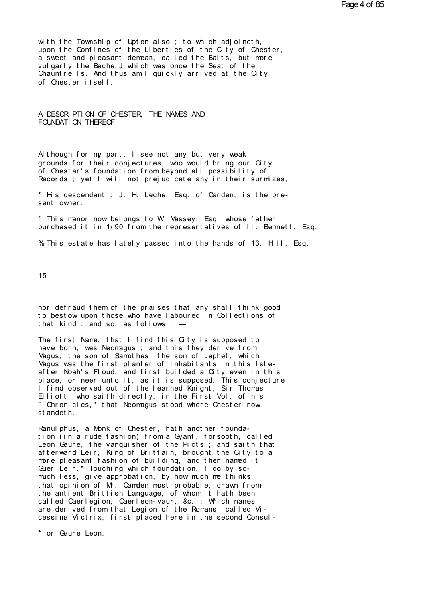with the Township of Upton also; to which adjoineth, upon the Confines of the Liberties of the City of Chester, a sweet and pleasant demean, called the Baits, but more vulgarly the Bache, J which was once the Seat of the Chauntrells. And thus am I quickly arrived at the City of Chester itself.

# A DESCRIPTION OF CHESTER, THE NAMES AND FOUNDATION THEREOF.

Although for my part, I see not any but very weak grounds for their conjectures, who would bring our City of Chester's foundation from beyond all possibility of Records; yet I will not prejudicate any in their surmizes,

\* His descendant; J. H. Leche, Esq. of Carden, is the present owner.

f This manor now belongs to W Massey, Esq. whose father pur chased it in 1/90 from the represent atives of II. Bennett, Esq.

% This estate has lately passed into the hands of 13. Hill, Esq.

15

nor defraud them of the praises that any shall think good to bestow upon those who have I aboured in Collections of that kind: and so, as follows: -

The first Name, that I find this City is supposed to have born, was Neomagus; and this they derive from Magus, the son of Samothes, the son of Japhet, which Magus was the first planter of Inhabitants in this Isleafter Noah's Floud, and first builded a City even in this place, or neer unto it, as it is supposed. This conjecture<br>I find observed out of the learned Knight, Sir Thomas<br>Elliott, who saith directly, in the First Vol. of his " Chronicles," that Neomagus stood where Chester now st andet h.

Ranul phus, a Monk of Chester, hath another foundation (in a rude fashion) from a Gyant, forsooth, called' Leon Gaure, the vanquisher of the Picts; and saith that afterward Leir, King of Brittain, brought the City to a more pleasant fashion of building, and then named it Guer Leir.\* Touching which foundation, I do by somuch less, give approbation, by how much me thinks that opinion of Mr. Camden most probable, drawn fromthe antient Brittish Language, of whom it hath been called Caerlegion, Caerleon-vaur, &c.; Which names are derived from that Legion of the Romans, called Vicessima Victrix, first placed here in the second Consul-

\* or Gaure Leon.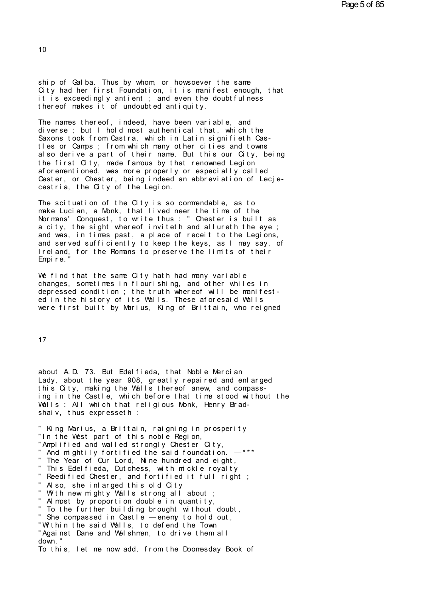ship of Galba. Thus by whom, or howsoever the same Oity had her first Foundation, it is manifest enough, that it is exceedingly antient; and even the doubtfulness thereof makes it of undoubted antiquity.

The names thereof, indeed, have been variable, and diverse; but I hold most authentical that, which the Saxons took from Castra, which in Latin signifieth Castles or Camps; from which many other cities and towns also derive a part of their name. But this our City, being the first City, made famous by that renowned Legion<br>aforementioned, was more properly or especially called Cester, or Chester, being indeed an abbreviation of Lecjecestria, the City of the Legion.

The scituation of the City is so commendable, as to make Lucian, a Monk, that lived neer the time of the Normans' Conquest, to write thus : "Chester is built as<br>a city, the sight whereof inviteth and all ureth the eye; and was, in times past, a place of receit to the Legions, and served sufficiently to keep the keys, as I may say, of Ireland, for the Romans to preserve the limits of their Empire.

We find that the same City hath had many variable changes, sometimes in flourishing, and other whiles in depressed condition; the truth whereof will be manifest-<br>ed in the history of its Walls. These aforesaid Walls were first built by Marius, King of Brittain, who reigned

 $17$ 

about A.D. 73. But Edelfieda, that Noble Mercian Lady, about the year 908, greatly repaired and enlarged this City, making the Walls thereof anew, and compassing in the Castle, which before that time stood without the Walls: All which that religious Monk, Henry Bradshaiv, thus expresseth :

" King Marius, a Brittain, raigning in prosperity "In the West part of this noble Region, "Amplified and walled strongly Chester City, " And mightily fortified the said foundation. -\*\*\* " The Year of Our Lord, Nine hundred and eight, " This Edelfieda, Dutchess, with mickle royalty " Reedified Chester, and fortified it full right; " Also, she inlarged this old City " With new mighty Walls strong all about; " Almost by proportion double in quantity, " To the further building brought without doubt, " She compassed in Castle -enemy to hold out, "Within the said Walls, to defend the Town "Against Dane and Welshmen, to drive them all  $d<sub>OM</sub>$  " To this, let me now add, from the Doomesday Book of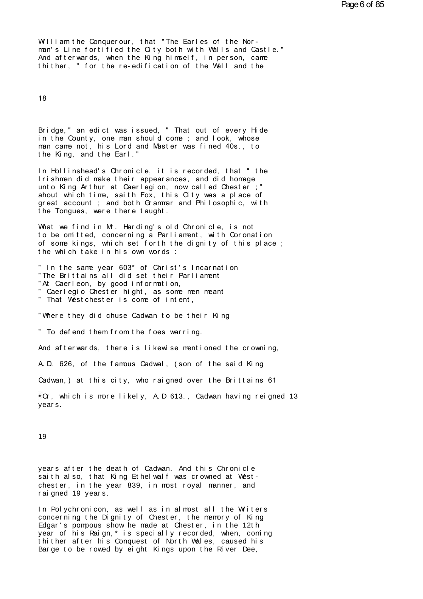William the Conquerour, that "The Earles of the Norman's Line fortified the City both with Walls and Castle." And afterwards, when the King himself, in person, came thither, " for the re-edification of the Wall and the

18

Bridge," an edict was issued, "That out of every Hide in the County, one man should come; and look, whose man came not, his Lord and Master was fined 40s., to the King, and the Earl."

In Hollinshead's Chronicle, it is recorded, that "the Irishmen did make their appearances, and did homage unto King Arthur at Caerlegion, now called Chester : " ahout which time, saith Fox, this City was a place of great account; and both Grammar and Philosophic, with the Tongues, were there taught.

What we find in M. Harding's old Chronicle, is not to be omitted, concerning a Parliament, with Coronation of some kings, which set forth the dignity of this place; the which take in his own words :

" In the same year 603\* of Christ's Incarnation "The Brittains all did set their Parliament "At Caerleon, by good information, " Caerlegio Chester hight, as some men meant " That West chest er is come of intent,

"Where they did chuse Cadwan to be their King

" To defend them from the foes warring.

And afterwards, there is likewise mentioned the crowning.

A.D. 626, of the famous Cadwal, (son of the said King

Cadwan, ) at this city, who raigned over the Brittains 61

• Or, which is more likely, A.D 613., Cadwan having reigned 13 vears.

19

years after the death of Cadwan. And this Chronicle saith also, that King Ethel walf was crowned at Westchester, in the year 839, in most royal manner, and rai gned 19 years.

In Polychronicon, as well as in almost all the Witers concerning the Dignity of Chester, the memory of King Edgar's pompous show he made at Chester, in the 12th year of his Raign,\* is specially recorded, when, coming thither after his Conquest of North Wales, caused his Barge to be rowed by eight Kings upon the River Dee,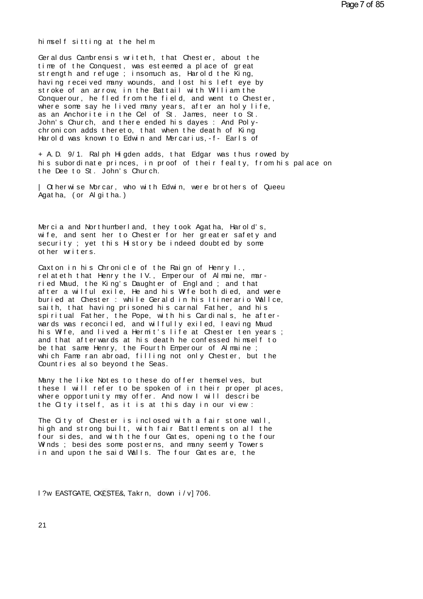himself sitting at the helm

Geral dus Cambrensis writeth, that Chester, about the time of the Conquest, was esteemed a place of great strength and refuge; insomuch as, Harold the King, having received many wounds, and lost his left eve by stroke of an arrow, in the Battail with William the Conquerour, he fled from the field, and went to Chester, where some say he lived many years, after an holy life, as an Anchorite in the Cel of St. James, neer to St. John's Church, and there ended his dayes: And Polychronicon adds thereto, that when the death of King Harold was known to Edwin and Mercarius, -f - Earls of

+ A.D. 9/1. Ralph Higden adds, that Edgar was thus rowed by his subordinate princes, in proof of their fealty, from his palace on the Dee to St. John's Church.

| Otherwise Morcar, who with Edwin, were brothers of Queeu Agatha, (or Algitha.)

Mercia and Northumberland, they took Agatha, Harold's, wife, and sent her to Chester for her greater safety and security; yet this History be indeed doubted by some other writers.

Caxton in his Chronicle of the Raign of Henry I., rel at eth that Henry the IV., Emperour of Almaine, married Maud, the King's Daughter of England; and that after a wilful exile, He and his Wife both died, and were buried at Chester : while Gerald in his Itinerario Wallce, saith, that having prisoned his carnal Father, and his spiritual Father, the Pope, with his Cardinals, he afterwards was reconciled, and wilfully exiled, leaving Maud his Wife, and lived a Hermit's life at Chester ten years; and that afterwards at his death he confessed himself to be that same Henry, the Fourth Emperour of Almaine; which Fame ran abroad, filling not only Chester, but the Countries also beyond the Seas.

Many the like Notes to these do offer themselves, but these I will refer to be spoken of in their proper places, where opportunity may offer. And now I will describe the City itself, as it is at this day in our view:

The City of Chester is inclosed with a fair stone wall, high and strong built, with fair Battlements on all the four sides, and with the four Gates, opening to the four Winds; besides some posterns, and many seemly Towers in and upon the said Walls. The four Gates are, the

I ?w EASTGATE, CKESTE&, Takrn, down i/v] 706.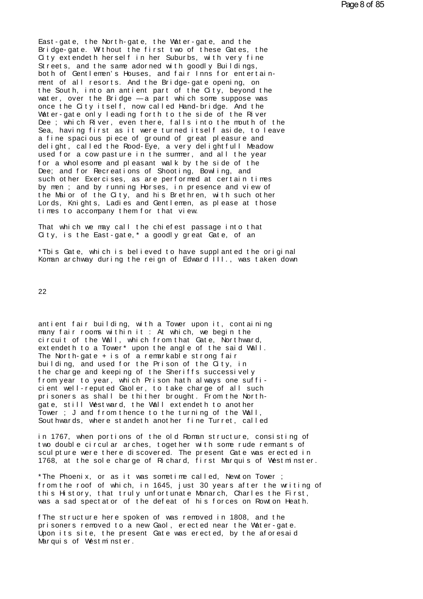East-gate, the North-gate, the Water-gate, and the Bridge-gate. Without the first two of these Gates, the City extendeth herself in her Suburbs, with very fine Streets, and the same adorned with goodly Buildings, both of Gentlemen's Houses, and fair Inns for entertainment of all resorts. And the Bridge-gate opening, on the South, into an antient part of the City, beyond the water, over the Bridge  $-a$  part which some suppose was once the City itself, now called Hand-bridge. And the Water-gate only leading forth to the side of the River Dee; which River, even there, falls into the mouth of the Sea, having first as it were turned itself aside, to leave a fine spacious piece of ground of great pleasure and delight, called the Rood-Eye, a very delightfull Meadow used for a cow pasture in the summer, and all the year for a wholesome and pleasant walk by the side of the Dee; and for Recreations of Shooting, Bowling, and such other Exercises, as are performed at certain times by men; and by running Horses, in presence and view of the Mai or of the City, and his Brethren, with such other<br>Lords, Knights, Ladies and Gentlemen, as please at those times to accompany them for that view.

That which we may call the chiefest passage into that City, is the East-gate,\* a goodly great Gate, of an

\*This Gate, which is believed to have supplanted the original Koman archway during the reign of Edward III., was taken down

22

antient fair building, with a Tower upon it, containing many fair rooms within it: At which, we begin the circuit of the Wall, which from that Gate, Northward,<br>extendeth to a Tower\* upon the angle of the said Wall. The North-gate + is of a remarkable strong fair building, and used for the Prison of the City, in the charge and keeping of the Sheriffs successively from year to year, which Prison hath always one sufficient well-reputed Gaoler, to take charge of all such prisoners as shall be thither brought. From the Northgate, still Westward, the Wall extendeth to another Tower; J and from thence to the turning of the Wall, Sout hwards, where standeth another fine Turret, called

in 1767, when portions of the old Roman structure, consisting of two double circular arches, together with some rude remnants of scul pt ure were there discovered. The present Gate was erected in 1768, at the sole charge of Richard, first Marquis of Westminster.

\*The Phoenix, or as it was sometime called, Newton Tower; from the roof of which, in 1645, just 30 years after the writing of this History, that truly unfortunate Monarch, Charles the First, was a sad spectator of the defeat of his forces on Rowton Heath.

f The structure here spoken of was removed in 1808, and the prisoners removed to a new Gaol, erected near the Water-gate. Upon its site, the present Gate was erected, by the aforesaid Marquis of Westminster.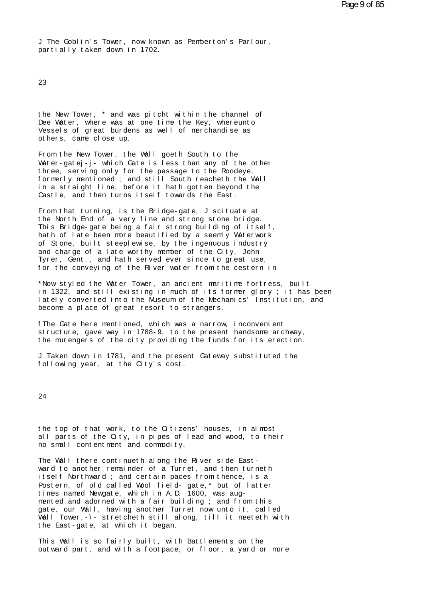J The Goblin's Tower, now known as Pemberton's Parlour, partially taken down in 1702.

23

the New Tower, \* and was pitcht within the channel of Dee Water, where was at one time the Key, whereunto Vessels of great burdens as well of merchandise as others, came close up.

From the New Tower, the Wall goeth South to the Water-gatej-j- which Gate is less than any of the other three, serving only for the passage to the Roodeye, formerly mentioned; and still South reacheth the Wall<br>in a straight line, before it hath gotten beyond the Castle, and then turns itself towards the East.

From that turning, is the Bridge-gate, J scituate at the North End of a very fine and strong stone bridge. This Bridge-gate being a fair strong building of itself, hath of late been more beautified by a seemly Waterwork of Stone, built steeplewise, by the ingenuous industry and charge of a late worthy member of the City, John Tyrer, Gent., and hath served ever since to great use, for the conveying of the River water from the cestern in

\*Now styled the Water Tower, an ancient maritime fortress, built in 1322, and still existing in much of its former glory ; it has been<br>lately converted into the Museum of the Mechanics' Institution, and become a place of great resort to strangers.

f The Gate here mentioned, which was a narrow, inconvenient structure, gave way in 1788-9, to the present handsome archway, the murengers of the city providing the funds for its erection.

J Taken down in 1781, and the present Gateway substituted the following year, at the City's cost.

24

the top of that work, to the Citizens' houses, in almost all parts of the City, in pipes of lead and wood, to their no small content ment and commodity,

The Wall there continueth along the River side Eastward to another remainder of a Turret, and then turneth itself Northward; and certain paces from thence, is a Postern, of old called Wool field-gate,\* but of latter times named Newgate, which in A.D. 1600, was augmented and adorned with a fair building; and from this gate, our Wall, having another Turret now unto it, called Wall Tower, - \- stretcheth still along, till it meeteth with the East-gate, at which it began.

This Wall is so fairly built, with Battlements on the out ward part, and with a foot pace, or floor, a yard or more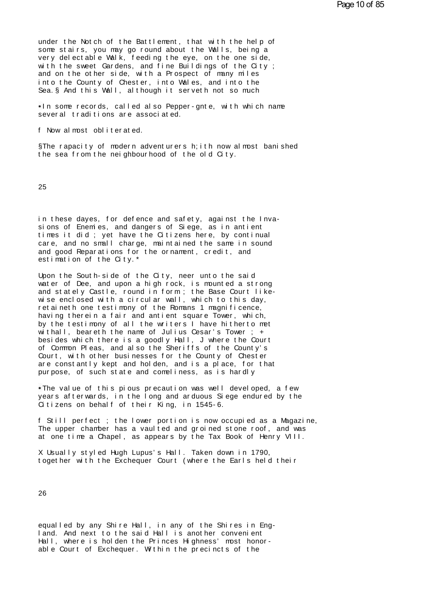under the Notch of the Battlement, that with the help of some stairs, you may go round about the Walls, being a very delectable Walk, feeding the eye, on the one side, with the sweet Gardens, and fine Buildings of the City; and on the other side, with a Prospect of many miles into the County of Chester, into Wales, and into the Sea. § And this Wall, although it serveth not so much

In some records, called also Pepper-gnte, with which name several traditions are associated.

f Now almost obliterated

§The rapacity of modern adventurers h; ith now almost banished the sea from the neighbourhood of the old City.

25

in these dayes, for defence and safety, against the Inva-<br>sions of Enemies, and dangers of Siege, as in antient times it did; yet have the Citizens here, by continual care, and no small charge, maintained the same in sound and good Reparations for the ornament, credit, and estimation of the City.\*

Upon the South-side of the City, neer unto the said water of Dee, and upon a high rock, is mounted a strong and stately Castle, round in form; the Base Court like-<br>wise enclosed with a circular wall, which to this day, retaineth one testimony of the Romans 1 magnificence, having therein a fair and antient square Tower, which, by the testimony of all the writers I have hitherto met  $\overline{M}$  thall, beareth the name of Julius Cesar's Tower; + besides which there is a goodly Hall, J where the Court of Common Pleas, and also the Sheriffs of the County's Court, with other businesses for the County of Chester are constantly kept and holden, and is a place, for that purpose, of such state and comeliness, as is hardly

. The value of this pious precaution was well developed, a few years afterwards, in the long and arduous Siege endured by the Citizens on behalf of their King, in 1545-6.

f Still perfect ; the lower portion is now occupied as a Magazine, The upper chamber has a vaulted and groined stone roof, and was at one time a Chapel, as appears by the Tax Book of Henry VIII.

X Usually styled Hugh Lupus's Hall. Taken down in 1790, together with the Exchequer Court (where the Earls held their

26

equalled by any Shire Hall, in any of the Shires in England. And next to the said Hall is another convenient Hall, where is holden the Princes Highness' most honorable Court of Exchequer. Within the precincts of the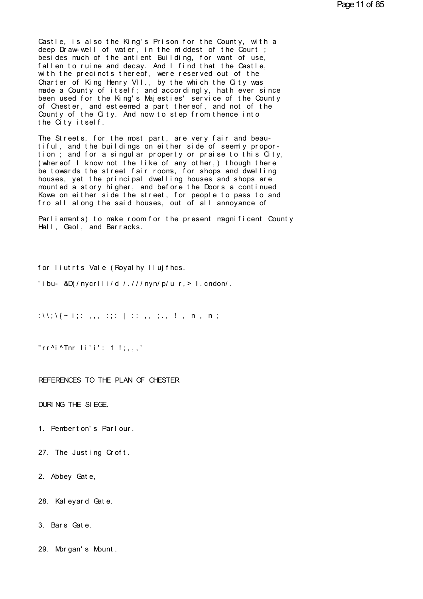Castle, is also the King's Prison for the County, with a deep Draw-well of water, in the middest of the Court ; besides much of the antient Building, for want of use, fallen to ruine and decay. And I find that the Castle, with the precincts thereof, were reserved out of the Charter of King Henry VII., by the which the City was made a County of itself; and accordingly, hath ever since been used for the King's Majesties' service of the County of Chester, and esteemed a part thereof, and not of the County of the City. And now to step from thence into the City itself.

The Streets, for the most part, are very fair and beautiful, and the buildings on either side of seemly proportion; and for a singular property or praise to this City, (whereof I know not the like of any other, ) though there be towards the street fair rooms, for shops and dwelling houses, yet the principal dwelling houses and shops are mounted a story higher, and before the Doors a continued Kowe on either side the street, for people to pass to and fro all along the said houses, out of all annoyance of

Parliaments) to make room for the present magnificent County Hall, Gaol, and Barracks.

for liutrts Vale (Royal hy Ilujfhcs.

'ibu- &D(/nycrlli/d /.///nyn/p/u r, > 1.cndon/.

:\\;\{ \le i;: ,,, :;: | :: ,, ;., !, n, n;

"rr^i^Tnr  $\overline{1}$ i'i': 1 !:...'

REFERENCES TO THE PLAN OF CHESTER

DURING THE SIEGE.

- 1. Pemberton's Parlour.
- 27. The Justing Croft.
- 2. Abbey Gate,
- 28. Kaleyard Gate.
- 3. Bars Gate.
- 29. Morgan's Mount.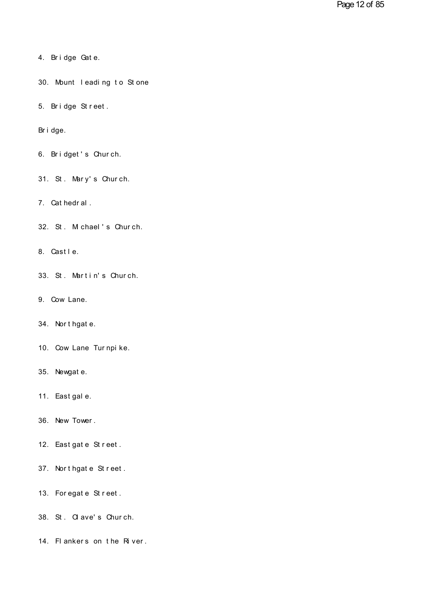- 4. Br i dge Gat e.
- 4. Bridge Gate.<br>30. Mount leading to Stone 30. Mount leading to Stone<br>5. Bridge Street.
- 5. Bridge Street.<br>Bridge.

- Bridge.<br>6. Bridget's Church.
- 6. Bridget's Church.<br>31. St. Mary's Church. 31. St. Mary's Church.<br>7. Cathedral.

7. Cat hedral .<br>32. St . M chael 's Chur ch. 32. St. M chael's Church.<br>8. Castle.

- 
- 8. Castle.<br>33. St. Martin's Church. 33. St. Martin's<br>9. Cow Lane.
- 
- 9. Cow Lane.<br>34. Nort hgat e.
- 34. Northgate.<br>10. Cow Lane Turnpike. 10. Cow Lane Turnpike.<br>35. Newgate.
- 
- 35. Newgate.<br>11. Eastgale.
- 11. East gal e.<br>36. New Tower .
- 36. New Tower.<br>12. East gat e St r eet .
- 12. East gat e St r eet .<br>37. Nort hgat e St r eet . 37. Northgate Street.<br>13. Foregate Street.
- 
- 13. Foregate Street.<br>38. St. Clave's Church.
- 38. St. Olave's Church.<br>14. Flankers on the River.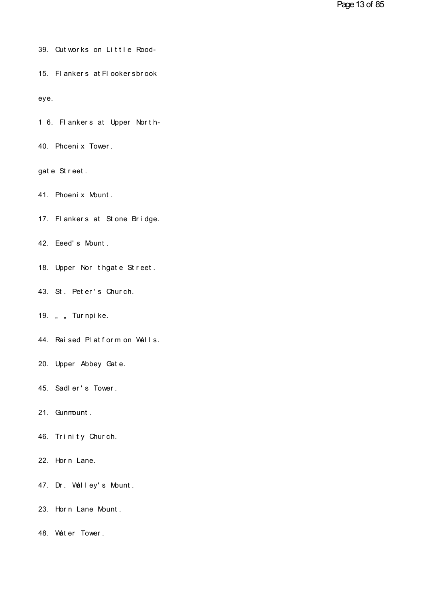- 39. Outworks on Little Rood-
- 15. Flankers at Flookersbrook

eye.

- 1 6. Flankers at Upper North-
- 40. Phceni x Tower.

gate Street.

- 41. Phoeni x Mount.
- 17. Flankers at Stone Bridge.
- 42. Eeed's Mount.
- 18. Upper Nor thgate Street.
- 43. St. Pet er's Church.
- 19. " "Tur npi ke.
- 44. Raised Platform on Walls.
- 20. Upper Abbey Gate.
- 45. Sadler's Tower.
- 21. Gunmount.
- 46. Trinity Church.
- 22. Horn Lane.
- 47. Dr. Walley's Mount.
- 23. Horn Lane Mount.
- 48. Water Tower.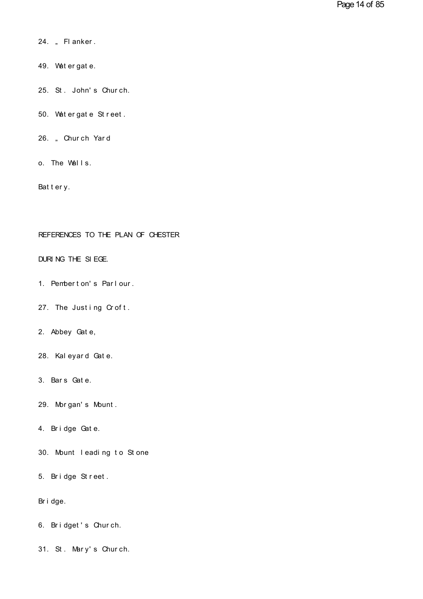- 24. "Fl anker . 24. "Flanker.<br>49. Watergate.
- 
- 49. Watergate.<br>25. St. John's Church. 25. St. John's Church.<br>50. Watergate Street.
- 50. Wat er gat e St reet.
- 26. "Church Yard<br>o. The Walls.
- o. The Walls.<br>Battery.

# REFERENCES TO THE PLAN OF CHESTER REFERENCES TO THE PLAN OF O<br>DURING THE SIEGE.

- DURING THE SIEGE.<br>1. Pembert on's Parlour. 1. Pemberton's Parlour.<br>27. The Justing Croft.
- 27. The Justing Croft.<br>2. Abbey Gate,

2. Abbey Gate,<br>28. Kaleyard Gate. 28. Kaleyard Gate.<br>3. Bars Gate.

3. Bars Gate.<br>29. Morgan's Mount. 29. Morgan's Mount.<br>4. Bridge Gate.

- 
- 4. Bridge Gate.<br>30. Mount leading to Stone 30. Mount leading to Stone<br>5. Bridge Street.
- 5. Bridge Street.<br>Bridge.

- Bridge.<br>6. Bridget's Church.
- 6. Bridget's Church.<br>31. St. Mary's Church.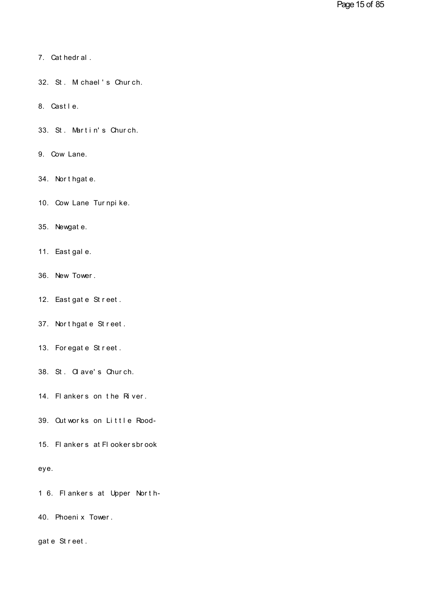- 7. Cat hedr al .
- 7. Cathedral.<br>32. St. Michael's Church. 32. St. M chael's Church.<br>8. Castle.
- 
- 8. Castle.<br>33. St. Martin's Church. 33. St. Martin's Church.<br>9. Cow Lane.
- 
- 9. Cow Lane.<br>34. Nort hgat e.
- 34. Northgate.<br>10. Cow Lane Turnpike. 10. Cow Lane Turnpike.<br>35. Newgate.
- 
- 35. Newgate.<br>11. East gale.
- 11. East gal e.<br>36. New Tower .
- 36. New Tower.<br>12. Eastgate Street.
- 12. East gat e St r eet .<br>37. Nort hgat e St r eet . 37. Northgate Street.<br>13. Foregate Street.
- 
- 13. For egat e St r eet .<br>38. St . Ol ave's Chur ch.
- 38. St. Olave's Church.<br>14. Flankers on the River.
- 
- 14. Flankers on the River.<br>39. Outworks on Little Rood-<br>15. Flankers at Flookersbrook

# eye.

- eye.<br>16. Flankers at Upper North-<br>40. Phoenix Tower.
- 40. Phoenix Tower.<br>gate Street.
-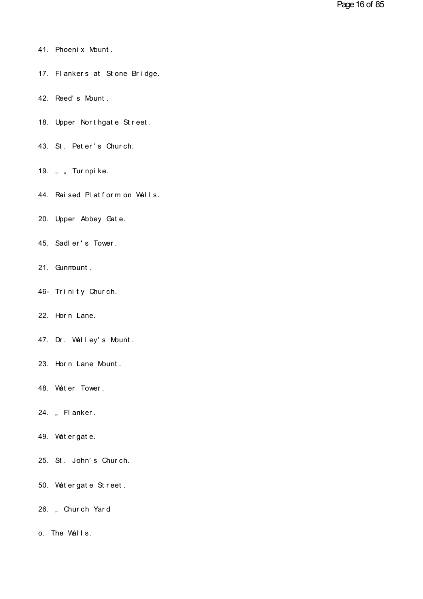- 41. Phoeni x Mount .
- 41. Phoenix Mount.<br>17. Flankers at Stone Bridge. 17. Flankers at Stone Bridge.<br>42. Reed's Mount.
- 
- 42. Reed's Mount.<br>18. Upper Northgate Street. 18. Upper Northgate Street.<br>43. St. Peter's Church.
- 43. St. Peter's Church.<br>19. " " Turnpike.
- 
- 19. ""Turnpike.<br>44. Raised Platform on Walls. 44. Raised Platform on Walls.<br>20. Upper Abbey Gate.
- 20. Upper Abbey Gate.<br>45. Sadler's Tower.
- 45. Sadler's Tower.<br>21. Gunmount.
- 
- 21. Qunmount.<br>46- Trinity Church. 46– Trinity Church.<br>22. Horn Lane.
- 
- 22. Horn Lane.<br>47. Dr. Walley's Mount. 47. Dr. Walley's Mount.<br>23. Horn Lane Mount.
- 23. Horn Lane Mount.<br>48. Water Tower.
- 48. Water Tower.<br>24. "Flanker.
- 
- 24. "Flanker.<br>49. Watergate.
- 49. Watergate.<br>25. St. John's Church.
- 25. St. John's Church.<br>50. Watergate Street. 50. Wat er gat e St reet.
- 26. "Church Yard<br>o. The Walls.
-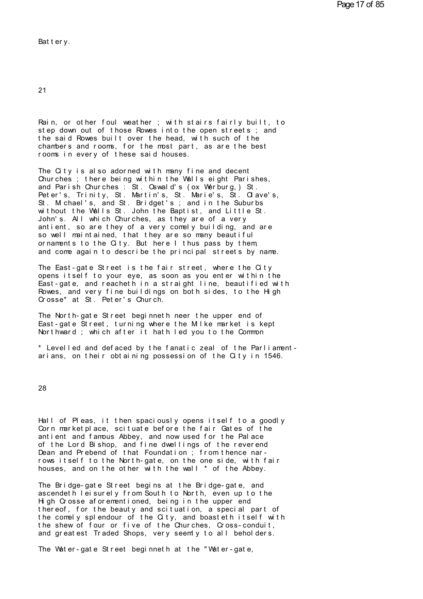Bat t er y.

21

21<br>Rain, or other foul weather ; with stairs fairly built, to<br>step down out of those Rowes into the open streets ; and<br>the said Rowes built over the head, with such of the 21<br>Rain, or other foul weather ; with stairs fairly built, to<br>step down out of those Rowes into the open streets ; and<br>the said Rowes built over the head, with such of the<br>chambers and rooms, for the most part, as are the Rain, or other foul weather ; with stairs fairly built, to<br>step down out of those Rowes into the open streets ; and<br>the said Rowes built over the head, with such of the<br>chambers and rooms, for the most part, as are the bes Rain, or other foul weather ; with stairs fairly built, to<br>step down out of those Rowes into the open streets ; and<br>the said Rowes built over the head, with such of the<br>chambers and rooms, for the most part, as are the bes Rain, or other foul weather; with stairs<br>step down out of those Rowes into the ope<br>the said Rowes built over the head, with<br>chambers and rooms, for the most part, as<br>rooms in every of these said houses.<br>The City is also ad step down out of those Rowes into the open streets;<br>the said Rowes built over the head, with such of the<br>chambers and rooms, for the most part, as are the bes<br>rooms in every of these said houses.<br>The City is also adorned w

the said Rowes built over the head, with such of the<br>chambers and rooms, for the most part, as are the best<br>rooms in every of these said houses.<br>The City is also adorned with many fine and decent<br>Churches ; there being wit chambers and rooms, for the most part, as are the best<br>rooms in every of these said houses.<br>The City is also adorned with many fine and decent<br>Churches ; there being within the Walls eight Parishes,<br>and Parish Churches : S rooms in every of these said houses.<br>The City is also adorned with many fine and decent<br>Churches ; there being within the Walls eight Parishes,<br>and Parish Churches : St. Oswald's (ox Werburg, ) St.<br>Peter's, Trinity, St. Ma The City is also adorned with many fine and decent<br>Churches ; there being within the Walls eight Parishes,<br>and Parish Churches : St. Oswald's (ox Werburg,) St.<br>Peter's, Trinity, St. Martin's, St. Marie's, St. Clave's,<br>St. The City is also adorned with many fine and decent<br>Churches ; there being within the Walls eight Parishes,<br>and Parish Churches : St. Oswald's (ox Werburg, ) St.<br>Peter's, Trinity, St. Martin's, St. Marie's, St. Clave's,<br>St. Churches ; there being within the Walls eight Parishes,<br>and Parish Churches : St. Oswald's (ox Werburg, ) St.<br>Peter's, Trinity, St. Martin's, St. Marie's, St. Olave's,<br>St. Michael's, and St. Bridget's ; and in the Suburbs<br> and Parish Churches : St. Oswald's (ox Werburg,) St.<br>Peter's, Trinity, St. Martin's, St. Marie's, St. Olave's,<br>St. Michael's, and St. Bridget's ; and in the Suburbs<br>without the Walls St. John the Baptist, and Little St.<br>Jo Peter's, Trinity, St. Martin's, St. Marie's, St. Clave's,<br>St. Michael's, and St. Bridget's; and in the Suburbs<br>without the Walls St. John the Baptist, and Little St.<br>John's. All which Churches, as they are of a very<br>antien St. M chael's, and St. Bridget's; and in the Suburbs<br>without the Walls St. John the Baptist, and Little St.<br>John's. All which Churches, as they are of a very<br>antient, so are they of a very comely building, and are<br>so well without the Walls St. John the Baptist, and Little St.<br>John's. All which Churches, as they are of a very<br>antient, so are they of a very comely building, and are<br>so well maintained, that they are so many beautiful<br>ornaments antient, so are they of a very comely building, and are<br>so well maintained, that they are so many beautiful<br>ornaments to the City. But here I thus pass by them,<br>and come again to describe the principal streets by name.<br>The

so well maintained, that they are so many beautiful<br>ornaments to the City. But here I thus pass by them,<br>and come again to describe the principal streets by name.<br>The East-gate Street is the fair street, where the City<br>ope ornaments to the City. But here I thus pass by them,<br>and come again to describe the principal streets by name.<br>The East-gate Street is the fair street, where the City<br>opens itself to your eye, as soon as you enter within t and come again to describe the principal streets by name.<br>The East-gate Street is the fair street, where the City<br>opens itself to your eye, as soon as you enter within the<br>East-gate, and reacheth in a straight line, beauti The East-gate Street is the fair street, where the City<br>opens itself to your eye, as soon as you enter within the<br>East-gate, and reacheth in a straight line, beautified wi<br>Rowes, and very fine buildings on both sides, to t opens itself to your eye, as soon as you enter within the<br>East-gate, and reacheth in a straight line, beautified with<br>Rowes, and very fine buildings on both sides, to the High<br>Crosse\* at St. Peter's Church.<br>The North-gate

Rowes, and very fine buildings on both sides, to the High<br>Grosse\* at St. Peter's Church.<br>The North-gate Street beginneth neer the upper end of<br>East-gate Street, turning where the Mike market is kept<br>Northward; which after East-gate Street, turning where the Milke market is kept<br>Northward ; which after it hath led you to the Common<br>\* Levelled and defaced by the fanatic zeal of the Parliament-The North-gate Street beginneth neer the upper end of<br>East-gate Street, turning where the Milke market is kept<br>Northward ; which after it hath led you to the Common<br>\* Levelled and defaced by the fanatic zeal of the Parliam

28

28<br>Hall of Pleas, it then spaciously opens itself to a goodly<br>Corn marketplace, scituate before the fair Gates of the<br>antient and famous Abbey, and now used for the Palace Hall of Pleas, it then spaciously opens itself to a goodly Corn marketplace, scituate before the fair Gates of the antient and famous Abbey, and now used for the Palace Hall of Pleas, it then spaciously opens itself to a goodly<br>Corn marketplace, scituate before the fair Gates of the<br>antient and famous Abbey, and now used for the Palace<br>of the Lord Bishop, and fine dwellings of the reveren Hall of Pleas, it then spaciously opens itself to a goodly Corn marketplace, scituate before the fair Gates of the<br>antient and famous Abbey, and now used for the Palace<br>of the Lord Bishop, and fine dwellings of the reveren Hall of Pleas, it then spaciously opens itself to a goodly Corn marketplace, scituate before the fair Gates of the antient and famous Abbey, and now used for the Palace of the Lord Bishop, and fine dwellings of the reveren Hall of Pleas, it then spaciously opens itself to a goodly Corn marketplace, scituate before the fair Gates of the antient and famous Abbey, and now used for the Palace of the Lord Bishop, and fine dwellings of the reveren Corn marketplace, scituate before the fair Gates of the<br>antient and famous Abbey, and now used for the Palace<br>of the Lord Bishop, and fine dwellings of the reverend<br>Dean and Prebend of that Foundation ; from thence nar-<br>ro or the Lord Bishop, and tine dwellings of the reverend<br>Dean and Prebend of that Foundation ; from thence nar-<br>rows itself to the North-gate, on the one side, with fair<br>houses, and on the other with the wall \* of the Abbey.

Dean and Prebend of that Foundation; from thence nar-<br>rows itself to the North-gate, on the one side, with fair<br>houses, and on the other with the wall \* of the Abbey.<br>The Bridge-gate Street begins at the Bridge-gate, and<br>a rows itself to the North-gate, on the one side, with fair houses, and on the other with the wall \* of the Abbey.<br>The Bridge-gate Street begins at the Bridge-gate, and ascendeth leisurely from South to North, even up to the houses, and on the other with the wall  $\hat{ }$  of the Abbey.<br>The Bridge-gate Street begins at the Bridge-gate, and<br>ascendeth leisurely from South to North, even up to the<br>High Crosse aforementioned, being in the upper end<br>t The Bridge-gate Street begins at the Bridge-gate, and<br>ascendeth leisurely from South to North, even up to the<br>High Crosse aforementioned, being in the upper end<br>thereof, for the beauty and scituation, a special part of<br>the The Bridge-gate Street begins at the Bridge-gate, and<br>ascendeth leisurely from South to North, even up to the<br>High Crosse aforementioned, being in the upper end<br>thereof, for the beauty and scituation, a special part of<br>the as cendeth leisurely from South to North, even up to the<br>High Crosse aforementioned, being in the upper end<br>thereof, for the beauty and scituation, a special part of<br>the comely splendour of the City, and boasteth itself wi the reof, for the beauty and scituation, a special part of<br>the comely splendour of the City, and boasteth itself with<br>the shew of four or five of the Churches, Cross-conduit,<br>and greatest Traded Shops, very seemly to all b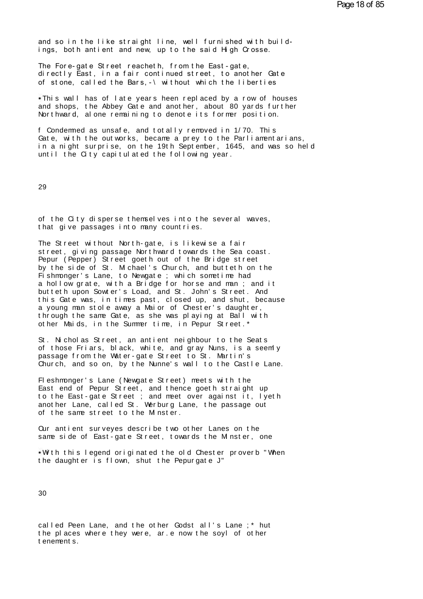Pa<br>and so in the like straight line, well furnished with build-<br>ings, both antient and new, up to the said High Crosse. and so in the like straight line, well furnished with buildings, both antient and new, up to the said High Crosse.<br>The Fore-gate Street reacheth, from the East-gate.

and so in the like straight line, well furnished with buildings, both antient and new, up to the said High Crosse.<br>The Fore-gate Street reacheth, from the East-gate,<br>directly East, in a fair continued street, to another Ga and so in the like straight line, well furnished with build-<br>ings, both antient and new, up to the said High Crosse.<br>The Fore-gate Street reacheth, from the East-gate,<br>directly East, in a fair continued street, to another and so in the like straight line, well furnished with build-<br>ings, both antient and new, up to the said High Crosse.<br>The Fore-gate Street reacheth, from the East-gate,<br>directly East, in a fair continued street, to another he Fore-gate Street reacheth, from the East-gate,<br>irectly East, in a fair continued street, to another Gate<br>f stone, called the Bars,-\without which the liberties<br>This wall has of late years heen replaced by a row of house

The Fore-gate Street reacheth, from the East-gate,<br>directly East, in a fair continued street, to another Gate<br>of stone, called the Bars,-\without which the liberties<br>Finis wall has of late years heen replaced by a row of h directly East, in a fair continued street, to another Gate<br>of stone, called the Bars,-\without which the liberties<br>-This wall has of late years heen replaced by a row of house<br>and shops, the Abbey Gate and another, about 8 and shops, the Abbey Gate and another, about 80 yards further<br>Northward, alone remaining to denote its former position.<br>f Condemned as unsafe, and totally removed in 1/70. This<br>Gate, with the outworks, became a prey to the

This wall has of late years heen replaced by a row of houses<br>and shops, the Abbey Gate and another, about 80 yards further<br>Northward, alone remaining to denote its former position.<br>f Condermed as unsafe, and totally remove and shops, the Abbey Gate and another, about 80 yards further<br>Northward, alone remaining to denote its former position.<br>f Condermed as unsafe, and totally removed in 1/70. This<br>Gate, with the outworks, became a prey to the Northward, alone remaining to denote its former p<br>f Condermed as unsafe, and totally removed in 1/7<br>Gate, with the outworks, became a prey to the Par<br>in a night surprise, on the 19th September, 1645,<br>until the City capitul

29

29<br>of the City disperse themselves into the several waves,<br>that give passages into many countries. 29<br>of the City disperse themselves into the s<br>that give passages into many countries.<br>The Street without North-gate, is likewise

that give passages into many countries.<br>The Street without North-gate, is likewise a fair<br>street, giving passage Northward towards the Sea coast. of the City disperse themselves into the several waves,<br>that give passages into many countries.<br>The Street without North-gate, is likewise a fair<br>street, giving passage Northward towards the Sea coast.<br>Pepur (Pepper) Stree of the City disperse themselves into the several waves,<br>that give passages into many countries.<br>The Street without North-gate, is likewise a fair<br>street, giving passage Northward towards the Sea coast.<br>Pepur (Pepper) Stree that give passages into many countries.<br>The Street without North-gate, is likewise a fair<br>street, giving passage Northward towards the Sea coast.<br>Pepur (Pepper) Street goeth out of the Bridge street<br>by the side of St. Mich The Street without North-gate, is likewise a fair<br>street, giving passage Northward towards the Sea coast.<br>Pepur (Pepper) Street goeth out of the Bridge street<br>by the side of St. M chael's Church, and butteth on the<br>Fishmon The Street without North-gate, is likewise a fair<br>street, giving passage Northward towards the Sea coast.<br>Pepur (Pepper) Street goeth out of the Bridge street<br>by the side of St. Michael's Church, and butteth on the<br>Fishmon street, giving passage Northward towards the Sea coast.<br>Pepur (Pepper) Street goeth out of the Bridge street<br>by the side of St. Michael's Church, and butteth on the<br>Fishmonger's Lane, to Newgate ; which sometime had<br>a holl Pepur (Pepper) Street goeth out of the Bridge street<br>by the side of St. Michael's Church, and butteth on the<br>Fishmonger's Lane, to Newgate ; which sometime had<br>a hollow grate, with a Bridge for horse and man ; and it<br>butte by the side of St. Michael's Church, and butteth on the<br>Fishmonger's Lane, to Newgate; which sometime had<br>a hollow grate, with a Bridge for horse and man; and it<br>butteth upon Sowter's Load, and St. John's Street. And<br>this Fishmonger's Lane, to Newgate ; which sometime had<br>a hollow grate, with a Bridge for horse and man ; and it<br>butteth upon Sowter's Load, and St. John's Street. And<br>this Gate was, in times past, closed up, and shut, because<br> a hollow grate, with a Bridge for horse and man; and indutteth upon Sowter's Load, and St. John's Street. And this Gate was, in times past, closed up, and shut, because young man stole away a Maior of Chester's daughter, t this Gate was, in times past, closed up, and shut, because<br>a young man stole away a Maior of Chester's daughter,<br>through the same Gate, as she was playing at Ball with<br>other Maids, in the Summer time, in Pepur Street.\*<br>St.

a young man stole away a Maior of Chester's daughter,<br>through the same Gate, as she was playing at Ball with<br>other Maids, in the Summer time, in Pepur Street.\*<br>St. Nicholas Street, an antient neighbour to the Seats<br>of thos through the same Gate, as she was playing at Ball with<br>other Maids, in the Summer time, in Pepur Street.\*<br>St. Nicholas Street, an antient neighbour to the Seats<br>of those Friars, black, white, and gray Nuns, is a seem!<br>pass other Maids, in the Summer time, in Pepur Street.\*<br>St. Nicholas Street, an antient neighbour to the Seats<br>of those Friars, black, white, and gray Nuns, is a seemly<br>passage from the Water-gate Street to St. Martin's<br>Church, St. Nicholas Street, an antient neighbour to the Seats<br>of those Friars, black, white, and gray Nuns, is a seemly<br>passage from the Water-gate Street to St. Martin's<br>Church, and so on, by the Nunne's wall to the Castle Lane<br>

of those Friars, black, white, and gray Nuns, is a seemly<br>passage from the Water-gate Street to St. Martin's<br>Church, and so on, by the Nunne's wall to the Castle Lane.<br>Fleshmonger's Lane (Newgate Street) meets with the<br>Eas passage from the Water-gate Street to St. Martin's<br>Church, and so on, by the Nunne's wall to the Castle Lane.<br>Fleshmonger's Lane (Newgate Street) meets with the<br>East end of Pepur Street, and thence goeth straight up<br>to the Church, and so on, by the Nunne's wall to the Castle Lane<br>Fleshmonger's Lane (Newgate Street) meets with the<br>East end of Pepur Street, and thence goeth straight up<br>to the East-gate Street; and meet over against it, lyeth<br>a Fleshmonger's Lane (Newgate Street) n<br>East end of Pepur Street, and thence<br>to the East-gate Street ; and meet ov<br>another Lane, called St. Werburg Lane<br>of the same street to the Minster.<br>Our antient surveyes describe typict Least end of Pepur Street, and thence goeth straight up<br>to the East-gate Street; and meet over against it, lyeth<br>another Lane, called St. Werburg Lane, the passage out<br>of the same street to the Minster.<br>Our antient surveye to the East-gate Street ; and meet over against it, lyeth<br>another Lane, called St. Werburg Lane, the passage out<br>of the same street to the Minster.<br>Qur antient surveyes describe two other Lanes on the<br>same side of East-gat

Our antient surveyes describe two other Lanes on<br>same side of East-gate Street, towards the Minst<br>With this legend originated the old Chester pro<br>the daughter is flown, shut the Pepurgate J"

f the same street to the Minster.<br>Wur antient surveyes describe two other Lanes on the<br>ame side of East-gate Street, towards the Minster, one<br>With this legend originated the old Chester proverb "When<br>he daughter is flown,

30

30<br>called Peen Lane, and the other Godst all's Lane ;\* hut<br>the places where they were, ar.e now the soyl of other 30<br>called Peen Lane, and the other Godst all's Lane ;\* hut<br>the places where they were, ar.e now the soyl of other<br>tenements. the places where they were, ar.e now the soyl of other tenements.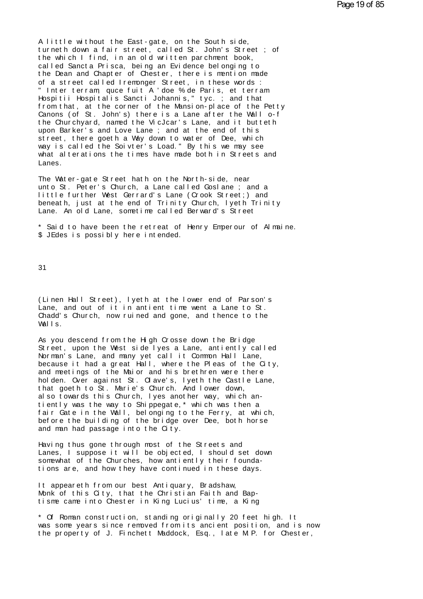A little without the East-gate, on the South side,<br>turneth down a fair street, called St. John's Street<br>the which I find in an old written parchment book A little without the East-gate, on the South side,<br>turneth down a fair street, called St. John's Street ; of<br>the which I find, in an old written parchment book,<br>called Sancta Prisca, being an Evidence belonging to A little without the East-gate, on the South side,<br>turneth down a fair street, called St. John's Street<br>the which I find, in an old written par chment book,<br>called Sancta Prisca, being an Evidence belonging to A little without the East-gate, on the South side,<br>turneth down a fair street, called St. John's Street ; of<br>the which I find, in an old written parchment book,<br>called Sancta Prisca, being an Evidence belonging to<br>the Dean A little without the East-gate, on the South side,<br>turneth down a fair street, called St. John's Street ; of<br>the which I find, in an old written parchment book,<br>called Sancta Prisca, being an Evidence belonging to<br>the Dean of a street called Iremonger Street, in these words :<br>"Inter terram quce fuit A 'doe % de Paris, et terram Hospitii Hospitalis Sancti Johannis," tyc.; and that from that, at the corner of the Mansion-place of the Petty Canons (of St. John's) there is a Lane after the Wall o-f the Dean and Chapter of Chester, there is mention made<br>of a street called Iremonger Street, in these words :<br>"Inter terram, quce fuit A 'doe % de Paris, et terram<br>Hospitii Hospitalis Sancti Johannis," tyc.; and that<br>from t of a street called Iremonger Street, in these words :<br>"Inter terram, quce fuit A'doe % de Paris, et terram<br>Hospitii Hospitalis Sancti Johannis," tyc.; and that<br>from that, at the corner of the Mansion-place of the Petty<br>Can " Inter terram, quce fuit A 'doe % de Paris, et terram<br>Hospitii Hospitalis Sancti Johannis," tyc.; and that<br>from that, at the corner of the Mansion-place of the Petty<br>Canons (of St. John's) there is a Lane after the Wall o Hospitii Hospitalis Sancti Johannis," tyc.; and that<br>from that, at the corner of the Mansion-place of the Petty<br>Canons (of St. John's) there is a Lane after the Wall o-f<br>the Churchyard, named the VicJcar's Lane, and it but from that, at the corner of the Mansion-place of the Petty<br>Canons (of St. John's) there is a Lane after the Wall o-f<br>the Churchyard, named the VicJcar's Lane, and it butteth<br>upon Barker's and Love Lane ; and at the end of Canons (of St. John's) there is a Lane after the Wall o-f<br>the Churchyard, named the VicJcar's Lane, and it butteth<br>upon Barker's and Love Lane ; and at the end of this<br>street, there goeth a Way down to water of Dee, which<br> Lanes. street, there goeth a Way down to water of Dee, which<br>way is called the Soivter's Load." By this we may see<br>what alterations the times have made both in Streets and<br>Lanes.<br>The Water-gate Street hath on the North-side, near

way is called the Soivter's Load." By this we may see<br>what alterations the times have made both in Streets and<br>Lanes.<br>The Water-gate Street hath on the North-side, near<br>unto St. Peter's Church, a Lane called Goslane ; and what alterations the times have made both in Streets and<br>Lanes.<br>The Water-gate Street hath on the North-side, near<br>unto St. Peter's Church, a Lane called Goslane ; and a<br>little further West Gerrard's Lane (Crook Street;) a Lanes.<br>The Water-gate Street hath on the North-side, near<br>unto St. Peter's Church, a Lane called Goslane ; and a<br>little further West Gerrard's Lane (Crook Street;) and<br>beneath, just at the end of Trinity Church, lyeth Trin The Water-gate Street hath on the North-side, near<br>unto St. Peter's Church, a Lane called Goslane ; and a<br>little further West Gerrard's Lane (Crook Street;) and<br>beneath, just at the end of Trinity Church, lyeth Trin<br>Lane. unto St. Peter's Church, a Lane called Goslane ; and a<br>little further West Gerrard's Lane (Crook Street;) and<br>beneath, just at the end of Trinity Church, lyeth Trinity<br>Lane. An old Lane, sometime called Berward's Street<br>\* little further West Gerrard's Lane (Conneath, just at the end of Trinity Conneath, just at the end of Trinity Conneath, just at the end of Trinity Conneath Canneaps and the sometime called Be  $\$  3 JEdes is possibly here

31

31<br>(Linen Hall Street), lyeth at the lower end of Parson's<br>Lane, and out of it in antient time went a Lane to St.<br>Chadd's Church, now ruined and gone, and thence to the 31<br>(Linen Hall Street), lyeth at the lower end of Parson's<br>Lane, and out of it in antient time went a Lane to St.<br>Chadd's Church, now ruined and gone, and thence to the (Linen Hall Street), lyeth at the lower end of Parson's<br>Lane, and out of it in antient time went a Lane to St.<br>Chadd's Church, now ruined and gone, and thence to the<br>Walls. Linen Ha)<br>Lane, and<br>Chadd's C<br>Walls.<br>As you de Lane, and out of it in antient time went a Lane to St.<br>Chadd's Church, now ruined and gone, and thence to the<br>Walls.<br>As you descend from the High Crosse down the Bridge<br>Street, upon the West side lyes a Lane, antiently cal

Norman's Lane, and many yet call it Common Hall Lane, Unadd's Church, now ruined and gone, and thence to the<br>Walls.<br>As you descend from the High Crosse down the Bridge<br>Street, upon the West side lyes a Lane, antiently called<br>Norman's Lane, and many yet call it Common Hall Lan Walls.<br>As you descend from the High Crosse down the Bridge<br>Street, upon the West side lyes a Lane, antiently called<br>Norman's Lane, and many yet call it Common Hall Lane,<br>because it had a great Hall, where the Pleas of the As you descend from the High Crosse down the Bridge<br>Street, upon the West side lyes a Lane, antiently called<br>Norman's Lane, and many yet call it Common Hall Lane,<br>because it had a great Hall, where the Pleas of the City,<br>a As you descend from the High Crosse down the Bridge<br>Street, upon the West side lyes a Lane, antiently called<br>Norman's Lane, and many yet call it Common Hall Lane,<br>because it had a great Hall, where the Pleas of the City,<br>a Street, upon the West side lyes a Lane, antiently can<br>Norman's Lane, and many yet call it Common Hall Lane<br>because it had a great Hall, where the Pleas of the<br>and meetings of the Maior and his brethren were ther<br>holden. Ov Norman's Lane, and many yet call it Common Hall Lane,<br>because it had a great Hall, where the Pleas of the C<br>and meetings of the Maior and his brethren were there<br>holden. Over against St. Clave's, lyeth the Castle La<br>that g because it had a great Hall, where the Pleas of the City,<br>and meetings of the Maior and his brethren were there<br>holden. Over against St. Clave's, lyeth the Castle Lane,<br>that goeth to St. Marie's Church. And lower down,<br>als and meetings of the Waior and his brethren were there<br>holden. Over against St. Clave's, lyeth the Castle Lane,<br>that goeth to St. Marie's Church. And lower down,<br>also towards this Church, lyes another way, which an-<br>tiently holden. Over against St. Clave's, lyeth the Castle Lane,<br>that goeth to St. Marie's Church. And lower down,<br>also towards this Church, lyes another way, which an-<br>tiently was the way to Shippegate,\* which was then a<br>fair Gat that goeth to St. Marie's Church. And<br>also towards this Church, lyes anothe<br>tiently was the way to Shippegate,\*w<br>fair Gate in the Wall, belonging to t<br>before the building of the bridge ove<br>and man had passage into the City tiently was the way to Shippegate," which was then a<br>fair Gate in the Wall, belonging to the Ferry, at which<br>before the building of the bridge over Dee, both horse<br>and man had passage into the City.<br>Having thus gone throug

before the building of the bridge over Dee, both horse<br>and man had passage into the City.<br>Having thus gone through most of the Streets and<br>Lanes, I suppose it will be objected, I should set down<br>somewhat of the Churches, h before the building of the bridge over Dee, both hors<br>and man had passage into the City.<br>Having thus gone through most of the Streets and<br>Lanes, I suppose it will be objected, I should set do<br>somewhat of the Churches, how and man had passage into the City.<br>Having thus gone through most of the Streets and<br>Lanes, I suppose it will be objected, I should set down<br>somewhat of the Churches, how antiently their founda-<br>tions are, and how they have

It appeareth from our best Antiquary, Bradshaw,<br>Monk of this City, that the Christian Faith and Bap-Lanes, I suppose it will be objected, I should set comewhat of the Churches, how antiently their foundations are, and how they have continued in these days<br>It appeareth from our best Antiquary, Bradshaw,<br>Monk of this City, somewhat of the Churches, how antiently their foundations are, and how they have continued in these days.<br>It appeareth from our best Antiquary, Bradshaw,<br>Monk of this City, that the Christian Faith and Bap-<br>tisme came into

It appeareth from our best Antiquary, Bradshaw,<br>Monk of this City, that the Christian Faith and Bap-<br>tisme came into Chester in King Lucius' time, a King<br>\* Of Roman construction, standing originally 20 feet high. It<br>was so It appeareth from our best Antiquary, Bradshaw,<br>Monk of this City, that the Christian Faith and Bap-<br>tisme came into Chester in King Lucius' time, a King<br>\* Of Roman construction, standing originally 20 feet high. It<br>was so Monk of this City, that the Christian Faith and Bap-<br>tisme came into Chester in King Lucius' time, a King<br>\* Of Roman construction, standing originally 20 feet high. It<br>was some years since removed from its ancient position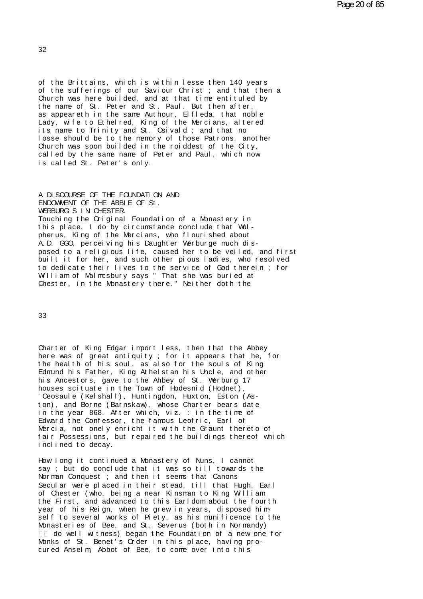of the Brittains, which is within lesse then 140 years<br>of the sufferings of our Saviour Christ ; and that then a of the Brittains, which is within lesse then 140 years<br>of the sufferings of our Saviour Christ ; and that then a<br>Church was here builded, and at that time entituled by<br>the name of St. Peter and St. Paul. But then after of the Brittains, which is within lesse then 140 years<br>of the sufferings of our Saviour Christ ; and that then a<br>Church was here builded, and at that time entituled by<br>the name of St. Peter and St. Paul. But then after,<br>as of the Brittains, which is within lesse then 140 years<br>of the sufferings of our Saviour Christ ; and that the<br>Church was here builded, and at that time entituled by<br>the name of St. Peter and St. Paul. But then after,<br>as ap of the Brittains, which is within lesse then 140 years<br>of the sufferings of our Saviour Christ ; and that then a<br>Church was here builded, and at that time entituled by<br>the name of St. Peter and St. Paul. But then after,<br>as of the Brittains, which is within lesse then 140 years<br>of the sufferings of our Saviour Christ ; and that then a<br>Church was here builded, and at that time entituled by<br>the name of St. Peter and St. Paul. But then after,<br>as the name of St. Peter and St. Paul. But then after, as appeareth in the same Authour, Elfleda, that noble Lady, wife to Ethelred, King of the Mercians, altered its name to Trinity and St. Osivald ; and that no losse should Church was here builded, and at that time entituled by<br>the name of St. Peter and St. Paul. But then after,<br>as appeareth in the same Authour, Elfleda, that noble<br>Lady, wife to Ethelred, King of the Mercians, altered<br>its nam the name of St. Peter and St. Paul. But then after,<br>as appeareth in the same Authour, Elfleda, that noble<br>Lady, wife to Ethelred, King of the Mercians, altered<br>its name to Trinity and St. Osivald; and that no<br>losse should as appeareth in the same Authour, Elfleda, that noble<br>Lady, wife to Ethelred, King of the Mercians, altered<br>its name to Trinity and St. Osivald ; and that no<br>losse should be to the memory of those Patrons, another<br>Church w Lady, wife to Ethelred, King of<br>its name to Trinity and St. Os<br>losse should be to the memory<br>Church was soon builded in the<br>called by the same name of Pet<br>is called St. Peter's only.

Called by the same name of Peter and Paul,<br>is called St. Peter's only.<br>A DISCOURSE OF THE FOUNDATION AND<br>ENDOWMENT OF THE ABBIE OF St.<br>WERRINGS IN CHESTER is called St. Peter's only.<br>A DISCOURSE OF THE FOUNDATION AND<br>ENDOWMENT OF THE ABBIE OF St.<br>WERBURG'S IN CHESTER. ENDOWNENT OF THE ABBIE OF St.<br>WERBURG'S IN CHESTER.<br>Touching the Original Foundation of a Monastery in<br>this place, I do by circumstance conclude that Wul-Touching the Original Foundation of a Monastery in<br>this place, I do by circumstance conclude that Wul-<br>pherus, King of the Mercians, who flourished about A.D. GGO, perceiving his Daughter Werburge much dis-ENDOWNENT OF THE ABBIE OF St.<br>VERBURGS IN CHESTER.<br>Touching the Original Foundation of a Monastery in<br>this place, I do by circumstance conclude that Wul-<br>pherus, King of the Mercians, who flourished about<br>A.D. GGO, perceiv Fouching the Criginal Foundation of a Monastery in<br>this place, I do by circumstance conclude that Wul-<br>pherus, King of the Mercians, who flourished about<br>A.D. GGO, perceiving his Daughter Werburge much dis-<br>posed to a reli this place, I do by circumstance conclude that Wul-<br>pherus, King of the Mercians, who flourished about<br>A.D. GGO, perceiving his Daughter Werburge much dis-<br>posed to a religious life, caused her to be veiled, and first<br>buil pherus, King of the Mercians, who flourished about<br>A.D. GGO, perceiving his Daughter Werburge much dis-<br>posed to a religious life, caused her to be veiled, an<br>built it for her, and such other pious ladies, who res<br>to dedic A.D. GGO, perceiving his Daughter Werburge much dis-<br>posed to a religious life, caused her to be veiled, and f<br>built it for her, and such other pious ladies, who resolve<br>to dedicate their lives to the service of God therei

33

Charter of King Edgar import less, then that the Abbey<br>here was of great antiquity; for it appears that he, for 33<br>Charter of King Edgar import less, then that the Abbey<br>here was of great antiquity ; for it appears that he, for<br>the health of his soul, as also for the souls of King<br>Edmund his Eather King Athelstan his Upcle, and othe Charter of King Edgar import less, then that the Abbey<br>here was of great antiquity; for it appears that he, for<br>the health of his soul, as also for the souls of King<br>Edmund his Father, King Athelstan his Uncle, and other<br>h Charter of King Edgar import less, then that the Abbey<br>here was of great antiquity; for it appears that he, for<br>the health of his soul, as also for the souls of King<br>Edmund his Father, King Athelstan his Uncle, and other<br>h Charter of King Edgar import less, then that the Abbey<br>here was of great antiquity; for it appears that he, for<br>the health of his soul, as also for the souls of King<br>Edmund his Father, King Athelstan his Uncle, and other<br>h Charter of King Edgar import less, then that the Abbere was of great antiquity; for it appears that he<br>the health of his soul, as also for the souls of Kin<br>Edmund his Father, King Athelstan his Uncle, and oth<br>his Ancestors here was of great antiquity; for it appears that he, for<br>the health of his soul, as also for the souls of King<br>Edmund his Father, King Athelstan his Uncle, and other<br>his Ancestors, gave to the Ahbey of St. Werburg 17<br>house Edmund his Father, King Athelstan his Uncle, and other his Ancestors, gave to the Ahbey of St. Werburg 17 houses scituate in the Town of Hodesnid (Hodnet), 'Ceosaule (Kelshall), Huntingdon, Huxton, Eston (Aston), and Borne Edmund his Father, King Athelstan his Uncle, and other<br>his Ancestors, gave to the Ahbey of St. Werburg 17<br>houses scituate in the Town of Hodesnid (Hodnet),<br>'Ceosaule (Kelshall), Huntingdon, Huxton, Eston (As-<br>ton), and Bor his Ancestors, gave to the Ahbey of St. Werburg 17<br>houses scituate in the Town of Hodesnid (Hodnet),<br>'Ceosaule (Kelshall), Huntingdon, Huxton, Eston (As-<br>ton), and Borne (Barnskaw), whose Charter bears date<br>in the year 868 houses scituate in the lown of Hodesnid (Hodnet),<br>'Ceosaule (Kelshall), Huntingdon, Huxton, Eston (As-<br>ton), and Borne (Barnskaw), whose Charter bears date<br>in the year 868. After which, viz. : in the time of<br>Edward the Con 'Ceosaule (Kelshall), Huntingdon, Huxton, Eston (As-<br>ton), and Borne (Barnskaw), whose Charter bears date<br>in the year 868. After which, viz. : in the time of<br>Edward the Confessor, the famous Leofric, Earl of<br>Mercia, not on in the year 868. After which, viz. : in the time of Edward the Confessor, the famous Leofric, Earl of Mercia, not onely enricht it with the Graunt theret fair Possessions, but repaired the buildings thereo inclined to deca Mercia, not onely enricht it with the Graunt thereto of<br>fair Possessions, but repaired the buildings thereof wh<br>inclined to decay.<br>How long it continued a Monastery of Nuns, I cannot<br>say ; but do conclude that it was so ti

fair Possessions, but repaired the buildings thereof which<br>inclined to decay.<br>How long it continued a Monastery of Nuns, I cannot<br>say ; but do conclude that it was so till towards the<br>Norman Conquest ; and then it seems th say ; but do conclude that it was so till towards the of Chester (who, being a near Kinsman to King William the First, and advanced to this Earl dom about the fourth How long it continued a Monastery of Nuns, I cannot<br>say ; but do conclude that it was so till towards the<br>Norman Conquest ; and then it seems that Canons<br>Secular were placed in their stead, till that Hugh, Earl<br>of Chester say ; but do conclude that it was so till towards the<br>Norman Conquest ; and then it seems that Canons<br>Secular were placed in their stead, till that Hugh, Earl<br>of Chester (who, being a near Kinsman to King William<br>the First Secular were placed in their stead, till that Hugh, Earl<br>of Chester (who, being a near Kinsman to King William<br>the First, and advanced to this Earldom about the fourth<br>year of his Reign, when he grew in years, disposed him the download wand a near Kinsman to King William<br>First, and advanced to this Earldom about the fourth<br>of his Reign, when he grew in years, disposed him-<br>to several works of Piety, as his munificence to the<br>steries of Bee, the First, and advanced to this Earldom about the fourth<br>year of his Reign, when he grew in years, disposed him-<br>self to several works of Piety, as his munificence to the<br>Monasteries of Bee, and St. Severus (both in Norman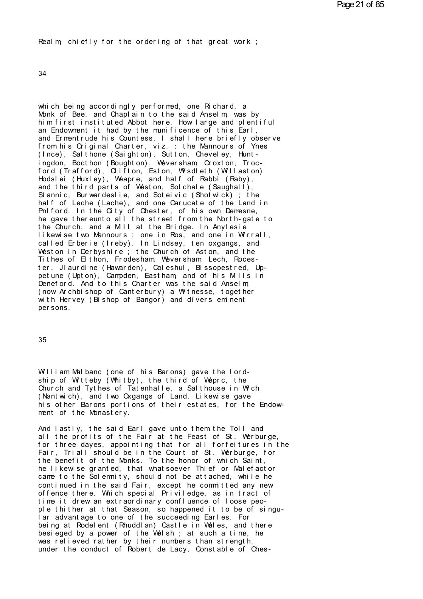Real m chiefly for the ordering of that great work;

34

which being accordingly performed, one Richard, a Monk of Bee, and Chapl ain to the said Anselm, was by him first instituted Abbot here. How large and plentiful an Endowment it had by the munificence of this Earl, and Ermentrude his Countess, I shall here briefly observe from his Original Charter, viz. : the Mannours of Ynes (Ince), Salthone (Saighton), Sutton, Cheveley, Huntingdon, Bocthon (Boughton), Weversham Croxton, Trocford (Trafford), Clifton, Eston, Wisdleth (Willaston) Hodslei (Huxley), Weapre, and half of Rabbi (Raby), and the third parts of Weston, Sol chale (Saughall), Stannic, Burwardeslie, and Soteivic (Shotwick); the<br>half of Leche (Lache), and one Carucate of the Land in Philford. In the City of Chester, of his own Demesne,<br>he gave thereunto all the street from the North-gate to the Church, and a MII at the Bridge. In Anylesie likewise two Mannours; one in Ros, and one in Wirrall,<br>called Erberie (Ireby). In Lindsey, ten oxgangs, and<br>Weston in Derbyshire; the Church of Aston, and the Tithes of Elthon, Frodesham, Weversham, Lech, Rocester, Jl aurdine (Hawarden), Coleshul, Bissopestred, Uppet une (Upt on), Campden, East ham, and of his Mils in Deneford. And to this Charter was the said Anselm, (now Archbishop of Canterbury) a Witnesse, together with Hervey (Bishop of Bangor) and divers eminent per sons.

35

William Malbanc (one of his Barons) gave the lordship of Witteby (Whitby), the third of Weprc, the Church and Tythes of Tatenhalle, a Salthouse in Wich (Nant wich), and two Oxgangs of Land. Likewise gave his other Barons portions of their estates, for the Endowment of the Monastery.

And lastly, the said Earl gave unto them the Toll and all the profits of the Fair at the Feast of St. Werburge, for three dayes, appointing that for all forfeitures in the Fair, Triall should be in the Court of St. Werburge, for the benefit of the Monks. To the honor of which Saint, he likewise granted, that what soever Thief or Malefactor came to the Solemnity, should not be attached, while he continued in the said Fair, except he committed any new offence there. Which special Priviledge, as in tract of time it drew an extraordinary confluence of loose people thither at that Season, so happened it to be of singular advantage to one of the succeeding Earles. For being at Rodelent (Rhuddlan) Castle in Wales, and there besieged by a power of the Welsh; at such a time, he was relieved rather by their numbers than strength. under the conduct of Robert de Lacy, Constable of Ches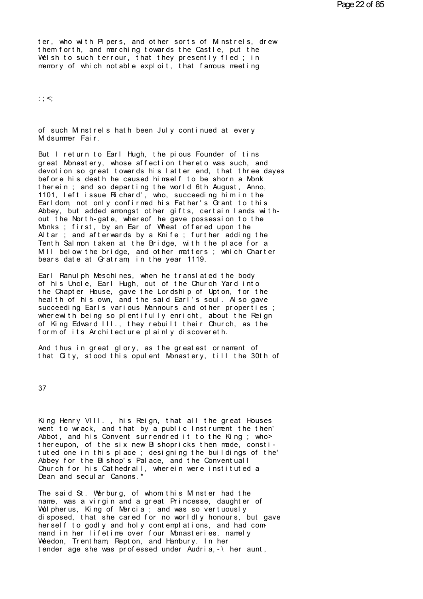ter, who with Pipers, and other sorts of M nstrels, drew them forth, and marching towards the Castle, put the Welsh to such terrour, that they presently fled; in memory of which notable exploit, that famous meeting

 $: ; <;$ 

of such M nstrels hath been July continued at every M dsummer Fair.

But I return to Earl Hugh, the pious Founder of tins great Monastery, whose affection thereto was such, and devotion so great towards his latter end, that three dayes before his death he caused himself to be shorn a Monk therein; and so departing the world 6th August, Anno, 1101, left issue Richard', who, succeeding himin the Earldom, not only confirmed his Father's Grant to this Abbey, but added amongst other gifts, certain lands without the North-gate, whereof he gave possession to the Monks; first, by an Ear of Wheat offered upon the Altar; and afterwards by a Knife; further adding the Tenth Salmon taken at the Bridge, with the place for a<br>MII below the bridge, and other matters; which Charter bears date at Gratram in the year 1119.

Earl Ranulph Meschines, when he translated the body of his Uncle, Earl Hugh, out of the Church Yard into the Chapter House, gave the Lordship of Upton, for the heal th of his own, and the said Earl's soul. Also gave succeeding Earls various Mannours and other properties; wherewith being so plentifully enricht, about the Reign of King Edward III., they rebuilt their Church, as the form of its Architecture plainly discovereth.

And thus in great glory, as the greatest ornament of that City, stood this opulent Monastery, till the 30th of

37

King Henry VIII., his Reign, that all the great Houses went to wrack, and that by a public Instrument the then' Abbot, and his Convent surrendred it to the King; who > thereupon, of the six new Bishopricks then made, constituted one in this place; designing the buildings of the' Abbey for the Bishop's Palace, and the Conventuall Church for his Cathedrall, wherein were instituted a Dean and secul ar Canons. \*

The said St. Werburg, of whom this M nster had the name, was a virgin and a great Princesse, daughter of Wulpherus, King of Mercia; and was so vertuously disposed, that she cared for no worldly honours, but gave her self to godly and holy contemplations, and had command in her lifetime over four Monasteries, namely Weedon. Trentham Repton, and Hambury. In her tender age she was professed under Audria, -\ her aunt,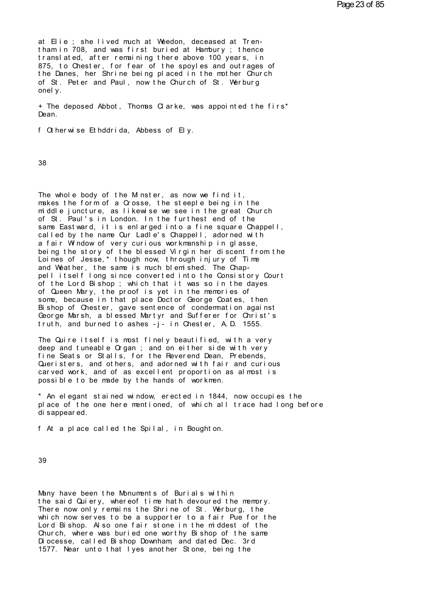at Elie ; she lived much at Weedon, deceased at Tren-<br>tham in 708, and was first buried at Hambury ; thence at Elie ; she lived much at Weedon, deceased at Tren-<br>tham in 708, and was first buried at Hambury ; thence<br>translated, after remaining there above 100 years, in<br>875, to Chester for fear of the spoyles and outrages of at Elie ; she lived much at Weedon, deceased at Tren-<br>tham in 708, and was first buried at Hambury ; thence<br>translated, after remaining there above 100 years, in<br>875, to Chester, for fear of the spoyles and outrages of<br>the at Elie ; she lived much at Weedon, deceased at Tren-<br>tham in 708, and was first buried at Hambury ; thence<br>translated, after remaining there above 100 years, in<br>875, to Chester, for fear of the spoyles and outrages of<br>the at Elie ; she lived much at Weedon, deceased at Tren-<br>tham in 708, and was first buried at Hambury ; thence<br>translated, after remaining there above 100 years, in<br>875, to Chester, for fear of the spoyles and outrages of<br>the at Elle; she lived much at Weedon, deceased at Iren-<br>tham in 708, and was first buried at Hambury; thence<br>translated, after remaining there above 100 years, in<br>875, to Chester, for fear of the spoyles and outrages of<br>the D tham in 708, and wirranslated, after<br>875, to Chester, f<br>the Danes, her Shr<br>of St. Peter and F<br>onely.<br>+ The denosed Ahho 8/5, to Chester, tor fear of the spoyles and outrages of<br>the Danes, her Shrine being placed in the mother Church<br>of St. Peter and Paul, now the Church of St. Werburg<br>onely.<br>+ The deposed Abbot, Thomas Clarke, was appointed

Dean. onely.<br>+ The deposed Abbot, Thomas Clarke, was appointed<br>Dean.<br>f Otherwise Ethddrida, Abbess of Ely.

38

38<br>The whole body of the Minster, as now we find it,<br>makes the form of a Crosse, the steeple being in the<br>middle iuncture, as likewise we see in the great Church 38<br>The whole body of the Minster, as now we find it,<br>makes the form of a Crosse, the steeple being in the<br>middle juncture, as likewise we see in the great Church<br>of St. Paul's in London, In the furthest end of the The whole body of the Minster, as now we find it,<br>makes the form of a Crosse, the steeple being in the<br>middle juncture, as likewise we see in the great Church<br>of St. Paul's in London. In the furthest end of the<br>same Fastwa The whole body of the Minster, as now we find it,<br>makes the form of a Crosse, the steeple being in the<br>middle juncture, as likewise we see in the great Church<br>of St. Paul's in London. In the furthest end of the<br>same Eastwa The whole body of the Minster, as now we find it,<br>makes the form of a Crosse, the steeple being in the<br>middle juncture, as likewise we see in the great Church<br>of St. Paul's in London. In the furthest end of the<br>same Eastwa The whole body of the Minster, as now we find it,<br>makes the form of a Crosse, the steeple being in the<br>middle juncture, as likewise we see in the great Church<br>of St. Paul's in London. In the furthest end of the<br>same Eastwa middle juncture, as likewise we see in the great Church<br>of St. Paul's in London. In the furthest end of the<br>same Eastward, it is enlarged into a fine square Chappell,<br>called by the name Cur Ladle's Chappell, adorned with<br>a Loines of Jesse,\* though now, through injury of Time of St. Paul's in London. In the furthest end of the<br>same Eastward, it is enlarged into a fine square Chappell,<br>called by the name Cur Ladle's Chappell, adorned with<br>a fair Window of very curious workmanship in glasse,<br>bein same Eastward, it is enlarged into a fine square Chappell,<br>called by the name Cur Ladle's Chappell, adorned with<br>a fair Window of very curious workmanship in glasse,<br>being the story of the blessed Virgin her discent from t a fair Window of very curious workmanship in glasse,<br>being the story of the blessed Virgin her discent from the<br>Loines of Jesse,\* though now, through injury of Time<br>and Weather, the same is much blemished. The Chap-<br>pell i being the story of the blessed Virgin her discent from the<br>Loines of Jesse,\* though now, through injury of Time<br>and Weather, the same is much blemished. The Chap-<br>pell itself long since converted into the Consistory Court<br> Loines of Jesse, \* though now, through injury of Time<br>and Weather, the same is much blemished. The Chap-<br>pell itself long since converted into the Consistory Court<br>of the Lord Bishop ; which that it was so in the dayes<br>of and Weather, the same is much blem shed. The Chap-<br>pell itself long since converted into the Consistory Court<br>of the Lord Bishop ; which that it was so in the dayes<br>of Queen Mary, the proof is yet in the memories of<br>some, pell itselt long since converted into the Consistory Court<br>of the Lord Bishop; which that it was so in the dayes<br>of Queen Mary, the proof is yet in the memories of<br>some, because in that place Doctor George Coates, then<br>Bis of the Lord Bishop; which that it was so in the dayes<br>of Queen Mary, the proof is yet in the memories of<br>some, because in that place Doctor George Coates, then<br>Bishop of Chester, gave sentence of condermation against<br>Georg some, because in that place Doctor George Coates, then<br>Bishop of Chester, gave sentence of condermation against<br>George Marsh, a blessed Martyr and Sufferer for Christ's<br>truth, and burned to ashes -j- in Chester, A.D. 1555.

Bishop of Chester, gave sentence of condemnation against<br>George Marsh, a blessed Martyr and Sufferer for Christ's<br>truth, and burned to ashes -j- in Chester, A.D. 1555.<br>The Quire itself is most finely beautified, with a ver George Warsh, a blessed Wartyr and Sutterer for Christ's<br>truth, and burned to ashes -j- in Chester, A.D. 1555.<br>The Quire itself is most finely beautified, with a very<br>deep and tuneable Organ ; and on either side with very<br> truth, and burned to ashes -j- in Chester, A.D. 1555.<br>The Quire itself is most finely beautified, with a very<br>deep and tuneable Organ ; and on either side with very<br>fine Seats or Stalls, for the Reverend Dean, Prebends,<br>Qu The Quire itself is most finely beautified, with a very deep and tuneable Organ ; and on either side with very fine Seats or Stalls, for the Reverend Dean, Prebends, Queristers, and others, and adorned with fair and curiou The Quire itself is most finely beautified, with a ve<br>deep and tuneable Organ ; and on either side with ver<br>fine Seats or Stalls, for the Reverend Dean, Prebends<br>Queristers, and others, and adorned with fair and cur<br>carved fine Seats or Stalls, for the Reverend Dean, Prebends,<br>Queristers, and others, and adorned with fair and curious<br>carved work, and of as excellent proportion as almost is<br>possible to be made by the hands of workmen.<br>\* An el

Queristers, and others, and adorned with fair and curious<br>carved work, and of as excellent proportion as almost is<br>possible to be made by the hands of workmen.<br>\* An elegant stained window, erected in 1844, now occupies the carved work, and of as excellent proportion as almost is<br>possible to be made by the hands of workmen.<br>\* An elegant stained window, erected in 1844, now occupies the<br>place of the one here mentioned, of which all trace had l \* An elegant stained window, erected in 1844, now occupies the

39

39<br>Many have been the Monuments of Burials within<br>the said Quiery, whereof time hath devoured the memory.<br>There now only remains the Shrine of St. Werburg, the The said Quiery, whereof time hath devoured the memory.<br>The said Quiery, whereof time hath devoured the memory.<br>There now only remains the Shrine of St. Werburg, the<br>which now serves to be a supporter to a fair Pue for the Many have been the Monuments of Burials within<br>the said Quiery, whereof time hath devoured the memory.<br>There now only remains the Shrine of St. Werburg, the<br>which now serves to be a supporter to a fair Pue for the<br>Lord Bis Whany have been the Monuments of Burials within<br>the said Quiery, whereof time hath devoured the memory.<br>There now only remains the Shrine of St. Werburg, the<br>which now serves to be a supporter to a fair Pue for the<br>Lord Bi Many have been the Monuments of Burials within<br>the said Quiery, whereof time hath devoured the memory.<br>There now only remains the Shrine of St. Werburg, the<br>which now serves to be a supporter to a fair Pue for the<br>Lord Bis Many have been the Monuments of Burials within<br>the said Quiery, whereof time hath devoured the memory.<br>There now only remains the Shrine of St. Werburg, the<br>which now serves to be a supporter to a fair Pue for the<br>Lord Bis the said Quiery, whereof time hath devoured the memory.<br>There now only remains the Shrine of St. Werburg, the<br>which now serves to be a supporter to a fair Pue for the<br>Lord Bishop. Also one fair stone in the middest of the<br> There now only remains the Shrine of St. Werburg, the<br>which now serves to be a supporter to a fair Pue for the<br>Lord Bishop. Also one fair stone in the middest of the<br>Church, where was buried one worthy Bishop of the same<br>D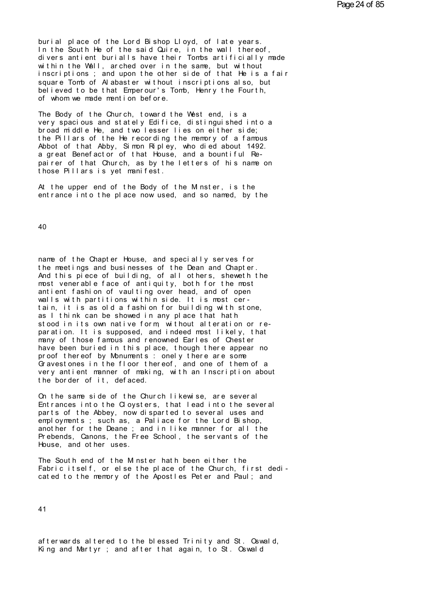burial place of the Lord Bishop Lloyd, of late years.<br>In the South He of the said Quire, in the wall thereof,<br>divers antient burialls have their Tombs artificially mode burial place of the Lord Bishop Lloyd, of late years.<br>In the South He of the said Quire, in the wall thereof,<br>divers antient burialls have their Tombs artificially made<br>within the Well, arched over in the same, but without burial place of the Lord Bishop Lloyd, of late years.<br>In the South He of the said Quire, in the wall thereof,<br>divers antient burialls have their Tombs artificially made<br>within the Wall, arched over in the same, but without burial place of the Lord Bishop Lloyd, of late years.<br>In the South He of the said Quire, in the wall thereof,<br>divers antient burialls have their Tombs artificially made<br>within the Wall, arched over in the same, but without burial place of the Lord Bishop Lloyd, of late years.<br>In the South He of the said Quire, in the wall thereof,<br>divers antient burialls have their Tombs artificially made<br>within the Wall, arched over in the same, but without burial place of the Lord Bishop Lloyd, of late years.<br>In the South He of the said Quire, in the wall thereof,<br>divers antient burialls have their Tombs artificially made<br>within the Wall, arched over in the same, but without In the South He of the said Quire, in the wall thereof,<br>divers antient burialls have their Tombs artificially made<br>within the Wall, arched over in the same, but without<br>inscriptions; and upon the other side of that He is a divers antient burialls have their lombs and thin the Wall, arched over in the same, bunscriptions; and upon the other side of the square Tomb of Alabaster without inscription believed to be that Emperour's Tomb, Henry of rightions; and upon the other side of that He is a fair<br>square Tomb of Alabaster without inscriptions also, but<br>believed to be that Emperour's Tomb, Henry the Fourth,<br>of whom we made mention before.<br>The Body of the Church,

square Tomb of Alabaster without inscriptions also, but<br>believed to be that Emperour's Tomb, Henry the Fourth,<br>of whom we made mention before.<br>The Body of the Church, toward the West end, is a<br>very spacious and stately Edi believed to be that Emperour's Tomb, Henry the Fourth,<br>of whom we made mention before.<br>The Body of the Church, toward the West end, is a<br>very spacious and stately Edifice, distinguished into a<br>broad middle He, and two less of whom we made mention before.<br>The Body of the Church, toward the West end, is a<br>very spacious and stately Edifice, distinguished into a<br>broad middle He, and two lesser lies on either side;<br>the Pillars of the He recording The Body of the Church, toward the West end, is a<br>very spacious and stately Edifice, distinguished into a<br>broad middle He, and two lesser lies on either side;<br>the Pillars of the He recording the memory of a famous<br>Abbot of The Body of the Church, toward the West end, is a<br>very spacious and stately Edifice, distinguished into a<br>broad middle He, and two lesser lies on either side;<br>the Pillars of the He recording the memory of a famous<br>Abbot of broad middle He, and two lesser lies on eit<br>the Pillars of the He recording the memory<br>Abbot of that Abby, Simon Ripley, who died<br>a great Benefactor of that House, and a bou<br>pairer of that Church, as by the letters of<br>thos Abbot of that Abby, Simon Ripley, who died about 1492.<br>a great Benefactor of that House, and a bountiful Re-<br>pairer of that Church, as by the letters of his name on<br>those Pillars is yet manifest.<br>At the upper end of the Bo a great Benefactor of that House, and a bountiful Re-<br>pairer of that Church, as by the letters of his name on<br>those Pillars is yet manifest.<br>At the upper end of the Body of the Minster, is the<br>entrance into the place now u

40

name of the Chapter House, and specially serves for the meetings and businesses of the Dean and Chapter. And this piece of building, of all others, sheweth the name of the Chapter House, and specially serves for<br>the meetings and businesses of the Dean and Chapter.<br>And this piece of building, of all others, sheweth the<br>most venerable face of antiquity, both for the most<br>antient fa mame of the Chapter House, and specially serves for<br>the meetings and businesses of the Dean and Chapter.<br>And this piece of building, of all others, sheweth the<br>most venerable face of antiquity, both for the most<br>antient fa name of the Chapter House, and specially serves for<br>the meetings and businesses of the Dean and Chapter.<br>And this piece of building, of all others, sheweth the<br>most venerable face of antiquity, both for the most<br>antient fa name of the Chapter House, and specially serves for<br>the meetings and businesses of the Dean and Chapter.<br>And this piece of building, of all others, sheweth the<br>most venerable face of antiquity, both for the most<br>antient fa the meetings and businesses of the Dean and Chapter.<br>And this piece of building, of all others, sheweth the<br>most venerable face of antiquity, both for the most<br>antient fashion of vaulting over head, and of open<br>walls with And this piece of building, of all others, sheweth the<br>most venerable face of antiquity, both for the most<br>antient fashion of vaulting over head, and of open<br>walls with partitions within side. It is most cer-<br>tain, it is a most venerable face of antiquity, both for the most<br>antient fashion of vaulting over head, and of open<br>walls with partitions within side. It is most cer-<br>tain, it is as old a fashion for building with stone,<br>as I think can walls with partitions within side. It is most cer-<br>tain, it is as old a fashion for building with stone,<br>as I think can be showed in any place that hath<br>stood in its own native form, without alteration or re-<br>paration. It tain, it is as old a fashion for building with stone,<br>as I think can be showed in any place that hath<br>stood in its own native form, without alteration or re-<br>paration. It is supposed, and indeed most likely, that<br>many of t as I think can be showed in any place that hath<br>stood in its own native form, without alteration or re-<br>paration. It is supposed, and indeed most likely, that<br>many of those famous and renowned Earles of Chester<br>have been b stood in its own native form, without alteration or re-<br>paration. It is supposed, and indeed most likely, that<br>many of those famous and renowned Earles of Chester<br>have been buried in this place, though there appear no<br>proo paration. It is supposed, and indeed most likely, that<br>many of those famous and renowned Earles of Chester<br>have been buried in this place, though there appear no<br>proof thereof by Monuments : onely there are some<br>Gravestone many of those famous and renowned E<br>have been buried in this place, tho<br>proof thereof by Monuments : onely<br>Gravestones in the floor thereof, a<br>very antient manner of making, with<br>the border of it, defaced.<br>On the same side proof thereof by Monuments: onely there are some<br>Gravestones in the floor thereof, and one of them of a<br>very antient manner of making, with an Inscription about<br>the border of it, defaced.<br>On the same side of the Church lik

Gravestones in the floor thereor, and one of them of a<br>very antient manner of making, with an Inscription about<br>the border of it, defaced.<br>On the same side of the Church likewise, are several<br>Entrances into the Cloysters, the border of it, defaced.<br>On the same side of the Church likewise, are several<br>Entrances into the Cloysters, that lead into the several<br>parts of the Abbey, now disparted to several uses and<br>employments ; such as, a Paliac the border of it, defaced.<br>Cn the same side of the Church likewise, are several<br>Entrances into the Cloysters, that lead into the several<br>parts of the Abbey, now disparted to several uses and<br>employments; such as, a Paliace Con the same side of the Church likewise, are several<br>Entrances into the Cloysters, that lead into the several<br>parts of the Abbey, now disparted to several uses and<br>employments; such as, a Paliace for the Lord Bishop,<br>anot Christian Side of the Church Tikewise, are several<br>Entrances into the Cloysters, that lead into the several<br>parts of the Abbey, now disparted to several uses and<br>employments; such as, a Paliace for the Lord Bishop,<br>another Entrances into the Cloysters,<br>parts of the Abbey, now dispar<br>employments ; such as, a Palia<br>another for the Deane ; and in<br>Prebends, Canons, the Free Sch<br>House, and other uses.<br>The South end of the Minster h employments; such as, a Paliace for the Lord Bishop,<br>another for the Deane; and in like manner for all the<br>Prebends, Canons, the Free School, the servants of the<br>House, and other uses.<br>The South end of the Minster hath bee

another for the Deane ; and in like manner for all the<br>Prebends, Canons, the Free School, the servants of the<br>House, and other uses.<br>The South end of the Minster hath been either the<br>Fabric itself, or else the place of the

41

41<br>afterwards altered to the blessed Trinity and St. Oswald,<br>King and Martyr ; and after that again, to St. Oswald afterwards altered to the blessed Trinity and St. Oswald,<br>King and Martyr ; and after that again, to St. Oswald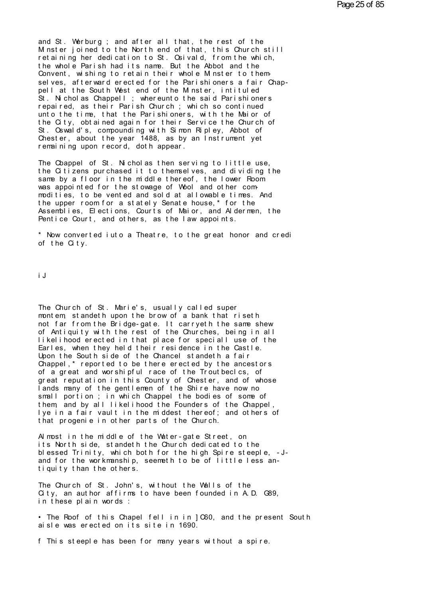and St. Werburg ; and after all that, the rest of the<br>Minster joined to the North end of that, this Church still<br>retaining her dedication to St. Crivald, from the which and St. Werburg; and after all that, the rest of the<br>Minster joined to the North end of that, this Church still<br>retaining her dedication to St. Osivald, from the which,<br>the whole Parish had its name. But the Abbot and the and St. Werburg; and after all that, the rest of the<br>Minster joined to the North end of that, this Church still<br>retaining her dedication to St. Osivald, from the which,<br>the whole Parish had its name. But the Abbot and the<br> and St. Werburg; and after all that, the rest of the<br>Minster joined to the North end of that, this Church still<br>retaining her dedication to St. Osivald, from the which,<br>the whole Parish had its name. But the Abbot and the<br> and St. Werburg; and after all that, the rest of the<br>Minster joined to the North end of that, this Church still<br>retaining her dedication to St. Osivald, from the which,<br>the whole Parish had its name. But the Abbot and the<br> retaining her dedication to St. Osivald, from the which,<br>the whole Parish had its name. But the Abbot and the<br>Convent, wishing to retain their whole Minster to them-<br>selves, afterward erected for the Parishioners a fair Ch the whole Parish had its name. But the Abbot and the<br>Convent, wishing to retain their whole Minster to them-<br>selves, afterward erected for the Parishioners a fair Chap-<br>pell at the South West end of the Minster, intituled<br> Convent, wishing to retain their whole Minster to them<br>selves, afterward erected for the Parishioners a fair Chap-<br>pell at the South West end of the Minster, intituled<br>St. Nicholas Chappell ; whereunto the said Parishioner selves, afterward erected for the Parishioners a fair Chap-<br>pell at the South West end of the Minster, intituled<br>St. Nicholas Chappell ; whereunto the said Parishioners<br>repaired, as their Parish Church ; which so continued pell at the South West end of the Minster, intituled<br>St. Nicholas Chappell ; whereunto the said Parishioners<br>repaired, as their Parish Church ; which so continued<br>unto the time, that the Parishioners, with the Maior of<br>the St. Nicholas Chappell ; whereunto the said Parishioners<br>repaired, as their Parish Church ; which so continued<br>unto the time, that the Parishioners, with the Maior of<br>the City, obtained again for their Service the Church of repaired, as their Parish Church; which so cont<br>unto the time, that the Parishioners, with the Nithe City, obtained again for their Service the C<br>St. Oswald's, compounding with Simon Ripley, Abb<br>Chester, about the year 148 the City, obtained again for their Service the Church of<br>St. Oswald's, compounding with Simon Ripley, Abbot of<br>Chester, about the year 1488, as by an Instrument yet<br>remaining upon record, doth appear.<br>The Cbappel of St. Ni

St. Oswald's, compounding with Simon Ripley, Abbot of<br>Chester, about the year 1488, as by an Instrument yet<br>remaining upon record, doth appear.<br>The Coappel of St. Nicholas then serving to little use,<br>the Citizens purchased Chester, about the year 1488, as by an Instrument yet<br>remaining upon record, doth appear.<br>The Cbappel of St. Nicholas then serving to little use,<br>the Citizens purchased it to themselves, and dividing the<br>same by a floor in remaining upon record, doth appear.<br>The Cbappel of St. Nicholas then serving to little use,<br>the Citizens purchased it to themselves, and dividing the<br>same by a floor in the middle thereof, the lower Room<br>was appointed for The Cbappel of St. Nicholas then serving to little use,<br>the Citizens purchased it to themselves, and dividing the<br>same by a floor in the middle thereof, the lower Room<br>was appointed for the stowage of Wool and other com-<br>m the Citizens purchased it to themselves, and dividing the same by a floor in the middle thereof, the lower Room was appointed for the stowage of Wool and other commodities, to be vented and sold at allowable times. And the same by a floor in the middle thereof, the lower Room<br>was appointed for the stowage of Wool and other com-<br>modities, to be vented and sold at allowable times. And<br>the upper room for a stately Senate house,\* for the<br>Assembl modities, to be vented and sold at allowable times. And<br>the upper room for a stately Senate house,\* for the<br>Assemblies, Elections, Courts of Maior, and Aldermen, the<br>Pentice Court, and others, as the law appoints.<br>\* Now co the upper room for a stately Senate house, \* for the Assemblies, Elections, Courts of Maior, and Aldermen, the Pentice Court, and others, as the law appoints.<br>\* Now converted iuto a Theatre, to the great honor and crediof

 $\hat{ }$  Now converted<br>of the City.<br>iJ

iJ<br>The Church of St. Marie's, usually called super<br>montem, standeth upon the brow of a bank that riseth iJ<br>The Church of St. Marie's, usually called super<br>montem, standeth upon the brow of a bank that riseth<br>not far from the Bridge-gate. It carryeth the same shew<br>of Antiquity with the rest of the Churches, being in all The Church of St. Marie's, usually called super<br>montem, standeth upon the brow of a bank that riseth<br>not far from the Bridge-gate. It carryeth the same shew<br>of Antiquity with the rest of the Churches, being in all<br>likeliho The Church of St. Marie's, usually called super<br>montem, standeth upon the brow of a bank that riseth<br>not far from the Bridge-gate. It carryeth the same shew<br>of Antiquity with the rest of the Churches, being in all<br>likeliho The Church of St. Marie's, usually called super<br>montem, standeth upon the brow of a bank that riseth<br>not far from the Bridge-gate. It carryeth the same shew<br>of Antiquity with the rest of the Churches, being in all<br>likeliho The Church of St. Marie's, usually called super<br>montem, standeth upon the brow of a bank that riseth<br>not far from the Bridge-gate. It carryeth the same shew<br>of Antiquity with the rest of the Churches, being in all<br>likeliho montem, standeth upon the brow of a bank that riseth<br>not far from the Bridge-gate. It carryeth the same shew<br>of Antiquity with the rest of the Churches, being in all<br>likelihood erected in that place for speciall use of the not far from the Bridge-gate. It carryeth the same shew<br>of Antiquity with the rest of the Churches, being in all<br>likelihood erected in that place for speciall use of the<br>Earles, when they held their residence in the Castle of Antiquity with the rest of the Churches, being in all<br>likelihood erected in that place for speciall use of the<br>Earles, when they held their residence in the Castle.<br>Upon the South side of the Chancel standeth a fair<br>Cha likelihood erected in that place for speciall use of the<br>Earles, when they held their residence in the Castle.<br>Upon the South side of the Chancel standeth a fair<br>Chappel,\* reported to be there erected by the ancestors<br>of a Learles, when they held their residence in the Castle.<br>Upon the South side of the Chancel standeth a fair<br>Chappel,\* reported to be there erected by the ancestors<br>of a great and worshipful race of the Troutbecles, of<br>great Upon the South side of the Chancel standeth a fair<br>Chappel,\* reported to be there erected by the ancestors<br>of a great and worshipful race of the Troutbecles, of<br>great reputation in this County of Chester, and of whose<br>land Chappel, "reported to be there erected by the ancestors<br>of a great and worshipful race of the Troutbeclcs, of<br>great reputation in this County of Chester, and of whose<br>lands many of the gentlemen of the Shire have now no<br>sm or a great and worshipful race of the Iroutbecics, of<br>great reputation in this County of Chester, and of whose<br>lands many of the gentlemen of the Shire have now no<br>small portion ; in which Chappel the bodies of some of<br>the great reputation in this County of Chester, and of who<br>lands many of the gentlemen of the Shire have now no<br>small portion ; in which Chappel the bodies of some of<br>them, and by all likelihood the Founders of the Chappe<br>lye small portion; in which Chappel the bodies of some of<br>them, and by all likelihood the Founders of the Chappel,<br>lye in a fair vault in the middest thereof; and others of<br>that progenie in other parts of the Church.<br>Almost in

them, and by all likelihood the Founders of the Chappel,<br>lye in a fair vault in the middest thereof; and others of<br>that progenie in other parts of the Church.<br>Almost in the middle of the Water-gate Street, on<br>its North sid lye in a fair vault in the middest thereof; and others of<br>that progenie in other parts of the Church.<br>Almost in the middle of the Water-gate Street, on<br>its North side, standeth the Church dedicated to the<br>blessed Trinity, Almost in the middle of the Water-gatts North side, standeth the Church<br>blessed Trinity, which both for the<br>and for the workmanship, seemeth to<br>tiquity than the others.<br>The Church of Stellebels without the rts North side, standeth the Church dedicated to the<br>blessed Trinity, which both for the high Spire steeple, -J-<br>and for the workmanship, seemeth to be of little less an-<br>tiquity than the others.<br>The Church of St. John's,

blessed Irinity, which both for the high Spire steeple, -J-<br>and for the workmanship, seemeth to be of little less an-<br>tiquity than the others.<br>The Church of St. John's, without the Walls of the<br>City, an author affirms to h and for the workmanship, seemeth<br>tiquity than the others.<br>The Church of St. John's, withou<br>City, an author affirms to have<br>in these plain words :<br>• The Poof of this Chanel fell is The Church of St. John's, without the Walls of the<br>City, an author affirms to have been founded in A.D. G89,<br>in these plain words :<br>• The Roof of this Chapel fell in in ]C60, and the present South<br>aisle was erected on its The Church of St. John's, without the Walls of<br>City, an author affirms to have been founded<br>in these plain words :<br>• The Roof of this Chapel fell in in ]C60, an<br>aisle was erected on its site in 1690.<br>• This steeple has bee

in these plain words :<br>• The Roof of this Chapel fell in in ]C60, and the present South<br>aisle was erected on its site in 1690.<br>f This steeple has been for many years without a spire.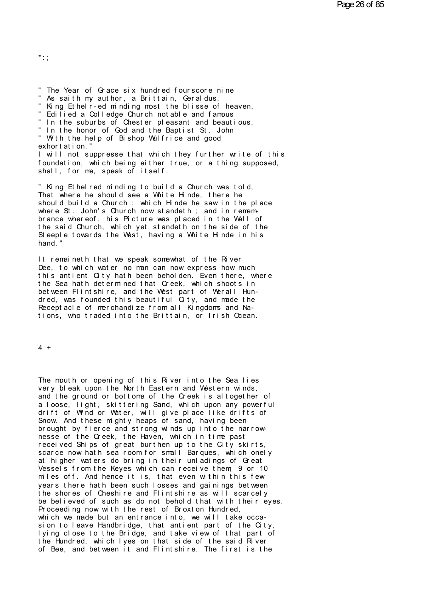$*$  :

" The Year of Grace six hundred fourscore nine " As saith my author, a Brittain, Geraldus, " King Ethelr-ed minding most the blisse of heaven, " Edilied a Colledge Church not able and famous " In the suburbs of Chester pleasant and beautious, " In the honor of God and the Baptist St. John " With the help of Bishop Wulfrice and good exhort at i on. " I will not suppresse that which they further write of this foundation, which being either true, or a thing supposed, shall, for me, speak of itself.

" King Ethelred minding to build a Church was told, That where he should see a White Hinde, there he should build a Church ; which Hinde he saw in the place where St. John's Church now standeth; and in remem-<br>brance whereof, his Picture was placed in the Wall of the said Church, which yet standeth on the side of the Steeple towards the West, having a White Hinde in his hand."

It remaineth that we speak somewhat of the River Dee, to which water no man can now express how much this antient City hath been beholden. Even there, where the Sea hath determined that Creek, which shoots in between Flintshire, and the West part of Werall Hun-<br>dred, was founded this beautiful City, and made the Recept acle of merchandize from all Kingdoms and Nations, who traded into the Brittain, or Irish Ocean.

 $4 +$ 

The mouth or opening of this River into the Sea lies very bleak upon the North Eastern and Western winds, and the ground or bottome of the Creek is altogether of a loose, light, skittering Sand, which upon any powerful drift of Wind or Water, will give place like drifts of Snow. And these mighty heaps of sand, having been brought by fierce and strong winds up into the narrownesse of the Creek, the Haven, which in time past received Ships of great burthen up to the City skirts, scarce now hath sea room for small Barques, which onely at higher waters do bring in their unladings of Great Vessels from the Keyes which can receive them 9 or 10 miles off. And hence it is, that even within this few years there hath been such losses and gainings between the shores of Cheshire and Flintshire as will scarcely be believed of such as do not behold that with their eves. Proceeding now with the rest of Broxton Hundred, which we made but an entrance into, we will take occasion to leave Handbridge, that antient part of the City, lying close to the Bridge, and take view of that part of the Hundred, which I ves on that side of the said River of Bee, and between it and Flintshire. The first is the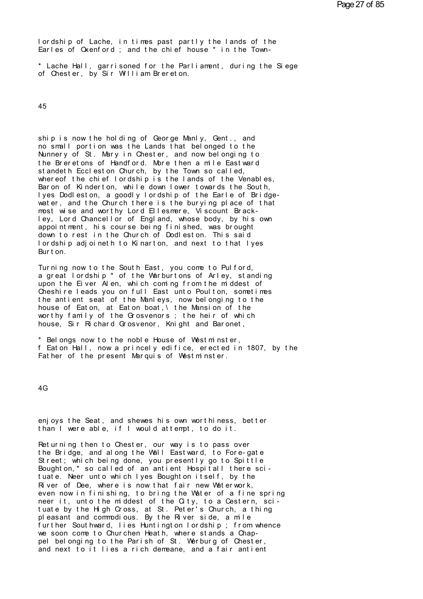lordship of Lache, in times past partly the lands of the Earles of Oxenford; and the chief house \* in the Town-

\* Lache Hall, garrisoned for the Parliament, during the Siege of Chester, by Sir William Brereton.

45

ship is now the holding of George Manly, Gent., and no small portion was the Lands that belonged to the Nunnery of St. Mary in Chester, and now belonging to the Breretons of Handford. More then a mile Eastward standeth Eccleston Church, by the Town so called, whereof the chief lordship is the lands of the Venables. Baron of Kinderton, while down lower towards the South, lyes Dodleston, a goodly lordship of the Earle of Bridgewater, and the Church there is the burying place of that most wise and worthy Lord Ellesmere, Viscount Brackley, Lord Chancell or of England, whose body, by his own appointment, his course being finished, was brought<br>down to rest in the Church of Dodleston. This said lordship adjoineth to Kinarton, and next to that lyes Burt on.

Turning now to the South East, you come to Pulford, a great lordship \* of the Warburtons of Arley, standing upon the Eiver Alen, which coming from the middest of Cheshire leads you on full East unto Poulton, sometimes the antient seat of the Manleys, now belonging to the house of Eaton, at Eaton boat, \ the Mansion of the worthy family of the Grosvenors; the heir of which house. Sir Richard Grosvenor, Knight and Baronet.

\* Belongs now to the noble House of Westminster, f Eaton Hall, now a princely edifice, erected in 1807, by the Father of the present Marquis of Westminster.

 $4G$ 

enjoys the Seat, and shewes his own worthiness, better than I were able, if I would attempt, to do it.

Returning then to Chester, our way is to pass over the Bridge, and along the Wall Eastward, to Fore-gate Street; which being done, you presently go to Spittle Boughton,\* so called of an antient Hospitall there scituate. Neer unto which lyes Boughton itself, by the River of Dee, where is now that fair new Waterwork. even now in finishing, to bring the Water of a fine spring neer it, unto the middest of the City, to a Cestern, scituate by the High Cross, at St. Peter's Church, a thing pleasant and commodious. By the River side, a mile further Southward, lies Huntington lordship; from whence we soon come to Churchen Heath, where stands a Chappel belonging to the Parish of St. Werburg of Chester, and next to it lies a rich demeane, and a fair antient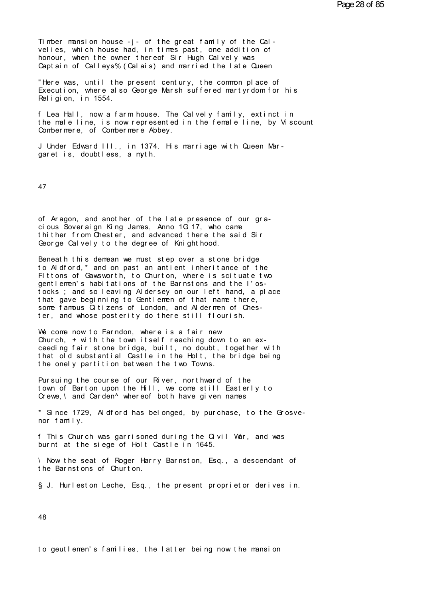Timber mansion house -  $i$  - of the great family of the Calvelies, which house had, in times past, one addition of honour, when the owner thereof Sir Hugh Calvely was Captain of Calleys% (Calais) and married the late Queen

"Here was, until the present century, the common place of Execution, where also George Marsh suffered martyrdom for his Religion, in 1554.

f Lea Hall, now a farm house. The Calvely family, extinct in the male line, is now represented in the female line, by Viscount Combermere, of Combermere Abbey.

J Under Edward III., in 1374. His marriage with Queen Margaret is, doubtless, a myth.

47

of Aragon, and another of the late presence of our graci ous Sover ai gn King James, Anno 1G 17, who came thither from Chester, and advanced there the said Sir George Calvely to the degree of Knighthood.

Beneath this demean we must step over a stone bridge to Aldford,\* and on past an antient inheritance of the Fittons of Gawsworth, to Churton, where is scituate two gentlemen's habitations of the Barnstons and the I'ostocks; and so leaving Aldersey on our left hand, a place that gave beginning to Gentlemen of that name there, some famous Citizens of London, and Aldermen of Chester, and whose posterity do there still flourish.

We come now to Farndon, where is a fair new Church, + with the town itself reaching down to an exceeding fair stone bridge, built, no doubt, together with that old substantial Castle in the Holt, the bridge being the onely partition between the two Towns.

Pursuing the course of our River, northward of the town of Barton upon the Hill, we come still Easterly to Crewe, \ and Carden^ whereof both have given names

\* Since 1729, Aldford has belonged, by purchase, to the Grosvenor family.

f This Church was garrisoned during the Civil War, and was burnt at the siege of Holt Castle in 1645.

\ Now the seat of Roger Harry Barnston, Esq., a descendant of the Barnstons of Churton.

§ J. Hurleston Leche, Esq., the present proprietor derives in.

48

to geutlemen's families, the latter being now the mansion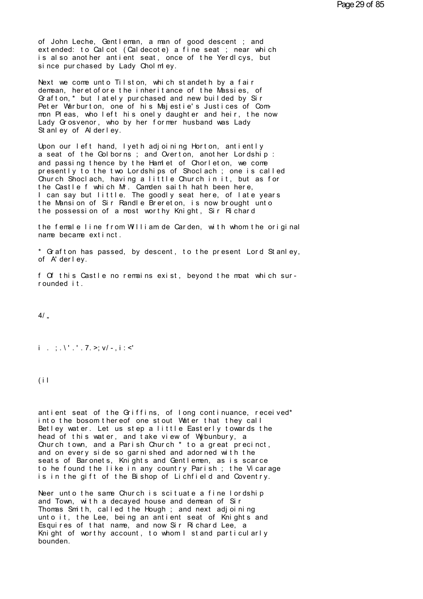of John Leche, Gentleman, a man of good descent; and extended: to Calcot (Caldecote) a fine seat ; near which is also another antient seat, once of the Yerdlcys, but si nce pur chased by Lady Chol m ey.

Next we come unto Tilston, which standeth by a fair demean, heret of ore the inheritance of the Massies, of Grafton,\* but lately purchased and new builded by Sir Peter Warburton, one of his Majestie's Justices of Common Pleas, who left his onely daughter and heir, the now Lady Grosvenor, who by her former husband was Lady Stanley of Alderley.

Upon our left hand, lyeth adjoining Horton, antiently a seat of the Golborns; and Overton, another Lordship: and passing thence by the Hamlet of Chorleton, we come presently to the two Lordships of Shoclach; one is called Church Shoclach, having a little Church in it, but as for the Castle f which M. Camden saith hat h been here,<br>I can say but little. The goodly seat here, of late years the Mansion of Sir Randle Brereton, is now brought unto the possession of a most worthy Knight, Sir Richard

the female line from William de Carden, with whom the original name became extinct.

\* Grafton has passed, by descent, to the present Lord Stanley, of A' derley.

f Of this Castle no remains exist, beyond the moat which surrounded it.

 $4/$ 

# $i$ , ; \',', 7, >; v/ -, i : <'

 $(i)$ 

antient seat of the Griffins, of long continuance, received\* into the bosom thereof one stout Water that they call Betley water. Let us step a little Easterly towards the head of this water, and take view of Wybunbury, a Church town, and a Parish Church \* to a great precinct, and on every side so garnished and adorned with the seats of Baronets, Knights and Gentlemen, as is scarce to he found the like in any country Parish; the Vicarage is in the gift of the Bishop of Lichfield and Coventry.

Neer unto the same Church is scituate a fine lordship and Town, with a decaved house and demean of Sir Thomas Smith, called the Hough; and next adjoining unto it, the Lee, being an antient seat of Knights and Esquires of that name, and now Sir Richard Lee, a Knight of worthy account, to whom I stand particularly bounden.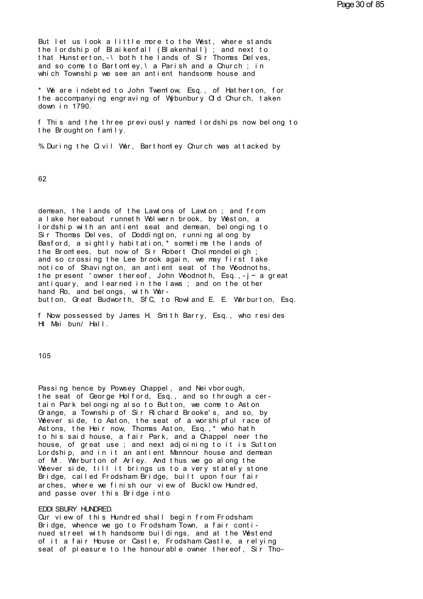But let us look a little more to the West, where stands the lordship of Blaikenfall (Blakenhall) ; and next to that Hunsterton, -\ both the lands of Sir Thomas Delves, and so come to Bartomley, \ a Parish and a Church; in which Township we see an antient handsome house and

\* We are indebted to John Twemlow, Esq., of Hatherton, for the accompanying engraving of Wybunbury Old Church, taken down in 1790.

f This and the three previously named lordships now belong to the Brought on family.

% During the Civil War, Barthomley Church was attacked by

62

demean, the lands of the Lawtons of Lawton; and from a lake hereabout runneth Wolwern brook, by Weston, a lordship with an antient seat and demean, belonging to Sir Thomas Delves, of Doddington, running along by Basford, a sightly habitation,\* sometime the lands of the Bromlees, but now of Sir Robert Cholmondeleigh; and so crossing the Lee brook again, we may first take notice of Shavington, an antient seat of the Woodnoths, the present 'owner thereof, John Woodnoth, Esq.,- $j \sim a$  great antiquary, and learned in the laws; and on the other hand Ro, and belongs, with Warbutton, Great Budworth, SfC, to Rowland E. E. Warburton, Esq.

f Now possessed by James H. Smith Barry, Esq., who resides Ht Mai bun/ Hall.

 $105$ 

Passing hence by Powsey Chappel, and Neivborough, the seat of George Holford, Esq., and so through a certain Park belonging also to Button, we come to Aston Grange, a Township of Sir Richard Brooke's, and so, by Weever side, to Aston, the seat of a worshipful race of Astons, the Heir now, Thomas Aston, Esq.,\* who hath to his said house, a fair Park, and a Chappel neer the house, of great use; and next adjoining to it is Sutton Lordship, and in it an antient Mannour house and demean of M. Warburton of Arley. And thus we go along the Weever side, till it brings us to a very stately stone Bridge, called Frodsham Bridge, built upon four fair arches. where we finish our view of Bucklow Hundred. and passe over this Bridge into

### EDDI SBURY HUNDRED.

Our view of this Hundred shall begin from Frodsham Bridge, whence we go to Frodsham Town, a fair continued street with handsome buildings, and at the Westend of it a fair House or Castle. Frodsham Castle, a relying seat of pleasure to the honourable owner thereof. Sir Tho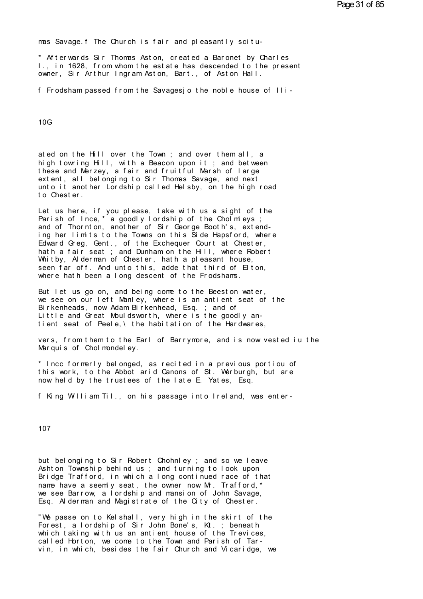mas Savage. f The Church is fair and pleasantly scitu-

\* Afterwards Sir Thomas Aston, created a Baronet by Charles 1., in 1628, from whom the estate has descended to the present owner, Sir Arthur Ingram Aston, Bart., of Aston Hall.

f Frodsham passed from the Savagesjo the noble house of Ili-

 $10G$ 

ated on the Hill over the Town; and over them all, a high towring Hill, with a Beacon upon it; and between these and Merzey, a fair and fruitful Marsh of large ext ent, all belonging to Sir Thomas Savage, and next unto it another Lordship called Helsby, on the high road to Chester.

Let us here, if you please, take with us a sight of the Parish of Ince,\* a goodly lordship of the Cholmleys;<br>and of Thornton, another of Sir George Booth's, extending her limits to the Towns on this Side Hapsford, where Edward Greg, Gent., of the Exchequer Court at Chester,<br>hath a fair seat ; and Dunham on the Hill, where Robert Whitby, Alderman of Chester, hath a pleasant house,<br>seen far off. And unto this, adde that third of Elton, where hath been a long descent of the Frodshams.

But let us go on, and being come to the Beeston water, we see on our left Manley, where is an antient seat of the Birkenheads, now Adam Birkenhead, Esq.; and of Little and Great Mouldsworth, where is the goodly antient seat of Peele, \ the habitation of the Hardwares,

vers, from them to the Earl of Barrymore, and is now vested iu the Marquis of Chol mondel ey.

\* Incc formerly belonged, as recited in a previous portiou of this work, to the Abbot arid Canons of St. Werburgh, but are now held by the trustees of the late E. Yates, Esq.

f King William Til., on his passage into Ireland, was enter-

107

but belonging to Sir Robert Chohnley; and so we leave Ashton Township behind us; and turning to look upon Bridge Trafford, in which a long continued race of that name have a seem v seat, the owner now M. Trafford. \* we see Barrow, a lordship and mansion of John Savage, Esq. Al derman and Magistrate of the City of Chester.

"We passe on to Kelshall, very high in the skirt of the Forest, a lordship of Sir John Bone's, Kt.; beneath which taking with us an antient house of the Trevices, called Horton, we come to the Town and Parish of Tarvin, in which, besides the fair Church and Vicaridge, we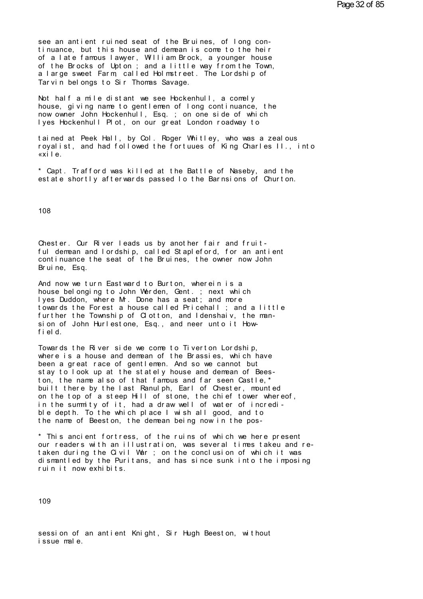see an antient ruined seat of the Bruines, of long continuance, but this house and demean is come to the heir see an antient ruined seat of the Bruines, of long continuance, but this house and demean is come to the heir<br>of a late famous lawyer, William Brock, a younger house<br>of the Brocks of Unton : and a little way from the Town see an antient ruined seat of the Bruines, of long continuance, but this house and demean is come to the heir<br>of a late famous lawyer, William Brock, a younger house<br>of the Brocks of Upton ; and a little way from the Town, see an antient ruined seat of the Bruines, of long continuance, but this house and demean is come to the heir<br>of a late famous lawyer, William Brock, a younger house<br>of the Brocks of Upton ; and a little way from the Town, see an antient ruined seat of the Bruines, of long continuance, but this house and demean is come to the heir<br>of a late famous lawyer, William Brock, a younger house<br>of the Brocks of Upton ; and a little way from the Town, see an antient ruined seat of the Bruin<br>tinuance, but this house and demean is<br>of a late famous lawyer, William Brock,<br>of the Brocks of Upton ; and a little w<br>a large sweet Farm, called Holmstreet.<br>Tarvin belongs to Sir Th of the Brocks of Upton ; and a little way from the Town,<br>a large sweet Farm, called Holmstreet. The Lordship of<br>Tarvin belongs to Sir Thomas Savage.<br>Not half a mile distant we see Hockenhull, a comely<br>house, giving name to

of the Brocks of Upton; and a little way from the lown,<br>a large sweet Farm, called Holmstreet. The Lordship of<br>Tarvin belongs to Sir Thomas Savage.<br>Not half a mile distant we see Hockenhull, a comely<br>house, giving name to a large sweet Farm, called Holmstreet. The Lordship of<br>Tarvin belongs to Sir Thomas Savage.<br>Not half a mile distant we see Hockenhull, a comely<br>house, giving name to gentlemen of long continuance, the<br>now owner John Hocken Tarvin belongs to Sir Thomas Savage.<br>Not half a mile distant we see Hockenhull, a comely<br>house, giving name to gentlemen of long continuance, the<br>now owner John Hockenhull, Esq. ; on one side of which<br>lyes Hockenhull Plot, lyes Hockenhull Plot, on our great London roadway to

tained at Peek Hall, by Col. Roger Whitley, who was a zealous<br>royalist, and had followed the fortuues of King Charles II., into<br>«xile house, giving name to gentlemen of long continuance, the<br>now owner John Hockenhull, Esq. ; on one side of which<br>lyes Hockenhull Plot, on our great London roadway to<br>tained at Peek Hall, by Col. Roger Whitley, who was a zea tained at Peek Hall, by Col. Roger Whitley, who was a zealous<br>royalist, and had followed the fortuues of King Charles II., into<br>«xile.<br>\* Capt. Trafford was killed at the Battle of Naseby, and the<br>estate shortly afterwards tained at Peek Hall, by Col. Roger Whitley, who was a zealous<br>royalist, and had followed the fortuues of King Charles II., into<br>«xile.<br>\* Capt. Trafford was killed at the Battle of Naseby, and the<br>estate shortly afterwards

108

108<br>Chester. Our River leads us by another fair and fruit-<br>ful demean and lordship, called Stapleford, for an antient<br>continuance the seat of the Bruines, the owner now John The metallies of the Microsomore of the State of the State of the State of the State of the State of the State of the Microsomore Peruine For d, for an antient Require For an antient Require For the seat of the Bruines, th Chester. Our River leads us by another fair and fruit-<br>ful demean and lordship, called Stapleford, for an antient<br>continuance the seat of the Bruines, the owner now John<br>Bruine, Esq. Chester. Our River leful demean and lordsh<br>continuance the seat<br>Bruine, Esq.<br>And now we turn Eastw Chester. Our River leads us by another fair and fruit-<br>ful demean and lordship, called Stapleford, for an antient<br>continuance the seat of the Bruines, the owner now John<br>Bruine, Esq.<br>And now we turn Eastward to Burton, whe

ful demean and lordship, called Stapleford, for an antient<br>continuance the seat of the Bruines, the owner now John<br>Bruine, Esq.<br>And now we turn Eastward to Burton, wherein is a<br>house belonging to John Werden, Gent. ; next continuance the seat of the Bruines, the owner now John<br>Bruine, Esq.<br>And now we turn Eastward to Burton, wherein is a<br>house belonging to John Werden, Gent. ; next which<br>lyes Duddon, where Mr. Done has a seat; and more<br>towa Bruine, Esq.<br>And now we turn Eastward to Burton, wherein is a<br>house belonging to John Werden, Gent. ; next which<br>lyes Duddon, where Mr. Done has a seat; and more<br>towards the Forest a house called Pricehall ; and a little<br>f And now we turn Eastward to Burton, wherein is a<br>house belonging to John Werden, Gent. ; next which<br>lyes Duddon, where Mr. Done has a seat; and more<br>towards the Forest a house called Pricehall ; and a little<br>further the To house belonging to<br>lyes Duddon, where<br>towards the Forest<br>further the Townsh<br>sion of John Hurle<br>field.<br>Towards the Biver towards the Forest a house called Pricehall; and a little further the Township of Clotton, and Idenshaiv, the mansion of John Hurlestone, Esq., and neer unto it How-<br>field.<br>Towards the River side we come to Tiverton Lordsh

rurther the lownship of Clotton, and Idenshaiv, the mansion of John Hurlestone, Esq., and neer unto it How-<br>field.<br>Towards the River side we come to Tiverton Lordship,<br>where is a house and demean of the Brassies, which hav sion of John Hurlestone, Esq., and neer unto it How-<br>field.<br>Towards the River side we come to Tiverton Lordship,<br>where is a house and demean of the Brassies, which have<br>been a great race of gentlemen. And so we cannot but<br> field.<br>Towards the River side we come to Tiverton Lordship,<br>where is a house and demean of the Brassies, which have<br>been a great race of gentlemen. And so we cannot but<br>stay to look up at the stately house and demean of Be Towards the River side we come to Tiverton Lordship,<br>where is a house and demean of the Brassies, which have<br>been a great race of gentlemen. And so we cannot but<br>stay to look up at the stately house and demean of Bees-<br>ton lowards the River side we come to liverton Lordship,<br>where is a house and demean of the Brassies, which have<br>been a great race of gentlemen. And so we cannot but<br>stay to look up at the stately house and demean of Bees-<br>ton where is a house and demean of the Brassies, which have<br>been a great race of gentlemen. And so we cannot but<br>stay to look up at the stately house and demean of Bees-<br>ton, the name also of that famous and far seen Castle,\*<br> stay to look up at the stately house and demean of Beeston, the name also of that famous and far seen Castle,\*<br>built there by the last Ranulph, Earl of Chester, mounted<br>on the top of a steep Hill of stone, the chief tower ton, the name also of that famous and far seen Castle,^<br>built there by the last Ranulph, Earl of Chester, mounted<br>on the top of a steep Hill of stone, the chief tower whereof,<br>in the summity of it, had a draw well of water

in the summity of it, had a draw well of water of incredi-<br>ble depth. To the which place I wish all good, and to<br>the name of Beeston, the demean being now in the pos-<br>\* This ancient fortress, of the ruins of which we here ble depth. Io the which place I wish all good, and to<br>the name of Beeston, the demean being now in the pos-<br>\* This ancient fortress, of the ruins of which we here present<br>our readers with an illustration, was several times the name of Beeston, the demean being now in the pos-<br>\* This ancient fortress, of the ruins of which we here present<br>our readers with an illustration, was several times takeu and re-<br>taken during the Civil War ; on the con \* This ancient fortress, of the rour readers with an illustration,<br>taken during the Civil War ; on t<br>dismantled by the Puritans, and h<br>ruin it now exhibits.

109

109<br>session of an antient Knight, Sir Hugh Beeston, without<br>issue male. 109<br>session of an antient K<br>issue male.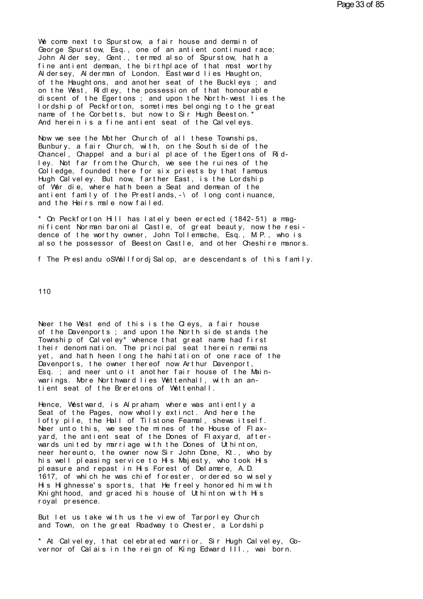We come next to Spurstow, a fair house and demain of George Spurstow, Esq., one of an antient continued race; John Alder sey, Gent., termed also of Spurstow, hath a fine antient demean, the birthplace of that most worthy Al dersey, Al derman of London. East ward lies Haught on, of the Haughtons, and another seat of the Buckleys; and on the West, Ridley, the possession of that honourable discent of the Egertons; and upon the North-west lies the l ordship of Peckforton, sometimes belonging to the great name of the Corbetts, but now to Sir Hugh Beeston.' And herein is a fine antient seat of the Calveleys.

Now we see the Mother Church of all these Townships, Bunbury, a fair Church, with, on the South side of the Chancel, Chappel and a burial place of the Egertons of Ridley. Not far from the Church, we see the ruines of the Colledge, founded there for six priests by that famous Hugh Calveley. But now, farther East, is the Lordship of War die, where hath been a Seat and demean of the antient family of the Prestlands, -\ of long continuance, and the Heirs male now failed.

\* On Peckforton Hill has lately been erected (1842-51) a magnificent Norman baronial Castle, of great beauty, now the resi-<br>dence of the worthy owner, John Tollemache, Esq., M.P., who is also the possessor of Beeston Castle, and other Cheshire manors.

f The Preslandu o SWall for di Salop, are descendants of this family.

110

Neer the West end of this is the Cleys, a fair house of the Davenports; and upon the North side stands the Township of Calveley\* whence that great name had first<br>their denomination. The principal seat therein remains yet, and hath heen long the hahitation of one race of the Davenports, the owner thereof now Arthur Davenport, Esq. ; and neer unto it another fair house of the Mainwarings. More Northward lies Wettenhall, with an antient seat of the Breretons of Wettenhall.

Hence, Westward, is Alpraham, where was antiently a Seat of the Pages, now wholly extinct. And here the lofty pile, the Hall of Tilstone Feamal, shews itself. Neer unto this, we see the mines of the House of Flaxyard, the antient seat of the Dones of Flaxyard, afterwards united by marriage with the Dones of Uthinton, neer hereunto, the owner now Sir John Done, Kt., who by his well pleasing service to His Majesty, who took His pleasure and repast in His Forest of Delamere, A.D. 1617, of which he was chief forester, ordered so wisely His Highnesse's sports, that He freely honored him with Knighthood, and graced his house of Uthinton with His royal presence.

But let us take with us the view of Tarporley Church and Town, on the great Roadway to Chester, a Lordship

\* At Calveley, that celebrated warrior. Sir Hugh Calveley, Governor of Calais in the reign of King Edward III., wai born.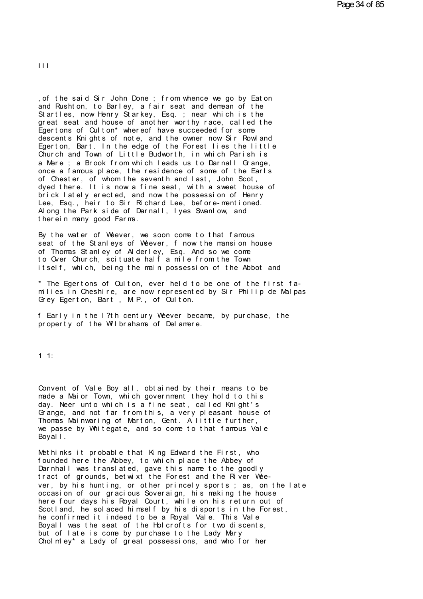$\mathbf{m}$ 

%, of the said Sir John Done ; from whence we go by Eaton<br>and Rushton, to Barley, a fair seat and demean of the Startles, now Henry Starkey, Esq.; near which is the of the said Sir John Done ; from whence we go by Eaton<br>and Rushton, to Barley, a fair seat and demean of the<br>Startles, now Henry Starkey, Esq. ; near which is the<br>great seat and house of another worthy race, called the<br>Ege of the said Sir John Done; from whence we go by Eaton<br>and Rushton, to Barley, a fair seat and demean of the<br>Startles, now Henry Starkey, Esq.; near which is the<br>great seat and house of another worthy race, called the<br>Egert , of the said Sir John Done; from whence we go by Eaton<br>and Rushton, to Barley, a fair seat and demean of the<br>Startles, now Henry Starkey, Esq.; near which is the<br>great seat and house of another worthy race, called the<br>Ege , of the said Sir John Done ; from whence we go by Eaton<br>and Rushton, to Barley, a fair seat and demean of the<br>Startles, now Henry Starkey, Esq. ; near which is the<br>great seat and house of another worthy race, called the<br>E and Rushton, to Barley, a fair seat and demean of the<br>Startles, now Henry Starkey, Esq.; near which is the<br>great seat and house of another worthy race, called the<br>Egertons of Oulton\* whereof have succeeded for some<br>descent Startles, now Henry Starkey, Esq.; near which is the<br>great seat and house of another worthy race, called the<br>Egertons of Oulton\* whereof have succeeded for some<br>descents Knights of note, and the owner now Sir Rowland<br>Egert great seat and house of another worthy race, called the<br>Egertons of Culton\* whereof have succeeded for some<br>descents Knights of note, and the owner now Sir Rowland<br>Egerton, Bart. In the edge of the Forest lies the little<br>C Egertons of Culton\* whereof have succeeded for some<br>descents Knights of note, and the owner now Sir Rowland<br>Egerton, Bart. In the edge of the Forest lies the little<br>Church and Town of Little Budworth, in which Parish is<br>a descents Knights of note, and the owner now Sir Rowland<br>Egerton, Bart. In the edge of the Forest lies the little<br>Church and Town of Little Budworth, in which Parish is<br>a Mere ; a Brook from which leads us to Darnall Grange Egerton, Bart. In the edge of the Forest lies the little<br>Church and Town of Little Budworth, in which Parish is<br>a Mere ; a Brook from which leads us to Darnall Grange,<br>once a famous place, the residence of some of the Earl Church and lown of Little Budworth, in which Parish is<br>a Mere ; a Brook from which leads us to Darnall Grange,<br>once a famous place, the residence of some of the Earls<br>of Chester, of whom the seventh and last, John Scot,<br>dy a Mere ; a Brook from which leads us to Darnall Grange,<br>once a famous place, the residence of some of the Earls<br>of Chester, of whom the seventh and last, John Scot,<br>dyed there. It is now a fine seat, with a sweet house of<br> once a famous place, the residence of some of the Earls of Chester, of whom the seventh and last, John Scot, dyed there. It is now a fine seat, with a sweet house of brick lately erected, and now the possession of Henry Le of Chester, of whom the seventh and<br>dyed there. It is now a fine seat,<br>brick lately erected, and now the p<br>Lee, Esq., heir to Sir Richard Lee,<br>Along the Park side of Darnall, lye<br>therein many good Farms.<br>By the water of We brick lately erected, and now the possession of Henry<br>Lee, Esq., heir to Sir Richard Lee, before-mentioned.<br>Along the Park side of Darnall, lyes Swanlow, and<br>therein many good Farms.<br>By the water of Weever, we soon come to

Lee, Esq., heir to Sir Richard Lee, before-mentioned.<br>Along the Park side of Darnall, lyes Swanlow, and<br>therein many good Farms.<br>By the water of Weever, we soon come to that famous<br>seat of the Stanleys of Weever, f now the Along the Park side of Darnall, lyes Swaniow, and<br>therein many good Farms.<br>By the water of Weever, we soon come to that famous<br>seat of the Stanleys of Weever, f now the mansion house<br>of Thomas Stanley of Alderley, Esq. And therein many good Farms.<br>By the water of Weever, we soon come to that famous<br>seat of the Stanleys of Weever, f now the mansion house<br>of Thomas Stanley of Alderley, Esq. And so we come<br>to Over Church, scituate half a mile f By the water of Weever, we soon come to that famous<br>seat of the Stanleys of Weever, f now the mansion house<br>of Thomas Stanley of Alderley, Esq. And so we come<br>to Over Church, scituate half a mile from the Town<br>itself, whic seat of the Stanleys of Weever, f now the mansion house<br>of Thomas Stanley of Alderley, Esq. And so we come<br>to Over Church, scituate half a mile from the Town<br>itself, which, being the main possession of the Abbot and<br>\* The

to Over Church, scituate half a mile from the Toitself, which, being the main possession of the<br>\* The Egertons of Oulton, ever held to be one of<br>milies in Cheshire, are now represented by Sir F<br>Grey Egerton, Bart , M.P., o \* The Egertons of Culton, ever held to be one of the first fa-<br>milies in Cheshire, are now represented by Sir Philip de Malpas<br>Grey Egerton, Bart , M.P., of Culton.<br>f Early in the l?th century Weever became, by purchase, t ° The Egertons of Culton, ever held to be one of the milies in Cheshire, are now represented by Sir Phil Grey Egerton, Bart , M.P., of Culton.<br>f Early in the I?th century Weever became, by purch property of the Wilbrahams

1 1:

11:<br>Convent of Vale Boy all, obtained by their means to be<br>made a Maior Town, which government they hold to this<br>day, Neer unto which is a fine seat, called Knight's 1 1:<br>Convent of Vale Boy all, obtained by their means to be<br>made a Maior Town, which government they hold to this<br>day. Neer unto which is a fine seat, called Knight's<br>Grange and pot far from this a yery pleasant bouse of Convent of Vale Boy all, obtained by their means to be<br>made a Maior Town, which government they hold to this<br>day. Neer unto which is a fine seat, called Knight's<br>Grange, and not far from this, a very pleasant house of<br>Thom Convent of Vale Boy all, obtained by their means to be made a Maior Town, which government they hold to this<br>day. Neer unto which is a fine seat, called Knight's<br>Grange, and not far from this, a very pleasant house of<br>Thom Convent of Vale Boy all, obtained by their means to be made a Maior Town, which government they hold to this<br>day. Neer unto which is a fine seat, called Knight's<br>Grange, and not far from this, a very pleasant house of<br>Thom made a Maior Town, which government they hold to this day. Neer unto which is a fine seat, called Knight's Grange, and not far from this, a very pleasant house of Thomas Mainwaring of Marton, Gent. A little further, we pas day. Neer unto which is a fine seat, called Knight's<br>Grange, and not far from this, a very pleasant house<br>Thomas Mainwaring of Marton, Gent. A little further,<br>we passe by Whitegate, and so come to that famous Val<br>Boyall.<br>M Grange, and not far from this, a very pleasant house of<br>Thomas Mainwaring of Marton, Gent. A little further,<br>we passe by Whitegate, and so come to that famous Vale<br>Boyall.<br>Methinks it probable that King Edward the First, w

Thomas Mainwaring of Marton, Gent. A little further,<br>we passe by Whitegate, and so come to that famous Vale<br>Boyall.<br>Methinks it probable that King Edward the First, who<br>founded here the Abbey, to which place the Abbey of<br>D we passe by Whitegate, and so come to that famous Vale<br>Boyall.<br>Methinks it probable that King Edward the First, who<br>founded here the Abbey, to which place the Abbey of<br>Darnhall was translated, gave this name to the goodly<br> Hoyall.<br>Nethinks it probable that King Edward the First, who<br>founded here the Abbey, to which place the Abbey of<br>Darnhall was translated, gave this name to the goodly<br>tract of grounds, betwixt the Forest and the River Weefounded here the Abbey, to which place the Abbey of<br>Darnhall was translated, gave this name to the goodly<br>tract of grounds, betwixt the Forest and the River Wee-<br>ver, by his hunting, or other princely sports; as, on the la founded here the Abbey, to which place the Abbey of<br>Darnhall was translated, gave this name to the goodly<br>tract of grounds, betwixt the Forest and the River Wee-<br>ver, by his hunting, or other princely sports; as, on the la Larnhall was translated, gave this name to the goodly<br>tract of grounds, betwixt the Forest and the River Wee-<br>ver, by his hunting, or other princely sports; as, on the late<br>occasion of our gracious Soveraign, his making th tract of grounds, betwixt the Forest and the River Wee-<br>ver, by his hunting, or other princely sports; as, on the late<br>occasion of our gracious Soveraign, his making the house<br>here four days his Royal Court, while on his r ver, by his hunting, or other princely sports; as, on the late occasion of our gracious Soveraign, his making the house<br>here four days his Royal Court, while on his return out of<br>Scotland, he solaced himself by his disport occasion of our gracious Soveraign, his making the house<br>here four days his Royal Court, while on his return out of<br>Scotland, he solaced himself by his disports in the Forest,<br>he confirmed it indeed to be a Royal Vale. Thi here four days his Royal Court, while on his return out of Scotland, he solaced himself by his disports in the Forest, he confirmed it indeed to be a Royal Vale. This Vale Boyall was the seat of the Holcrofts for two disce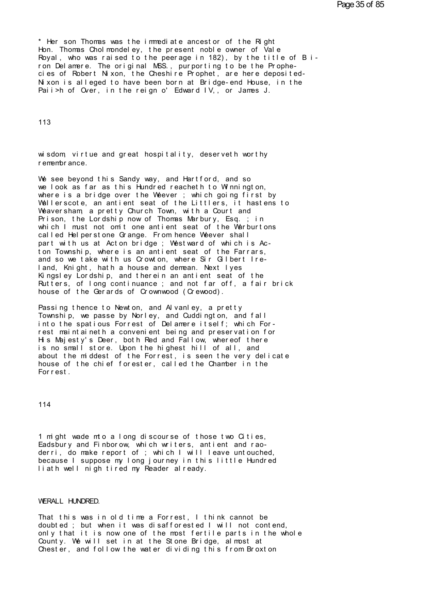\* Her son Thomas was t he i mmedi at e ancest or of t he Ri ght \* Her son Thomas was the immediate ancestor of the Right<br>Hon. Thomas Cholmondeley, the present noble owner of Vale<br>Royal, who was raised to the peerage in 182), by the title of Bi-<br>ron Delamere. The original MSS, purportin \* Her son Thomas was the immediate ancestor of the Right<br>Hon. Thomas Cholmondeley, the present noble owner of Vale<br>Royal, who was raised to the peerage in 182), by the title of Bi-<br>ron Delamere. The original MSS., purporti \* Her son Thomas was the immediate ancestor of the Right<br>Hon. Thomas Cholmondeley, the present noble owner of Vale<br>Royal, who was raised to the peerage in 182), by the title of Bi-<br>ron Delamere. The original MSS., purporti ron Delamere. The original MSS., purporting to be the Prophecies of Robert Nixon, the Cheshire Prophet, are here deposited-<br>Nixon is alleged to have been born at Bridge-end House, in the<br>Paii>h of Over, in the reign o' Edw

113

113<br>wisdom, virtue and great hospitality, deserveth worthy<br>remembrance. 113<br>wisdom, virtue and gr<br>remembrance.<br>We see bevond this Sa

We see beyond this Sandy way, and Hartford, and so<br>We see beyond this Sandy way, and Hartford, and so<br>We look as far as this Hundred reacheth to Winnington,<br>where is a bridge over the Wheyer : which going first by wisdom, virtue and great hospitality, deserveth worthy<br>remembrance.<br>We see beyond this Sandy way, and Hartford, and so<br>we look as far as this Hundred reacheth to Winnington,<br>where is a bridge over the Weever ; which going where the worthy<br>remembrance.<br>We see beyond this Sandy way, and Hartford, and so<br>we look as far as this Hundred reacheth to Winnington,<br>where is a bridge over the Weever ; which going first by<br>Wallerscote, an antient seat remembrance.<br>We see beyond this Sandy way, and Hartford, and so<br>we look as far as this Hundred reacheth to Winnington,<br>where is a bridge over the Weever ; which going first by<br>Wallerscote, an antient seat of the Littlers, We see beyond this Sandy way, and Hartford, and so<br>we look as far as this Hundred reacheth to Winnington,<br>where is a bridge over the Weever ; which going first by<br>Wallerscote, an antient seat of the Littlers, it hastens to We see beyond this Sandy way, and Hartford, and so<br>we look as far as this Hundred reacheth to Winnington,<br>where is a bridge over the Weever ; which going first by<br>Wallerscote, an antient seat of the Littlers, it hastens to we look as far as this Hundred reacheth to Winnington,<br>where is a bridge over the Weever; which going first by<br>Wallerscote, an antient seat of the Littlers, it hastens to<br>Weaversham, a pretty Church Town, with a Court and<br> where is a bridge over the Weever ; which going first by<br>Wallerscote, an antient seat of the Littlers, it hastens to<br>Weaversham, a pretty Church Town, with a Court and<br>Prison, the Lordship now of Thomas Marbury, Esq. ; in<br> Wallerscote, an antient seat of the Littlers, it hastens to<br>Weaversham, a pretty Church Town, with a Court and<br>Prison, the Lordship now of Thomas Marbury, Esq.; in<br>which I must not omit one antient seat of the Warburtons<br>c Weaversham, a pretty Church Town, with a Court and<br>Prison, the Lordship now of Thomas Marbury, Esq.; in<br>which I must not omit one antient seat of the Warburtons<br>called Helperstone Grange. From hence Weever shall<br>part with Prison, the Lordship now of Thomas Marbury, Esq.; in<br>which I must not omit one antient seat of the Warburtons<br>called Helperstone Grange. From hence Weever shall<br>part with us at Acton bridge; Westward of which is Ac-<br>ton To called Helperstone Grange. From hence Weever shall<br>part with us at Acton bridge; Westward of which is Ac-<br>ton Township, where is an antient seat of the Farrars,<br>and so we take with us Crowton, where Sir Gilbert Ire-<br>land, called Helperstone Grange. From hence Weever shall<br>part with us at Acton bridge ; Westward of which is Ac-<br>ton Township, where is an antient seat of the Farrars,<br>and so we take with us Crowton, where Sir Gilbert Ire-<br>land, part with us at Acton bridge ; Westward of which is Acton Township, where is an antient seat of the Farrars, and so we take with us Crowton, where Sir Gilbert Ireland, Knight, hath a house and demean. Next lyes<br>Kingsley Lo ton Township, where is an antient seat of the Farrars,<br>and so we take with us Crowton, where Sir Gilbert Ire-<br>land, Knight, hath a house and demean. Next Iyes<br>Kingsley Lordship, and therein an antient seat of the<br>Rutters, land, Knight, hath a house and demean. Next lyes<br>Kingsley Lordship, and therein an antient seat of the<br>Rutters, of long continuance ; and not far off, a fair brick<br>house of the Gerards of Crownwood (Crewood).<br>Passing thenc

Kingsley Lordship, and therein an antient seat of the<br>Rutters, of long continuance ; and not far off, a fair brick<br>house of the Gerards of Crownwood (Crewood).<br>Passing thence to Newton, and Alvanley, a pretty<br>Township, we house of the Gerards of Crownwood (Crewood).<br>Passing thence to Newton, and Alvanley, a pretty<br>Township, we passe by Norley, and Cuddington, and fall<br>into the spatious Forrest of Delamere itself; which For-<br>rest maintaineth house of the Gerards of Crownwood (Crewood).<br>Passing thence to Newton, and Alvanley, a pretty<br>Township, we passe by Norley, and Cuddington, and fall<br>into the spatious Forrest of Delamere itself; which For-<br>rest maintaineth Passing thence to Newton, and Alvanley, a pretty<br>Township, we passe by Norley, and Cuddington, and fall<br>into the spatious Forrest of Delamere itself; which For-<br>rest maintaineth a convenient being and preservation for<br>His Passing thence to Newton, and Alvaniey, a pretty<br>Township, we passe by Norley, and Cuddington, and fall<br>into the spatious Forrest of Delamere itself; which For-<br>rest maintaineth a convenient being and preservation for<br>His Township, we passe by Norley, and Cuddington, and fall<br>into the spatious Forrest of Delamere itself; which For-<br>rest maintaineth a convenient being and preservation for<br>His Majesty's Deer, both Red and Fallow, whereof ther into the spatious Forrest of Delamere itself; which Forrest maintaineth a convenient being and preservation for His Majesty's Deer, both Red and Fallow, whereof there is no small store. Upon the highest hill of all, and ab rest maintaineth a co<br>His Majesty's Deer, b<br>is no small store. Up<br>about the middest of<br>house of the chief fo<br>Forrest.

114

114<br>1 might wade mto a long discourse of those two Cities,<br>Eadsbury and Finborow, which writers, antient and rao-<br>derri do make report of : which I will leave untouched 114<br>1 might wade mto a long discourse of those two Cities,<br>Eadsbury and Finborow, which writers, antient and rao-<br>derri, do make report of ; which I will leave untouched,<br>because I suppose my long journey in this little Hu 1 might wade mto a long discourse of those two Cities,<br>Eadsbury and Finborow, which writers, antient and rao-<br>derri, do make report of ; which I will leave untouched,<br>because I suppose my long journey in this little Hundre 1 might wade mto a long discourse of those two Cities,<br>Eadsbury and Finborow, which writers, antient and rao-<br>derri, do make report of ; which I will leave untouched,<br>because I suppose my long journey in this little Hundre

## WERALL HUNDRED.

That this was in old time a Forrest, I think cannot be doubted : but when it was disafforested I will not contend. WERALL HUNDRED.<br>That this was in old time a Forrest, I think cannot be<br>doubted ; but when it was disafforested I will not contend,<br>only that it is now one of the most fertile parts in the whole WERALL HUNDRED.<br>That this was in old time a Forrest, I think cannot be<br>doubted ; but when it was disafforested I will not contend,<br>only that it is now one of the most fertile parts in the whole<br>County. We will set in at th WERALL HUNDRED.<br>That this was in old time a Forrest, I think cannot be<br>doubted; but when it was disafforested I will not contend,<br>only that it is now one of the most fertile parts in the whole<br>County. We will set in at the That this was in old time a Forrest, I think cannot be<br>doubted ; but when it was disafforested I will not contend,<br>only that it is now one of the most fertile parts in the whole<br>County. We will set in at the Stone Bridge,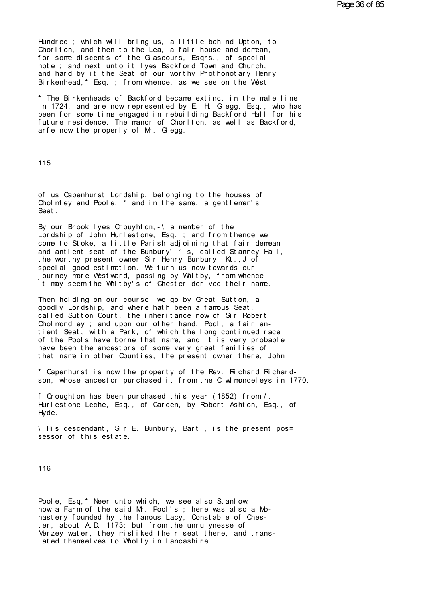Hundred; which will bring us, a little behind Upton, to Chorlton, and then to the Lea, a fair house and demean, for some discents of the G aseours, Esqrs., of special note; and next unto it lyes Backford Town and Church, and hard by it the Seat of our worthy Prothonotary Henry Birkenhead, \* Esq. ; from whence, as we see on the West

\* The Birkenheads of Backford became extinct in the male line in 1724, and are now represented by E. H. Glegg, Esq., who has been for some time engaged in rebuilding Backford Hall for his future residence. The manor of Chorlton, as well as Backford, arfe now the properly of M. Gegg.

115

of us Capenhurst Lordship, belonging to the houses of Chol m ey and Poole, \* and in the same, a gentleman's Seat.

By our Brook lyes Crouyhton, -\ a member of the<br>Lordship of John Hurlestone, Esq.; and from thence we come to Stoke, a little Parish adjoining that fair demean and antient seat of the Bunbury' 1 s, called Stanney Hall, the worthy present owner Sir Henry Bunbury, Kt., J of special good estimation. We turn us now towards our journey more Westward, passing by Whitby, from whence<br>it may seem the Whitby's of Chester derived their name.

Then holding on our course, we go by Great Sutton, a goodly Lordship, and where hath been a famous Seat, called Sutton Court, the inheritance now of Sir Robert Chol mondley; and upon our other hand, Pool, a fair antient Seat, with a Park, of which the long continued race of the Pools have borne that name, and it is very probable have been the ancestors of some very great families of that name in other Counties, the present owner there, John

\* Capenhurst is now the property of the Rev. Richard Richardson, whose ancestor purchased it from the CI wI mondel eys in 1770.

f Croughton has been purchased this year (1852) from /. Hurlestone Leche, Esq., of Carden, by Robert Ashton, Esq., of Hyde.

His descendant, Sir E. Bunbury, Bart,, is the present possessor of this estate.

116

Poole. Esq. \* Neer unto which, we see also Stanlow. now a Farm of the said M. Pool's; here was also a Monastery founded hy the famous Lacy, Constable of Chester, about A.D. 1173: but from the unrul vnesse of Merzey water, they misliked their seat there, and translated themselves to Wholly in Lancashire.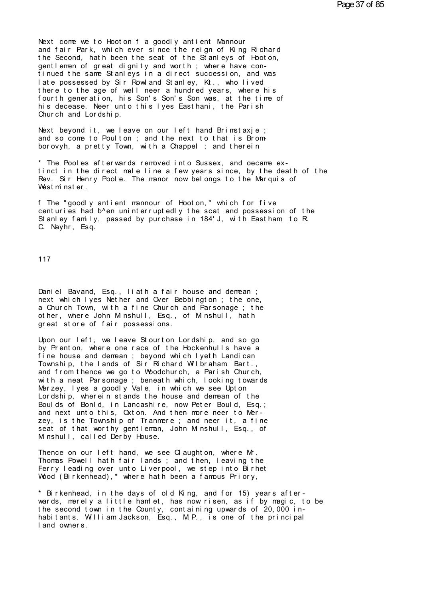Next come we to Hooton f a goodly antient Mannour<br>and fair Park, which ever since the reign of King Richard Next come we to Hooton fagoodly antient Mannour<br>and fair Park, which ever since the reign of King Richard<br>the Second, hath been the seat of the Stanleys of Hooton,<br>gentlemen of great dignity and worth : where have con-Next come we to Hooton f a goodly antient Mannour<br>and fair Park, which ever since the reign of King Richard<br>the Second, hath been the seat of the Stanleys of Hooton,<br>gentlemen of great dignity and worth; where have con-<br>ti Next come we to Hooton f a goodly antient Mannour<br>and fair Park, which ever since the reign of King Richard<br>the Second, hath been the seat of the Stanleys of Hooton,<br>gentlemen of great dignity and worth ; where have con-<br>t Next come we to Hooton fagoodly antient Mannour<br>and fair Park, which ever since the reign of King Richard<br>the Second, hath been the seat of the Stanleys of Hooton,<br>gentlemen of great dignity and worth; where have con-<br>tinu Next come we to Hooton fagoodly antient Mannour<br>and fair Park, which ever since the reign of King Richard<br>the Second, hath been the seat of the Stanleys of Hooton,<br>gentlemen of great dignity and worth; where have con-<br>tinu and fair Park, which ever since the reign of King Richard<br>the Second, hath been the seat of the Stanleys of Hooton,<br>gentlemen of great dignity and worth; where have con-<br>tinued the same Stanleys in a direct succession, and the Second, hath been the seat of the Stanleys of Hooton,<br>gentlemen of great dignity and worth; where have con-<br>tinued the same Stanleys in a direct succession, and was<br>late possessed by Sir Rowland Stanley, Kt., who lived gentlemen of great dignity and worth; where have con-<br>tinued the same Stanleys in a direct succession, and was<br>late possessed by Sir Rowland Stanley, Kt., who lived<br>there to the age of well neer a hundred years, where his<br> tinued the same Stanleys in a dilate possessed by Sir Rowland St<br>there to the age of well neer a<br>fourth generation, his Son's Son<br>his decease. Neer unto this lyes<br>Church and Lordship.<br>Next beyond it we leave on our there to the age of well neer a hundred years, where his<br>fourth generation, his Son's Son's Son was, at the time of<br>his decease. Neer unto this lyes Easthani, the Parish<br>Church and Lordship.<br>Next beyond it, we leave on our fourth generation, his Son's Son's Son was, at the time of<br>his decease. Neer unto this lyes Easthani, the Parish<br>Church and Lordship.<br>Next beyond it, we leave on our left hand Brimstaxje ;<br>and so come to Poulton ; and the

Next beyond it, we leave on our left hand Brimstaxje;<br>and so come to Poulton; and the next to that is Brom-<br>borovyh, a pretty Town, with a Chappel ; and therein<br>\* The Pooles afterwards removed into Sussex, and oecame ex-<br>t Next beyond it, we leave on our left hand Brimstaxje;<br>and so come to Poulton ; and the next to that is Brom-<br>borovyh, a pretty Town, with a Chappel ; and therein<br>\* The Pooles afterwards removed into Sussex, and oecame ex-<br> and so come to Poulton; and the next to that is Brom-<br>borovyh, a pretty Town, with a Chappel; and therein<br>\* The Pooles afterwards removed into Sussex, and oecame ex-<br>tinct in the direct male line a few years since, by the borovyh, a pretty Town, with a Chappel ; and there in<br>\* The Pooles afterwards removed into Sussex, and oecame ex-<br>tinct in the direct male line a few years since, by the death<br>Rev. Sir Henry Poole. The manor now belongs to \* The Pooles afterwards removed into Sussex, and oecame ex-<br>tinct in the direct male line a few years since, by the death of the<br>Rev. Sir Henry Poole. The manor now belongs to the Marquis of<br>Westminster.<br>f The "goodly anti

tinct in the direct male line a few years since, by the death of the<br>Rev. Sir Henry Poole. The manor now belongs to the Marquis of<br>Westminster.<br>f The "goodly antient mannour of Hooton," which for five<br>centuries had b^en un Rev. Sir Henry Poole. The manor now belongs to the Marquis of<br>Westminster.<br>f The "goodly antient mannour of Hooton," which for five<br>centuries had b^en uninterruptedly the scat and possession of the<br>Stanley family, passed b f The "goodly antient mannour of Hooton," which for five<br>centuries had b^en uninterruptedly the scat and possession of th<br>Stanley family, passed by purchase in 184'J, with Eastham, to R<br>C. Nayhr, Esq.

117

Dani el Bavand, Esq., li ath a fair house and demean;<br>next which lyes Nether and Over Bebbington; the one, 117<br>Daniel Bavand, Esq., liath a fair house and demean ;<br>next which lyes Nether and Over Bebbington ; the one,<br>a Church Town, with a fine Church and Parsonage ; the<br>other where John Minshull Esq., of Minshull hath Daniel Bavand, Esq., liath a fair house and demean ;<br>next which lyes Nether and Over Bebbington ; the one,<br>a Church Town, with a fine Church and Parsonage ; the<br>other, where John Minshull, Esq., of Minshull, hath Daniel Bavand, Esq., liath a fair house and demean ;<br>next which Iyes Nether and Over Bebbington ; the one,<br>a Church Town, with a fine Church and Parsonage ; the<br>other, where John Minshull, Esq., of Minshull, hath<br>great sto other, where John Minshull, Esq., of Minshull, hath<br>great store of fair possessions.<br>Upon our left, we leave Stourton Lordship, and so go next which lyes Nether and Over Bebbington; the one,<br>a Church Town, with a fine Church and Parsonage; the<br>other, where John Minshull, Esq., of Minshull, hath<br>great store of fair possessions.<br>Upon our left, we leave Stourto

a Church Town, with a fine Church and Parsonage; the<br>other, where John Minshull, Esq., of Minshull, hath<br>great store of fair possessions.<br>Upon our left, we leave Stourton Lordship, and so go<br>by Prenton, where one race of t other, where John Minshull, Esq., of Minshull, hath<br>great store of fair possessions.<br>Upon our left, we leave Stourton Lordship, and so go<br>by Prenton, where one race of the Hockenhulls have a<br>fine house and demean ; beyond great store of fair possessions.<br>Upon our left, we leave Stourton Lordship, and so go<br>by Prenton, where one race of the Hockenhulls have a<br>fine house and dennean ; beyond which lyeth Landican<br>Township, the lands of Sir Ric Upon our left, we leave Stourton Lordship, and so go<br>by Prenton, where one race of the Hockenhulls have a<br>fine house and denrean ; beyond which lyeth Landican<br>Township, the lands of Sir Richard Wilbraham Bart.,<br>and from th Upon our lett, we leave Stourton Lordship, and so go<br>by Prenton, where one race of the Hockenhulls have a<br>fine house and demean ; beyond which lyeth Landican<br>Township, the lands of Sir Richard Wilbraham Bart.,<br>and from the by Prenton, where one race of the Hockenhulls have a<br>fine house and demean ; beyond which lyeth Landican<br>Township, the lands of Sir Richard Wilbraham Bart.,<br>and from thence we go to Woodchurch, a Parish Church,<br>with a neat fine house and demean ; beyond which lyeth Landican<br>Township, the lands of Sir Richard Wilbraham Bart.,<br>and from thence we go to Woodchurch, a Parish Church,<br>with a neat Parsonage ; beneath which, looking towards<br>Merzey, l From the rands of Sir Hichard Wilbraham Bart.,<br>and from thence we go to Woodchurch, a Parish Church,<br>with a neat Parsonage ; beneath which, looking towards<br>Merzey, lyes a goodly Vale, in which we see Upton<br>Lordship, wherei and from thence we go to Woodchurch, a Parish Church,<br>with a neat Parsonage ; beneath which, looking towards<br>Merzey, lyes a goodly Vale, in which we see Upton<br>Lordship, wherein stands the house and demean of the<br>Boulds of Merzey, lyes a goodly Vale, in which we see Upton<br>Lordship, wherein stands the house and demean of the<br>Boulds of Bonld, in Lancashire, now Peter Bould, Esq.;<br>and next unto this, Oxton. And then more neer to Mer-<br>zey, is th Boulds of Bonld, in Lancashire, now Peter Bould, Esq.;<br>and next unto this, Oxton. And then more neer to Mer-<br>zey, is the Township of Tranmere; and neer it, a fine<br>seat of that worthy gentleman, John M nshull, Esq., of<br>M ns and next unto this, Oxton. And then more neer to Mer-<br>zey, is the Township of Tranmere ; and neer it, a fine<br>seat of that worthy gentleman, John Minshull, Esq., of<br>Minshull, called Derby House.<br>Thence on our left hand, we

zey, is the Township of Tranmere ; and neer it, a fine<br>seat of that worthy gentleman, John Minshull, Esq., of<br>Minshull, called Derby House.<br>Thence on our left hand, we see Claughton, where Mr.<br>Thomas Powell hath fair lands seat of that worthy gentleman, John Minshull, Esq., of<br>Minshull, called Derby House.<br>Thence on our left hand, we see Claughton, where Mr.<br>Thomas Powell hath fair lands ; and then, leaving the<br>Ferry leading over unto Liverp M nshull, called Derby House.<br>Thence on our left hand, we see Claughton, where Mr.<br>Thomas Powell hath fair lands ; and then, leaving the<br>Ferry leading over unto Liverpool, we step into Birhet<br>Wood (Birkenhead),\* where hath

Thence on our left hand, we see Claughton, where Mr.<br>Thomas Powell hath fair lands; and then, leaving the<br>Ferry leading over unto Liverpool, we step into Birhet<br>Wood (Birkenhead),\* where hath been a famous Priory,<br>\* Birken Ferry leading over unto Liverpool, we step into Birnet<br>Wood (Birkenhead),\* where hath been a famous Priory,<br>\* Birkenhead, in the days of old King, and for 15) years after-<br>wards, merely a little hamlet, has now risen, as i \* Birkenhead, in the day<br>wards, merely a little h<br>the second town in the C<br>habitants. William Jacks<br>land owners.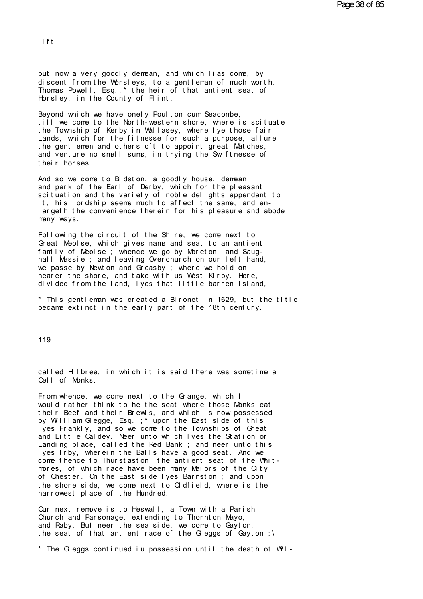l i f t<br>Lift<br>Lift

lift<br>but now a very goodly demean, and which lias come, by<br>discent from the Worslevs, to a gentleman of much worth. lift<br>but now a very goodly demean, and which lias come, by<br>discent from the Worsleys, to a gentleman of much worth.<br>Thomas Powell, Esq.,\* the heir of that antient seat of<br>Horsley, in the County of Elint but now a very goodly demean, and which lias come, by<br>discent from the Worsleys, to a gentleman of much worth.<br>Thomas Powell, Esq.,\* the heir of that antient seat of<br>Horsley, in the County of Flint. but now a very goodly demean, and which lias<br>discent from the Worsleys, to a gentleman of<br>Thomas Powell, Esq.,\* the heir of that antien<br>Horsley, in the County of Flint.<br>Beyond which we have onely Poulton cum Seacon but now a very goodly demean, and which lias come,<br>discent from the Worsleys, to a gentleman of much w<br>Thomas Powell, Esq.,\* the heir of that antient seat<br>Horsley, in the County of Flint.<br>Beyond which we have onely Poulton

discent from the Worsleys, to a gentleman of much worth.<br>Thomas Powell, Esq.,\* the heir of that antient seat of<br>Horsley, in the County of Flint.<br>Beyond which we have onely Poulton cum Seacombe,<br>till we come to the North-we Thomas Powell, Esq.,\* the heir of that antient seat of<br>Horsley, in the County of Flint.<br>Beyond which we have onely Poulton cum Seacombe,<br>till we come to the North-western shore, where is scituate<br>the Township of Kerby in W Horsley, in the County of Flint.<br>Beyond which we have onely Poulton cum Seacombe,<br>till we come to the North-western shore, where is scituate<br>the Township of Kerby in Wallasey, where I ye those fair<br>Lands, which for the fit Beyond which we have onely Poulton cum Seacombe,<br>till we come to the North-western shore, where is scituate<br>the Township of Kerby in Wallasey, where lye those fair<br>Lands, which for the fitnesse for such a purpose, allure<br>t Beyond which we have onely Poulton cum Seacombe,<br>till we come to the North-western shore, where is scituate<br>the Township of Kerby in Wallasey, where lye those fair<br>Lands, which for the fitnesse for such a purpose, allure<br>t t ill we come to the Northe Township of Kerby i<br>Lands, which for the filte gentlemen and other<br>and venture no small su<br>their horses.<br>And so we come to Bidst Lands, which for the fitnesse for such a purpose, allure<br>the gentlemen and others oft to appoint great Matches,<br>and venture no small sums, in trying the Swiftnesse of<br>their horses.<br>And so we come to Bidston, a goodly house

the gentlemen and others oft to appoint great Matches,<br>and venture no small sums, in trying the Swiftnesse of<br>their horses.<br>And so we come to Bidston, a goodly house, demean<br>and park of the Earl of Derby, which for the ple and venture no small sums, in trying the Swittnesse of<br>their horses.<br>And so we come to Bidston, a goodly house, demean<br>and park of the Earl of Derby, which for the pleasant<br>scituation and the variety of noble delights appe their horses.<br>And so we come to Bidston, a goodly house, demean<br>and park of the Earl of Derby, which for the pleasant<br>scituation and the variety of noble delights appendant to<br>it, his lordship seems much to affect the same And so we come to Bidston, a goodly house, demean<br>and park of the Earl of Derby, which for the pleasant<br>scituation and the variety of noble delights appendant to<br>it, his lordship seems much to affect the same, and en-<br>larg many ways. it, his lordship seems much to affect the same, and en-<br>largeth the convenience therein for his pleasure and abode<br>many ways.<br>Following the circuit of the Shire, we come next to<br>Great Meolse, which gives name and seat to a

rt, his lordship seems much to affect the same, and en-<br>largeth the convenience therein for his pleasure and abode<br>many ways.<br>Following the circuit of the Shire, we come next to<br>Great Meolse, which gives name and seat to a family ways.<br>Following the circuit of the Shire, we come next to<br>Great Meolse, which gives name and seat to an antient<br>family of Meolse ; whence we go by Moreton, and Saug-<br>hall Massie ; and leaving Overchurch on our left Following the circuit of the Shire, we come next to<br>Great Meolse, which gives name and seat to an antient<br>family of Meolse ; whence we go by Moreton, and Saug-<br>hall Massie ; and leaving Overchurch on our left hand,<br>we pass Following the circuit of the Shire, we come next to<br>Great Meolse, which gives name and seat to an antient<br>family of Meolse ; whence we go by Moreton, and Saug-<br>hall Massie ; and leaving Overchurch on our left hand,<br>we pass Great Meolse, which gives name and seat to an antient<br>family of Meolse ; whence we go by Moreton, and Saug-<br>hall Massie ; and leaving Overchurch on our left hand,<br>we passe by Newton and Greasby ; where we hold on<br>nearer th hall Massie ; and leaving Overchurch on our left hand,<br>we passe by Newton and Greasby ; where we hold on<br>nearer the shore, and take with us West Kirby. Here,<br>divided from the land, lyes that little barren Island,<br>\* This ge we passe by Newton and Greasby; where we hold on<br>nearer the shore, and take with us West Kirby. Here,<br>divided from the land, lyes that little barren Island,<br>\* This gentleman was created a Bironet in 1629, but the title<br>bec

119

119<br>called Hilbree, in which it is said there was sometime a<br>Cell of Monks. 119<br>called Hilbree, in wh<br>Cell of Monks.<br>From whence, we come

called Hilbree, in which it is said there was sometime a<br>Cell of Monks.<br>From whence, we come next to the Grange, which I<br>would rather think to he the seat where those Monks eat<br>their Beef and their Brewis, and which is now called Hilbree, in which it is said there was sometime a<br>Cell of Monks.<br>From whence, we come next to the Grange, which I<br>would rather think to he the seat where those Monks eat<br>their Beef and their Brewis, and which is now called Hilbree, in which it is said there was sometime a<br>Cell of Monks.<br>From whence, we come next to the Grange, which I<br>would rather think to he the seat where those Monks eat<br>their Beef and their Brewis, and which is now Cell of Monks.<br>From whence, we come next to the Grange, which I<br>would rather think to he the seat where those Monks eat<br>their Beef and their Brewis, and which is now possessed<br>by William Glegge, Esq. ;\* upon the East side From whence, we come next to the Grange, which I<br>would rather think to he the seat where those Monks eat<br>their Beef and their Brewis, and which is now possessed<br>by William Glegge, Esq.;\* upon the East side of this<br>lyes Fra From whence, we come next to the Grange, which I<br>would rather think to he the seat where those Monks eat<br>their Beef and their Brewis, and which is now possessed<br>by William Glegge, Esq.;\* upon the East side of this<br>lyes Fra would rather think to he the seat where those Monks eat<br>their Beef and their Brewis, and which is now possessed<br>by William Glegge, Esq.;\* upon the East side of this<br>lyes Frankly, and so we come to the Townships of Great<br>an their Beet and their Brewis, and which is now possessed<br>by William Glegge, Esq.; \* upon the East side of this<br>lyes Frankly, and so we come to the Townships of Great<br>and Little Caldey. Neer unto which lyes the Station or<br>La by William Glegge, Esq.; \* upon the East side of this<br>lyes Frankly, and so we come to the Townships of Great<br>and Little Caldey. Neer unto which lyes the Station or<br>Landing place, called the Red Bank; and neer unto this<br>lye and Little Caldey. Neer unto which lyes the Station or Landing place, called the Red Bank; and neer unto this lyes Irby, wherein the Balls have a good seat. And we come thence to Thurstaston, the antient seat of the Whimor Landing place, called the Red Bank; and neer unto this<br>lyes Irby, wherein the Balls have a good seat. And we<br>come thence to Thurstaston, the antient seat of the Whit-<br>mores, of which race have been many Maiors of the City<br> come thence to Thurstaston, the antient seat of the Whitmores, of which race have been many Maiors of the City<br>of Chester. On the East side Iyes Barnston ; and upon<br>the shore side, we come next to Oldfield, where is the<br>narrowest place of the Hundred.<br>Our next remove is to Hesw

of Chester. On the East side lyes Barnston; and upon<br>the shore side, we come next to Oldfield, where is the<br>narrowest place of the Hundred.<br>Our next remove is to Heswall, a Town with a Parish<br>Church and Parsonage, extendin the shore side, we come next to Oldfield, where is the<br>narrowest place of the Hundred.<br>Our next remove is to Heswall, a Town with a Parish<br>Church and Parsonage, extending to Thornton Mayo,<br>and Raby. But neer the sea side, narrowest place of the Hundred.<br>Our next remove is to Heswall, a Town with a Parish<br>Church and Parsonage, extending to Thornton Mayo,<br>and Raby. But neer the sea side, we come to Gayton,<br>the seat of that antient race of the Qur next remove is to Heswall, a Town with a Parish<br>Church and Parsonage, extending to Thornton Mayo,<br>and Raby. But neer the sea side, we come to Gayton,<br>the seat of that antient race of the Gleggs of Gayton ;\<br>\* The Glegg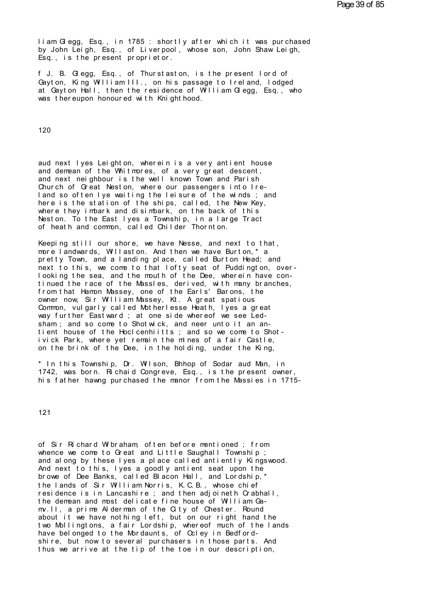Part is am Gl egg, Esq., in 1785 : shortly after which it was purchased<br>by John Leigh, Esq., of Liverpool, whose son, John Shaw Leigh,<br>Esq., is the present proprietor liam Glegg, Esq., in 1785 : shortly after which it was purchased<br>by John Leigh, Esq., of Liverpool, whose son, John Shaw Leigh,<br>Esq., is the present proprietor. Fram Gregg, Esq., in 1785 : shortly after which<br>by John Leigh, Esq., of Liverpool, whose son,<br>Esq., is the present proprietor.<br>Frie, Gregge, Esq., of Thurstaston, is the p iam Glegg, Esq., in 1785 : shortly after which it was purchased<br>by John Leigh, Esq., of Liverpool, whose son, John Shaw Leigh,<br>Esq., is the present proprietor.<br>f J. B. Glegg, Esq., of Thurstaston, is the present lord of<br>Ga

Fram Gregg, Esq., in 1785: shortly after which it was purchased<br>by John Leigh, Esq., of Liverpool, whose son, John Shaw Leigh,<br>Esq., is the present proprietor.<br>f J. B. Gregg, Esq., of Thurstaston, is the present lord of<br>Ga by John Leigh, Esq., of Liverpool, whose son, John Shaw Leigh,<br>Esq., is the present proprietor.<br>f J. B. Glegg, Esq., of Thurstaston, is the present lord of<br>Gayton, King William III., on his passage to Ireland, lodged<br>at Ga Esq., is the present proprietor.<br>f J. B. Glegg, Esq., of Thurstaston, is the pres<br>Gayton, King William III., on his passage to Ire<br>at Gayton Hall, then the residence of William Glwas thereupon honoured with Knighthood.

120

120<br>aud next lyes Leighton, wherein is a very antient house<br>and demean of the Whitmores, of a very great descent,<br>and next neighbour is the well known Town and Parish 120<br>aud next lyes Leighton, wherein is a very antient house<br>and demean of the Whitmores, of a very great descent,<br>and next neighbour is the well known Town and Parish<br>Church of Great Neston, where our passengers into Ireaud next lyes Leighton, wherein is a very antient house<br>and demean of the Whitmores, of a very great descent,<br>and next neighbour is the well known Town and Parish<br>Church of Great Neston, where our passengers into Ire-<br>Land aud next lyes Leighton, wherein is a very antient house<br>and denean of the Whitmores, of a very great descent,<br>and next neighbour is the well known Town and Parish<br>Church of Great Neston, where our passengers into Ire-<br>land aud next lyes Leighton, wherein is a very antient house<br>and demean of the Whitmores, of a very great descent,<br>and next neighbour is the well known Town and Parish<br>Church of Great Neston, where our passengers into Ire-<br>land aud next lyes Leighton, wherein is a very antient house<br>and demean of the Whitmores, of a very great descent,<br>and next neighbour is the well known Town and Parish<br>Church of Great Neston, where our passengers into Ire-<br>land and demean of the Whitmores, of a very great descent,<br>and next neighbour is the well known Town and Parish<br>Church of Great Neston, where our passengers into Ire-<br>land so often lye waiting the leisure of the winds; and<br>here and next neighbour is the well known Town and Parish<br>Church of Great Neston, where our passengers into Ire-<br>land so often Iye waiting the leisure of the winds; and<br>here is the station of the ships, called, the New Key,<br>whe Church of Great Neston, where our passengers into Ireland so often Iye waiting the leisure of the winds; and<br>here is the station of the ships, called, the New Key,<br>where they imbark and disimbark, on the back of this<br>Nesto here is the station of the ships, called, the New Key,<br>where they imbark and disimbark, on the back of this<br>Neston. To the East Iyes a Township, in a large Tract<br>of heath and common, called Childer Thornton.<br>Keeping still

where they imbark and disimbark, on the back of this<br>Neston. To the East Iyes a Township, in a large Tract<br>of heath and common, called Childer Thornton.<br>Keeping still our shore, we have Nesse, and next to that,<br>more landwa Neston. To the East Tyes a Township, in a Targe Tract<br>of heath and common, called Childer Thornton.<br>Keeping still our shore, we have Nesse, and next to that,<br>more landwards, Willaston. And then we have Burton,\* a<br>pretty To Keeping still our shore, we have Nesse, and next to that,<br>more landwards, Willaston. And then we have Burton,\* a<br>pretty Town, and a landing place, called Burton Head; and<br>next to this, we come to that lofty seat of Pudding Keeping still our shore, we have Nesse, and next to that,<br>more landwards, Willaston. And then we have Burton,\*a<br>pretty Town, and a landing place, called Burton Head; and<br>next to this, we come to that lofty seat of Puddingt Keeping still our shore, we have Nesse, and next to that,<br>more landwards, Willaston. And then we have Burton,\*a<br>pretty Town, and a landing place, called Burton Head; and<br>next to this, we come to that lofty seat of Puddingt more landwards, Willaston. And then we have Burton,\*a<br>pretty Town, and a landing place, called Burton Head; and<br>next to this, we come to that lofty seat of Puddington, over-<br>looking the sea, and the mouth of the Dee, where pretty Town, and a landing place, called Burton Head; and<br>next to this, we come to that lofty seat of Puddington, over-<br>looking the sea, and the mouth of the Dee, wherein have con-<br>tinued the race of the Massles, derived, next to this, we come to that lotty seat of Puddington, over-<br>looking the sea, and the mouth of the Dee, wherein have con-<br>tinued the race of the Massles, derived, with many branches,<br>from that Hamon Massey, one of the Ear looking the sea, and the mouth of the Dee, wherein have continued the race of the Massles, derived, with many branches, from that Hamon Massey, one of the Earls' Barons, the owner now, Sir William Massey, Kt. A great spati from that Hamon Massey, one of the Earls' Barons, the<br>owner now, Sir William Massey, Kt. A great spatious<br>Common, vulgarly called Motherlesse Heath, lyes a great<br>way further Eastward ; at one side whereof we see Led-<br>sham; owner now, Sir William Massey, Kt. A great spatious<br>Common, vulgarly called Motherlesse Heath, lyes a great<br>way further Eastward; at one side whereof we see Led-<br>sham; and so come to Shotwick, and neer unto it an an-<br>tient way further Eastward; at one side whereof we see Led-<br>sham; and so come to Shotwick, and neer unto it an an-<br>tient house of the Hoclcenhiitts; and so we come to Shot-<br>ivick Park, where yet remain the mines of a fair Castle sham; and so come to Shotwick, and neer unto it an an-<br>tient house of the Hoclcenhiitts; and so we come to Shot-<br>ivick Park, where yet remain the mines of a fair Castle,<br>on the brink of the Dee, in the holding, under the K

tient house of the Hoclcenhiitts; and so we come to Shot-<br>ivick Park, where yet remain the mines of a fair Castle,<br>on the brink of the Dee, in the holding, under the King,<br>\* In this Township, Dr. Wilson, Bhhop of Sodar aud ivick Park, where yet remain the mines of a fair Castle,<br>on the brink of the Dee, in the holding, under the King,<br>\* In this Township, Dr. Wilson, Bhhop of Sodar aud Man, in<br>1742, was born. Richaid Congreve, Esq., is the pr

121

of Sir Richard Wibraham, often before mentioned; from<br>whence we come to Great and Little Saughall Township;<br>and along by these lyes a place called antiently Kingswood 121<br>of Sir Richard Wibraham, often before mentioned ; from<br>whence we come to Great and Little Saughall Township ;<br>and along by these lyes a place called antiently Kingswood.<br>And next to this lyes a goodly antient seat upon of Sir Richard Wibraham, often before mentioned; from<br>whence we come to Great and Little Saughall Township;<br>and along by these lyes a place called antiently Kingswood.<br>And next to this, lyes a goodly antient seat upon the<br> of Sir Richard Wibraham, often before mentioned; from<br>whence we come to Great and Little Saughall Township;<br>and along by these lyes a place called antiently Kingswood.<br>And next to this, lyes a goodly antient seat upon the<br> of Sir Richard Wibraham, often before mentioned; from<br>whence we come to Great and Little Saughall Township;<br>and along by these lyes a place called antiently Kingswood.<br>And next to this, lyes a goodly antient seat upon the<br> whence we come to Great and Little Saughall Township;<br>and along by these lyes a place called antiently Kingswood.<br>And next to this, lyes a goodly antient seat upon the<br>browe of Dee Banks, called Blacon Hall, and Lordship,\* whence we come to Great and Little Saughall lownship;<br>and along by these lyes a place called antiently Kingswood.<br>And next to this, lyes a goodly antient seat upon the<br>browe of Dee Banks, called Blacon Hall, and Lordship,\* most l, a prime Alderman of the City of Chester. Round<br>about it we have nothing left, but on our right hand the browe of Dee Banks, called Blacon Hall, and Lordship,\*<br>the lands of Sir William Norris, K.C.B., whose chief<br>residence is in Lancashire ; and then adjoineth Crabhall,<br>the demean and most delicate fine house of William Ga-<br>m the lands of Sir William Norris, K.C.B., whose chief<br>residence is in Lancashire ; and then adjoineth Crabhall,<br>the demean and most delicate fine house of William Ga-<br>mv.ll, a prime Alderman of the City of Chester. Round<br>ab residence is in Lancashire ; and then adjoineth Crabhall,<br>the demean and most delicate fine house of William Ga-<br>mv.ll, a prime Alderman of the City of Chester. Round<br>about it we have nothing left, but on our right hand th my. II, a prime Alderman of the City of Chester. Round<br>about it we have nothing left, but on our right hand the<br>two Mollingtons, a fair Lordship, whereof much of the lands<br>have belonged to the Mordaunts, of Coley in Bedfor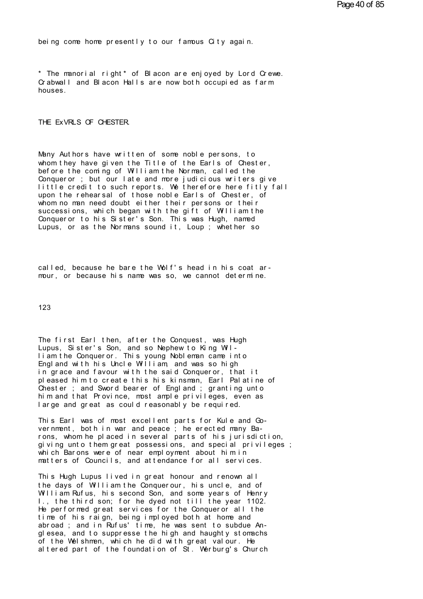being come home presently to our famous City again.

being come home presently to our famous City again.<br>\* The manorial right\* of Blacon are enjoyed by Lord Crewe.<br>Crabwall and Blacon Halls are now both occupied as farm being come home presently to our famous Oity again.<br>\* The manorial right\* of Blacon are enjoyed by Lord Crewe.<br>Crabwall and Blacon Halls are now both occupied as farm<br>houses. houses.

THE EXVRLS OF CHESTER.

Many Authors have written of some noble persons, to whom they have given the Title of the Earls of Chester, before the coming of William the Norman, called the Conqueror; but our late and more judicious writers give Many Authors have written of some noble persons, to<br>whom they have given the Title of the Earls of Chester,<br>before the coming of William the Norman, called the<br>Conqueror ; but our late and more judicious writers give<br>littl Many Authors have written of some noble persons, to<br>whom they have given the Title of the Earls of Chester,<br>before the coming of William the Norman, called the<br>Conqueror ; but our late and more judicious writers give<br>littl Wany Authors have written of some noble persons, to<br>whom they have given the Title of the Earls of Chester,<br>before the coming of William the Norman, called the<br>Conqueror ; but our late and more judicious writers give<br>littl whom they have given the Title of the Earls of Chester,<br>before the coming of William the Norman, called the<br>Conqueror ; but our late and more judicious writers give<br>little credit to such reports. We therefore here fitly fa before the coming of William the Norman, called the<br>Conqueror ; but our late and more judicious writers give<br>little credit to such reports. We therefore here fitly fall<br>upon the rehearsal of those noble Earls of Chester, o Conqueror ; but our late and more judicious writers give<br>little credit to such reports. We therefore here fitly fall<br>upon the rehearsal of those noble Earls of Chester, of<br>whom no man need doubt either their persons or the upon the rehearsal of those noble Earls of Chester, of whom no man need doubt either their persons or their successions, which began with the gift of William the Conqueror to his Sister's Son. This was Hugh, named Lupus, o

Lupus, or as the Normans sound it, Loup ; whether so<br>called, because he bare the Wolf's head in his coat ar-<br>mour, or because his name was so, we cannot determine.

123

123<br>The first Earl then, after the Conquest, was Hugh<br>Lupus, Sister's Son, and so Nephew to King Wil-<br>Liam the Conqueror, This young Nobleman came into 123<br>The first Earl then, after the Conquest, was Hugh<br>Lupus, Sister's Son, and so Nephew to King Wil-<br>Liam the Conqueror. This young Nobleman came into<br>England with his Uncle William, and was so high The first Earl then, after the Conquest, was Hugh<br>Lupus, Sister's Son, and so Nephew to King Wil-<br>liam the Conqueror. This young Nobleman came into<br>England with his Uncle William, and was so high<br>in grace and favour with t The first Earl then, after the Conquest, was Hugh<br>Lupus, Sister's Son, and so Nephew to King Wil-<br>Liam the Conqueror. This young Nobleman came into<br>England with his Uncle William, and was so high<br>in grace and favour with t The first Earl then, after the Conquest, was Hugh<br>Lupus, Sister's Son, and so Nephew to King Wil-<br>liam the Conqueror. This young Nobleman came into<br>England with his Uncle William, and was so high<br>in grace and favour with t The first Earl then, after the Conquest, was Hugh<br>Lupus, Sister's Son, and so Nephew to King Wil-<br>Tiam the Conqueror. This young Nobleman came into<br>England with his Uncle William, and was so high<br>in grace and favour with t Lupus, Sister's Son, and so Nephew to King Wil-<br>Liam the Conqueror. This young Nobleman came into<br>England with his Uncle William, and was so high<br>in grace and favour with the said Conqueror, that it<br>pleased him to create t liam the Conqueror. This young Nobleman came into<br>England with his Uncle William, and was so high<br>in grace and favour with the said Conqueror, that it<br>pleased him to create this his kinsman, Earl Palatine of<br>Chester ; and England with his Uncle William, and was so high<br>in grace and favour with the said Conqueror, that it<br>pleased him to create this his kinsman, Earl Palatine of<br>Chester ; and Sword bearer of England ; granting unto<br>him and th pleased him to create this his kinsman, Earl Palatine of<br>Chester; and Sword bearer of England; granting unto<br>him and that Province, most ample privileges, even as<br>large and great as could reasonably be required.<br>This Earl

him and that Province, most ample privileges, even as<br>large and great as could reasonably be required.<br>This Earl was of most excellent parts for Kule and Go-<br>vernment, both in war and peace ; he erected many Ba-<br>rons, whom large and great as could reasonably be required.<br>This Earl was of most excellent parts for Kule and Go-<br>vernment, both in war and peace ; he erected many Ba-<br>rons, whom he placed in several parts of his jurisdiction,<br>givin This Earl was of most excellent parts for Kule and Go-<br>vernment, both in war and peace ; he erected many Ba-<br>rons, whom he placed in several parts of his jurisdiction,<br>giving unto them great possessions, and special privil This Earl was of most excellent parts for Kule and Go-<br>vernment, both in war and peace ; he erected many Ba-<br>rons, whom he placed in several parts of his jurisdiction,<br>giving unto them great possessions, and special privil rons, whom he placed in several parts of his jurisdiction,<br>giving unto them great possessions, and special privileges ;<br>which Barons were of near employment about him in<br>matters of Councils, and attendance for all services

which Barons were of near employment about him in matters of Councils, and attendance for all services.<br>This Hugh Lupus lived in great honour and renown all the days of William the Conquerour, his uncle, and of William Ruf Which Barons were of near employment about him in<br>matters of Councils, and attendance for all services.<br>This Hugh Lupus lived in great honour and renown all<br>the days of William the Conquerour, his uncle, and of<br>William Ruf matters of Councils, and attendance for all services.<br>This Hugh Lupus lived in great honour and renown all<br>the days of William the Conquerour, his uncle, and of<br>William Rufus, his second Son, and some years of Henry<br>I., th This Hugh Lupus lived in great honour and renown all<br>the days of William the Conquerour, his uncle, and of<br>William Rufus, his second Son, and some years of Henry<br>1., the third son; for he dyed not till the year 1102.<br>He pe This Hugh Lupus Tived in great honour and renown all<br>the days of William the Conquerour, his uncle, and of<br>William Rufus, his second Son, and some years of Henry<br>I., the third son; for he dyed not till the year 1102.<br>He pe the days of William the Conquerour, his uncle, and of William Rufus, his second Son, and some years of Henry<br>I., the third son; for he dyed not till the year 1102.<br>He performed great services for the Conqueror all the<br>time I., the third son; for he dyed not till the year 1102.<br>He performed great services for the Conqueror all the<br>time of his raign, being imployed both at home and<br>abroad; and in Rufus' time, he was sent to subdue An-<br>glesea, He performed great services for the Conqueror all the<br>time of his raign, being imployed both at home and<br>abroad; and in Rufus' time, he was sent to subdue An-<br>glesea, and to suppresse the high and haughty stomachs<br>of the W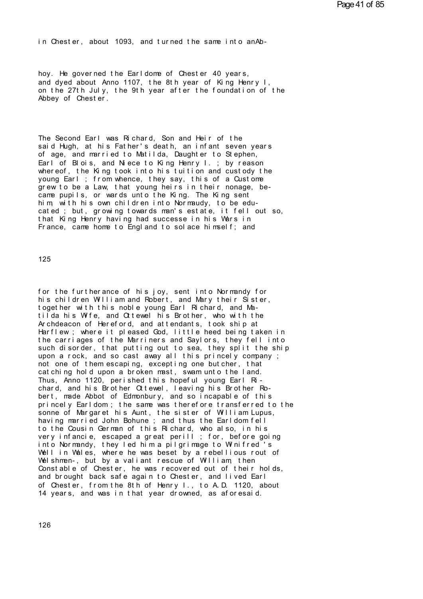in Chester, about 1093, and turned the same into anAb-

hoy. He governed the Earldome of Chester 40 years,<br>and dyed about Anno 1107, the 8th year of King Henry I. in Chester, about 1093, and turned the same into anAb-<br>hoy. He governed the Earldome of Chester 40 years,<br>and dyed about Anno 1107, the 8th year of King Henry I,<br>on the 27th July, the 9th year after the foundation of the<br>A hoy. He governed the Earldome of Chester 40 years,<br>and dyed about Anno 1107, the 8th year of King Henry I,<br>on the 27th July, the 9th year after the foundation of the<br>Abbey of Chester. hoy. He governed the Earldome<br>and dyed about Anno 1107, the<br>on the 27th July, the 9th year<br>Abbey of Chester.

Abbey of Chester.<br>The Second Earl was Richard, Son and Heir of the<br>said Hugh, at his Father's death, an infant seven years of age, and married to Matilda, Daughter to Stephen, The Second Earl was Richard, Son and Heir of the<br>said Hugh, at his Father's death, an infant seven years<br>of age, and married to Matilda, Daughter to Stephen,<br>Earl of Blois, and Niece to King Henry I.; by reason<br>whereof the The Second Earl was Richard, Son and Heir of the<br>said Hugh, at his Father's death, an infant seven years<br>of age, and married to Matilda, Daughter to Stephen,<br>Earl of Blois, and Niece to King Henry I.; by reason<br>whereof, th The Second Earl was Richard, Son and Heir of the<br>said Hugh, at his Father's death, an infant seven years<br>of age, and married to Matilda, Daughter to Stephen,<br>Earl of Blois, and Niece to King Henry I.; by reason<br>whereof, th The Second Earl was Richard, Son and Heir of the<br>said Hugh, at his Father's death, an infant seven years<br>of age, and married to Matilda, Daughter to Stephen,<br>Earl of Blois, and Niece to King Henry I.; by reason<br>whereof, th said Hugh, at his Father's death, an infant seven years<br>of age, and married to Matilda, Daughter to Stephen,<br>Earl of Blois, and Niece to King Henry I.; by reason<br>whereof, the King took into his tuition and custody the<br>youn Earl of Blois, and Niece to King Henry I.; by reason<br>whereof, the King took into his tuition and custody the<br>young Earl ; from whence, they say, this of a Custome<br>grew to be a Law, that young heirs in their nonage, be-<br>cam young Earl ; from whence, they say, this of a Custome<br>grew to be a Law, that young heirs in their nonage, be-<br>came pupils, or wards unto the King. The King sent<br>him, with his own children into Normaudy, to be edu-<br>cated ; grew to be a Law, that young heirs in their nonage, be-<br>came pupils, or wards unto the King. The King sent<br>him, with his own children into Normaudy, to be edu-<br>cated ; but, growing towards man's estate, it fell out so,<br>tha

125

for the furtherance of his joy, sent into Normandy for<br>his children William and Robert, and Mary their Sister,<br>together with this noble young Earl Richard, and Ma for the furtherance of his joy, sent into Normandy for<br>his children William and Robert, and Mary their Sister,<br>together with this noble young Earl Richard, and Ma-<br>tilda his Wife, and Ottewel his Brother, who with the for the furtherance of his joy, sent into Normandy for<br>his children William and Robert, and Mary their Sister,<br>together with this noble young Earl Richard, and Ma-<br>tilda his Wife, and Ottewel his Brother, who with the<br>Arch his children William and Robert, and Mary their Sister, together with this noble young Earl Richard, and Matilda his Wife, and Ottewel his Brother, who with the Archdeacon of Hereford, and attendants, took ship at for the furtherance of his joy, sent into Normandy for<br>his children William and Robert, and Mary their Sister,<br>together with this noble young Earl Richard, and Ma-<br>tilda his Wife, and Ottewel his Brother, who with the<br>Arch for the furtherance of his joy, sent into Normandy for<br>his children William and Robert, and Mary their Sister,<br>together with this noble young Earl Richard, and Ma-<br>tilda his Wife, and Ottewel his Brother, who with the<br>Arch his children William and Robert, and Mary their Sister,<br>together with this noble young Earl Richard, and Ma-<br>tilda his Wife, and Ottewel his Brother, who with the<br>Archdeacon of Hereford, and attendants, took ship at<br>Harfle to gether with this noble young Earl Richard, and Ma-<br>tilda his Wife, and Ottewel his Brother, who with the<br>Archdeacon of Hereford, and attendants, took ship at<br>Harflew ; where it pleased God, little heed being taken in<br>th tilda his Wire, and Oltewel his Brother, who with the<br>Archdeacon of Hereford, and attendants, took ship at<br>Harflew; where it pleased God, little heed being taken in<br>the carriages of the Marriners and Saylors, they fell int Archdeacon of Hereford, and attendants, took ship at<br>Harflew; where it pleased God, little heed being taken in<br>the carriages of the Marriners and Saylors, they fell into<br>such disorder, that putting out to sea, they split t the carriages of the Marriners and Saylors, they fell into<br>such disorder, that putting out to sea, they split the ship<br>upon a rock, and so cast away all this princely company;<br>not one of them escaping, excepting one butche the carriages of the Marriners and Saylors, they fell into<br>such disorder, that putting out to sea, they split the ship<br>upon a rock, and so cast away all this princely company;<br>not one of them escaping, excepting one butche not one of them escaping, excepting one butcher, that<br>catching hold upon a broken mast, swam unto the land.<br>Thus, Anno 1120, perished this hopeful young Earl Ri-<br>chard, and his Brother Ottewel, leaving his Brother Ro-<br>bert cat ching hold upon a broken mast, swam unto the land.<br>Thus, Anno 1120, perished this hopeful young Earl Ri-<br>chard, and his Brother Ottewel, leaving his Brother Ro-<br>bert, made Abbot of Edmonbury, and so incapable of this<br>p havis, Anno 1120, perished this hopeful young Earl Richard, and his Brother Ottewel, leaving his Brother Robert, made Abbot of Edmonbury, and so incapable of this princely Earldom; the same was therefore transferred to the chard, and his Brother Ottewel, leaving his Brother Ro-<br>bert, made Abbot of Edmonbury, and so incapable of this<br>princely Earldom; the same was therefore transferred to the<br>sonne of Margaret his Aunt, the sister of William princely Earldom; the same was therefore transferred to the sonne of Margaret his Aunt, the sister of William Lupus, having married John Bohune; and thus the Earldom fell to the Cousin German of this Richard, who also, in princely Earldom; the same was therefore transferred to the<br>sonne of Margaret his Aunt, the sister of William Lupus,<br>having married John Bohune; and thus the Earldom fell<br>to the Cousin German of this Richard, who also, in sonne of Margaret his Aunt, the sister of William Lupus,<br>having married John Bohune ; and thus the Earldom fell<br>to the Cousin German of this Richard, who also, in his<br>very infancie, escaped a great perill ; for, before goi having married John Bohune ; and thus the Earldom fell<br>to the Cousin German of this Richard, who also, in his<br>very infancie, escaped a great perill ; for, before going<br>into Normandy, they led him a pilgrimage to Winifred's to the Cousin German of this Richard, who also, in his<br>very infancie, escaped a great perill; for, before going<br>into Normandy, they led him a pilgrimage to Winifred's<br>Well in Wales, where he was beset by a rebellious rout very infancie, escaped a great perill; for, before going<br>into Normandy, they led him a pilgrimage to Winifred's<br>Well in Wales, where he was beset by a rebellious rout of<br>Welshmen-, but by a valiant rescue of William, then<br> into Normandy, they led him a pilgrimage to Winitred's<br>Well in Wales, where he was beset by a rebellious rout of<br>Welshmen-, but by a valiant rescue of William, then<br>Constable of Chester, he was recovered out of their holds Well in Wales, where he was beset by a rebellious rout of<br>Welshmen-, but by a valiant rescue of William, then<br>Constable of Chester, he was recovered out of their holds,<br>and brought back safe again to Chester, and lived Ear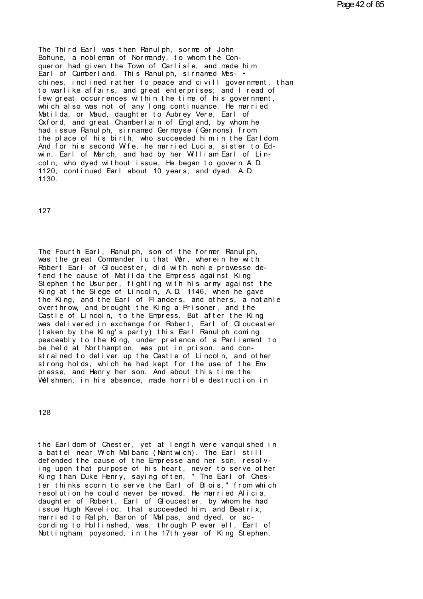The Third Earl was then Ranulph, sorme of John<br>Bohune, a nobleman of Normandy, to whom the Con-<br>queror had given the Town of Carlisle, and made him The Third Earl was then Ranulph, sorme of John<br>Bohune, a nobleman of Normandy, to whom the Con-<br>queror had given the Town of Carlisle, and made him<br>Earl of Cumberland. This Ranulph, sirnamed Mes- •<br>chines, inclined rather The Third Earl was then Ranulph, sorme of John<br>Bohune, a nobleman of Normandy, to whom the Con-<br>queror had given the Town of Carlisle, and made him<br>Earl of Cumberland. This Ranulph, sirnamed Mes- •<br>chines, inclined rather Earl of Cumberland. This Ranulph, sirnamed Mes-<br>chines, inclined rather to peace and civill government, than<br>to warlike affairs, and great enterprises; and I read of<br>few great occurrences within the time of his government. Bohune, a nobleman of Normandy, to whom the Con-<br>queror had given the Town of Carlisle, and made him<br>Earl of Cumberland. This Ranulph, sirnamed Mes-<br>chines, inclined rather to peace and civill government, than<br>to warlike a queror had given the lown of Carlisle, and made him<br>Earl of Cumberland. This Ranulph, sirnamed Messive<br>chines, inclined rather to peace and civill government, than<br>to warlike affairs, and great enterprises; and I read of<br>f Earl of Cumberland. This Ranulph, sirnamed Mes-<br>chines, inclined rather to peace and civill government, than<br>to warlike affairs, and great enterprises; and I read of<br>few great occurrences within the time of his government, chines, inclined rather to peace and civill government, that<br>to warlike affairs, and great enterprises; and I read of<br>few great occurrences within the time of his government,<br>which also was not of any long continuance. He to warlike affairs, and great enterprises; and I read of<br>few great occurrences within the time of his government,<br>which also was not of any long continuance. He married<br>Matilda, or Maud, daughter to Aubrey Vere, Earl of<br>Ox few great occurrences within the time of his government,<br>which also was not of any long continuance. He married<br>Matilda, or Maud, daughter to Aubrey Vere, Earl of<br>Oxford, and great Chamberlain of England, by whom he<br>had is which also was not of any long continuance. He married<br>Natilda, or Maud, daughter to Aubrey Vere, Earl of<br>Oxford, and great Chamberlain of England, by whom he<br>had issue Ranulph, sirnamed Germoyse (Gernons) from<br>the place o had issue Ranulph, sirnamed Germoyse (Gernons) from<br>the place of his birth, who succeeded him in the Earldom<br>And for his second Wife, he married Lucia, sister to Ed-<br>win, Earl of March, and had by her William Earl of Lin-<br> 1130.

127

The Fourth Earl, Ranulph, son of the former Ranulph, was the great Commander iu that War, wherein he with The Fourth Earl, Ranulph, son of the former Ranulph,<br>was the great Commander iu that War, wherein he with<br>Robert Earl of Gloucester, did with nohle prowesse de-<br>fend the cause of Matilda the Empress against King The Fourth Earl, Ranulph, son of the former Ranulph,<br>was the great Commander iu that War, wherein he with<br>Robert Earl of Gloucester, did with nohle prowesse de-<br>fend the cause of Matilda the Empress against King<br>Stephen th The Fourth Earl, Ranulph, son of the former Ranulph,<br>was the great Commander iu that War, wherein he with<br>Robert Earl of Gloucester, did with nohle prowesse de-<br>fend the cause of Matilda the Empress against King<br>Stephen th The Fourth Earl, Ranulph, son of the former Ranulph,<br>was the great Commander iu that War, wherein he with<br>Robert Earl of Gloucester, did with nohle prowesse de-<br>fend the cause of Matilda the Empress against King<br>Stephen th The Fourth Earl, Ranulph, son of the former Ranulph,<br>was the great Commander iu that War, wherein he with<br>Robert Earl of Gloucester, did with nohle prowesse de-<br>fend the cause of Matilda the Empress against King<br>Stephen th was the great Commander iu that War, wherein he with<br>Robert Earl of Gloucester, did with nohle prowesse de-<br>fend the cause of Matilda the Empress against King<br>Stephen the Usurper, fighting with his army against the<br>King at Robert Earl of Gloucester, did with nohle prowesse de-<br>fend the cause of Matilda the Empress against King<br>Stephen the Usurper, fighting with his army against the<br>King at the Siege of Lincoln, A.D. 1146, when he gave<br>the Ki fend the cause of Matilda the Empress against King<br>Stephen the Usurper, fighting with his army against the<br>King at the Siege of Lincoln, A.D. 1146, when he gave<br>the King, and the Earl of Flanders, and others, a notahle<br>ove Stephen the Usurper, fighting with his army against the<br>King at the Siege of Lincoln, A.D. 1146, when he gave<br>the King, and the Earl of Flanders, and others, a notahle<br>overthrow, and brought the King a Prisoner, and the<br>Ca King at the Siege of Lincoln, A.D. 1146, when he gave<br>the King, and the Earl of Flanders, and others, a notahle<br>overthrow, and brought the King a Prisoner, and the<br>Castle of Lincoln, to the Empress. But after the King<br>was the King, and the Earl of Handers, and others, a notahle<br>overthrow, and brought the King a Prisoner, and the<br>Castle of Lincoln, to the Empress. But after the King<br>was delivered in exchange for Robert, Earl of Gloucester<br>(t overthrow, and brought the King a Prisoner, and the<br>Castle of Lincoln, to the Empress. But after the King<br>was delivered in exchange for Robert, Earl of Gloucester<br>(taken by the King's party) this Earl Ranulph coming<br>peacea was delivered in exchange for Robert, Earl of Gloucester (taken by the King's party) this Earl Ranulph coming peaceably to the King, under pretence of a Parliament to be held at Northampton, was put in prison, and constrai peaceably to the King, under pretence of a Parliament to<br>be held at Northampton, was put in prison, and con-<br>strained to deliver up the Castle of Lincoln, and other<br>strong holds, which he had kept for the use of the Em-<br>pr

128

128<br>the Earldom of Chester, yet at length were vanquished in<br>a battel near Wich Malbanc (Nantwich). The Earl still<br>defended the cause of the Empresse and her son, resolve 128<br>the Earldom of Chester, yet at length were vanquished in<br>a battel near Wich Malbanc (Nantwich). The Earl still<br>defended the cause of the Empresse and her son, resolv-<br>ing upon that purpose of his beart, pever to serve the Earldom of Chester, yet at length were vanquished in<br>a battel near Wich Malbanc (Nantwich). The Earl still<br>defended the cause of the Empresse and her son, resolv-<br>ing upon that purpose of his heart, never to serve othe the Earldom of Chester, yet at length were vanquished in<br>a battel near Wich Malbanc (Nantwich). The Earl still<br>defended the cause of the Empresse and her son, resolv-<br>ing upon that purpose of his heart, never to serve othe the Earldom of Chester, yet at length were vanquished in<br>a battel near Wich Malbanc (Nantwich). The Earl still<br>defended the cause of the Empresse and her son, resolv-<br>ing upon that purpose of his heart, never to serve othe the Earldom of Chester, yet at length were vanquished in<br>a battel near Wich Malbanc (Nantwich). The Earl still<br>defended the cause of the Empresse and her son, resolv-<br>ing upon that purpose of his heart, never to serve othe a battel near Wich Malbanc (Nantwich). The Earl still<br>defended the cause of the Empresse and her son, resolv-<br>ing upon that purpose of his heart, never to serve other<br>King than Duke Henry, saying often, "The Earl of Ches-<br> defended the cause of the Empresse and her son, resolving upon that purpose of his heart, never to serve other King than Duke Henry, saying often, "The Earl of Chester thinks scorn to serve the Earl of Blois," from which r King than Duke Henry, saying often, "The Earl of Chester thinks scorn to serve the Earl of Blois," from which<br>resolution he could never be moved. He married Alicia,<br>daughter of Robert, Earl of Gloucester, by whom he had<br>is King than Duke Henry, saying often, "The Earl of Ches-<br>ter thinks scorn to serve the Earl of Blois," from which<br>resolution he could never be moved. He married Alicia,<br>daughter of Robert, Earl of Gloucester, by whom he had<br> cording to Hollinshed, was, through P ever ell, Earl of Nottingham, poysoned, in the 17th year of King Stephen,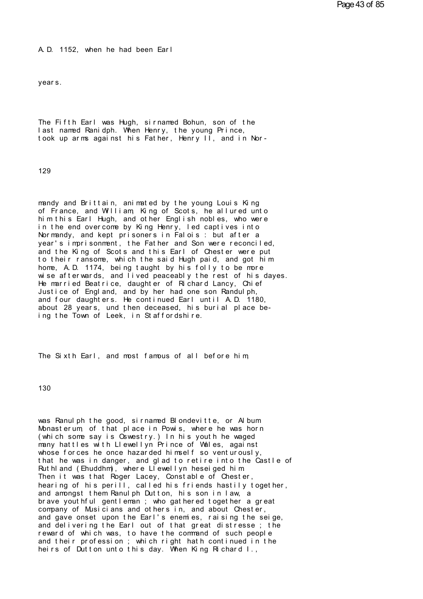A. D. 1152, when he had been Ear l A.D. 1152, when he had been Earl<br>years.

The Fifth Earl was Hugh, sirnamed Bohun, son of the last named Ranidph. When Henry, the young Prince, The Fifth Earl was Hugh, sirnamed Bohun, son of the<br>last named Ranidph. When Henry, the young Prince,<br>took up arms against his Father, Henry II, and in Nor-The Fifth Earl was Hugh, sirnamed Bohun, son of the<br>last named Ranidph. When Henry, the young Prince,<br>took up arms against his Father, Henry II, and in Nor-

129

mandy and Brittain, animated by the young Louis King<br>of France, and William, King of Scots, he allured unto<br>him this Earl Hugh, and other English nobles, who were 129<br>mandy and Brittain, animated by the young Louis King<br>of France, and William, King of Scots, he allured unto<br>him this Earl Hugh, and other English nobles, who were<br>in the end overcome by King Henry, led cantives into mandy and Brittain, animated by the young Louis King<br>of France, and William, King of Scots, he allured unto<br>him this Earl Hugh, and other English nobles, who were<br>in the end overcome by King Henry, led captives into<br>Norman mandy and Brittain, animated by the young Louis King<br>of France, and William, King of Scots, he allured unto<br>him this Earl Hugh, and other English nobles, who were<br>in the end overcome by King Henry, led captives into<br>Norman mandy and Brittain, animated by the young Louis King<br>of France, and William, King of Scots, he allured unto<br>him this Earl Hugh, and other English nobles, who were<br>in the end overcome by King Henry, led captives into<br>Norman mandy and Brittain, animated by the young Louis King<br>of France, and William, King of Scots, he allured unto<br>him this Earl Hugh, and other English nobles, who were<br>in the end overcome by King Henry, led captives into<br>Norman him this Earl Hugh, and other English nobles, who were<br>in the end overcome by King Henry, led captives into<br>Normandy, and kept prisoners in Falois : but after a<br>year's imprisonment, the Father and Son were reconciled,<br>and home, A.D. 1174, being taught by his folly to be more in the end overcome by King Henry, led captives into<br>Normandy, and kept prisoners in Falois : but after a<br>year's imprisonment, the Father and Son were reconciled,<br>and the King of Scots and this Earl of Chester were put<br>to Normandy, and kept prisoners in Falois: but after a<br>year's imprisonment, the Father and Son were reconciled,<br>and the King of Scots and this Earl of Chester were put<br>to their ransome, which the said Hugh paid, and got him<br>h year's imprisonment, the Father and Son were reconciled,<br>and the King of Scots and this Earl of Chester were put<br>to their ransome, which the said Hugh paid, and got him<br>home, A.D. 1174, being taught by his folly to be more and the King of Scots and this Earl of Chester were put<br>to their ransome, which the said Hugh paid, and got him<br>home, A.D. 1174, being taught by his folly to be more<br>wise afterwards, and lived peaceably the rest of his day to their ransome, which the said Hugh paid, and got him<br>home, A.D. 1174, being taught by his folly to be more<br>wise afterwards, and lived peaceably the rest of his dayes.<br>He married Beatrice, daughter of Richard Lancy, Chie home, A.D. 1174, being taught by his folly to be more<br>wise afterwards, and lived peaceably the rest of his dayes.<br>He married Beatrice, daughter of Richard Lancy, Chief<br>Justice of England, and by her had one son Randulph,<br>a He married Beatrice, daughter of Richard Lancy, Chief Justice of England, and by her had one son Randulph, and four daughters. He continued Earl until A.D. 1180, about 28 years, und then deceased, his burial place being th

ing the lown of Leek, in Statfordshire.<br>The Sixth Earl, and most famous of all before him,

130

130<br>was Ranulph the good, sirnamed Blondevitte, or Album<br>Monasterum, of that place in Powis, where he was horn<br>(which some say is Oswestry ) In his youth he waged 130<br>Was Ranulph the good, sirnamed Blondevitte, or Album<br>Monasterum, of that place in Powis, where he was horn<br>(which some say is Oswestry.) In his youth he waged<br>many hattles with Llewellyn Prince of Wales, against was Ranulph the good, sirnamed Blondevitte, or Album<br>Monasterum, of that place in Powis, where he was horn<br>(which some say is Oswestry.) In his youth he waged<br>many hattles with Llewellyn Prince of Wales, against<br>whose forc was Ranulph the good, sirnamed Blondevitte, or Album<br>Monasterum, of that place in Powis, where he was horn<br>(which some say is Oswestry.) In his youth he waged<br>many hattles with Llewellyn Prince of Wales, against<br>whose forc was Ranulph the good, sirnamed Blondevitte, or Album<br>Monasterum, of that place in Powis, where he was horn<br>(which some say is Oswestry.) In his youth he waged<br>many hattles with Llewellyn Prince of Wales, against<br>whose forc was Ranulph the good, sirnamed Blondevitte, or Album<br>Monasterum, of that place in Powis, where he was horn<br>(which some say is Oswestry.) In his youth he waged<br>many hattles with Llewellyn Prince of Wales, against<br>whose forc Monasterum, of that place in Powis, where he was horn<br>(which some say is Oswestry.) In his youth he waged<br>many hattles with Llewellyn Prince of Wales, against<br>whose forces he once hazarded himself so venturously,<br>that he w (which some say is Oswestry.) In his youth he waged<br>many hattles with Llewellyn Prince of Wales, against<br>whose forces he once hazarded himself so venturously,<br>that he was in danger, and glad to retire into the Castle of<br>Ru many nattles with Llewellyn Prince of Voales, against<br>whose forces he once hazarded himself so venturously,<br>that he was in danger, and glad to retire into the Castle of<br>Ruthland (Ehuddhm), where Llewellyn heseiged him<br>Then whose forces he once hazarded himself so venturously,<br>that he was in danger, and glad to retire into the Castle of<br>Ruthland (Ehuddhm), where Llewellyn heseiged him<br>Then it was that Roger Lacey, Constable of Chester,<br>hearin that he was in danger, and glad to retire into the Castle of<br>Ruthland (Ehuddhm), where Llewellyn heseiged him<br>Then it was that Roger Lacey, Constable of Chester,<br>hearing of his perill, called his friends hastily together,<br> Huthiand (Enuddhm), where Liewellyn heseiged him<br>Then it was that Roger Lacey, Constable of Chester,<br>hearing of his perill, called his friends hastily together,<br>and amongst them Ranulph Dutton, his son in law, a<br>brave yout Then it was that Roger Lacey, Constable of Chester,<br>hearing of his perill, called his friends hastily together,<br>and amongst them Ranulph Dutton, his son in law, a<br>brave youthful gentleman; who gathered together a great<br>com hearing of his perill, called his friends hastily together,<br>and amongst them Ranulph Dutton, his son in law, a<br>brave youthful gentleman ; who gathered together a great<br>company of Musicians and others in, and about Chester, and amongst them Ranulph Dutton, his son in law, a<br>brave youthful gentleman; who gathered together a great<br>company of Musicians and others in, and about Chester,<br>and gave onset upon the Earl's enemies, raising the seige,<br>a brave youthful gentleman; who gathered together a great<br>company of Musicians and others in, and about Chester,<br>and gave onset upon the Earl's enemies, raising the seige,<br>and delivering the Earl out of that great distresse; company of Musicians and others in, and about Chester,<br>and gave onset upon the Earl's enemies, raising the seige,<br>and delivering the Earl out of that great distresse ; the<br>reward of which was, to have the command of such p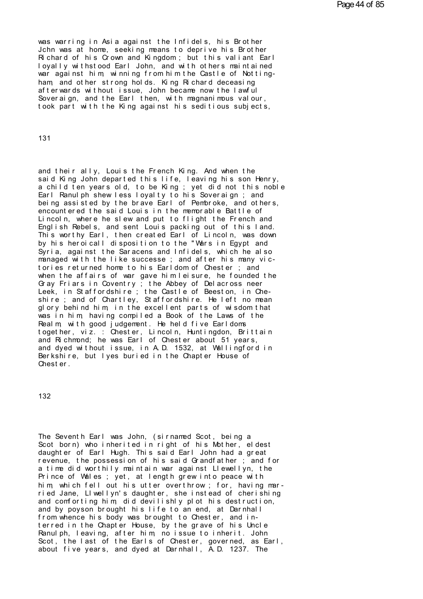was warring in Asia against the Infidels, his Brother<br>John was at home, seeking means to deprive his Brother<br>Bichard of his Crown and Kingdom : but this valiant Earl was warring in Asia against the Infidels, his Brother<br>Jchn was at home, seeking means to deprive his Brother<br>Richard of his Crown and Kingdom; but this valiant Earl<br>Lovally withstood Earl John, and with others maintained was warring in Asia against the Infidels, his Brother<br>Jchn was at home, seeking means to deprive his Brother<br>Richard of his Crown and Kingdom ; but this valiant Earl<br>loyally withstood Earl John, and with others maintained<br> was warring in Asia against the Infidels, his Brother<br>John was at home, seeking means to deprive his Brother<br>Richard of his Crown and Kingdom; but this valiant Earl<br>loyally withstood Earl John, and with others maintained<br>w was warring in Asia against the Infidels, his Brother<br>John was at home, seeking means to deprive his Brother<br>Richard of his Crown and Kingdom; but this valiant Earl<br>loyally withstood Earl John, and with others maintained<br>w John was at home, seeking means to deprive his Brother<br>Richard of his Crown and Kingdom; but this valiant Earl<br>loyally withstood Earl John, and with others maintained<br>war against him, winning from him the Castle of Notting loyally withstood Earl John, and with others maintained war against him, winning from him the Castle of Notting-<br>ham, and other strong holds. King Richard deceasing<br>afterwards without issue, John became now the lawful<br>Sove took part with the King against his seditious subjects,

131

and their ally, Louis the French King. And when the said King John departed this life, leaving his son Henry, and their ally, Louis the French King. And when the<br>said King John departed this life, leaving his son Henry,<br>a child ten years old, to be King ; yet did not this noble<br>Farl Rapulph shew less lovalty to bis Soveraign : and and their ally, Louis the French King. And when the<br>said King John departed this life, leaving his son Henry,<br>a child ten years old, to be King ; yet did not this noble<br>Earl Ranulph shew less loyalty to his Soveraign ; and and their ally, Louis the French King. And when the<br>said King John departed this life, leaving his son Henry,<br>a child ten years old, to be King ; yet did not this noble<br>Earl Ranulph shew less loyalty to his Soveraign ; and and their ally, Louis the French King. And when the<br>said King John departed this life, leaving his son Henry,<br>a child ten years old, to be King; yet did not this noble<br>Earl Ranulph shew less loyalty to his Soveraign; and<br>b and their ally, Louis the French King. And when the<br>said King John departed this life, leaving his son Henry,<br>a child ten years old, to be King; yet did not this noble<br>Earl Ranulph shew less loyalty to his Soveraign; and<br>b said King John departed this life, leaving his son Henry,<br>a child ten years old, to be King; yet did not this noble<br>Earl Ranulph shew less loyalty to his Soveraign; and<br>being assisted by the brave Earl of Pembroke, and oth a child ten years old, to be King; yet did not this noble<br>Earl Ranulph shew less loyalty to his Soveraign; and<br>being assisted by the brave Earl of Pembroke, and others,<br>encountered the said Louis in the memorable Battle of Earl Ranulph shew less loyalty to his Soveraign; and<br>being assisted by the brave Earl of Pembroke, and others,<br>encountered the said Louis in the memorable Battle of<br>Lincoln, where he slew and put to flight the French and<br>E being assisted by the brave Earl of Pembroke, and others,<br>encountered the said Louis in the memorable Battle of<br>Lincoln, where he slew and put to flight the French and<br>English Rebels, and sent Louis packing out of this lan encountered the said Louis in the memorable Battle of<br>Lincoln, where he slew and put to flight the French and<br>English Rebels, and sent Louis packing out of this land.<br>This worthy Earl, then created Earl of Lincoln, was dow Lincoln, where he slew and put to flight the French and<br>English Rebels, and sent Louis packing out of this land.<br>This worthy Earl, then created Earl of Lincoln, was down<br>by his heroicall disposition to the "Wars in Egypt a English Rebels, and sent Louis packing out of this land.<br>This worthy Earl, then created Earl of Lincoln, was down<br>by his heroicall disposition to the "Wars in Egypt and<br>Syria, against the Saracens and Infidels, which he al This worthy Earl, then created Earl of Lincoln, was down<br>by his heroicall disposition to the "Wars in Egypt and<br>Syria, against the Saracens and Infidels, which he also<br>managed with the like successe; and after his many vic by his heroicall disposition to the "Wars in Egypt and<br>Syria, against the Saracens and Infidels, which he also<br>managed with the like successe ; and after his many vic-<br>tories returned home to his Earldom of Chester ; and<br>w Syria, against the Saracens and Infidels, which he also<br>managed with the like successe ; and after his many vic-<br>tories returned home to his Earldom of Chester ; and<br>when the affairs of war gave him leisure, he founded the tories returned home to his Earldom of Chester; and<br>when the affairs of war gave him leisure, he founded the<br>Gray Friars in Coventry; the Abbey of Delacross neer<br>Leek, in Staffordshire; the Castle of Beeston, in Che-<br>shire when the attairs of war gave him leisure, he founded the<br>Gray Friars in Coventry ; the Abbey of Delacross neer<br>Leek, in Staffordshire ; the Castle of Beeston, in Che-<br>shire ; and of Chartley, Staffordshire. He left no mean Gray Friars in Coventry; the Abbey of Delacross neer<br>Leek, in Staffordshire; the Castle of Beeston, in Che-<br>shire; and of Chartley, Staffordshire. He left no mean<br>glory behind him, in the excellent parts of wisdom that<br>was shire; and of Chartley, Staffordshire. He left no mean<br>glory behind him, in the excellent parts of wisdom that<br>was in him, having compiled a Book of the Laws of the<br>Realm, with good judgement. He held five Earldoms<br>togethe shire; and of Chartley, Statfordshire. He left no mean<br>glory behind him, in the excellent parts of wisdom that<br>was in him, having compiled a Book of the Laws of the<br>Realm, with good judgement. He held five Earldoms<br>togethe glory benind him, in the excellent parts of wisdom that<br>was in him, having compiled a Book of the Laws of the<br>Realm, with good judgement. He held five Earldoms<br>together, viz. : Chester, Lincoln, Huntingdon, Brittain<br>and Ri was in him, having compiled a Book of the Laws of the<br>Realm, with good judgement. He held five Earldoms<br>together, viz.: Chester, Lincoln, Huntingdon, Brittain<br>and Richmond; he was Earl of Chester about 51 years,<br>and dyed w Realm, with good judg<br>together, viz. : Ches<br>and Richmond; he was<br>and dyed without issu<br>Berkshire, but lyes b<br>Chester.

132

The Seventh Earl was John, (sirnamed Scot, being a<br>Scot born) who inherited in right of his Mother, eldest<br>daughter of Earl Hugh. This said Earl John had a great The Seventh Earl was John, (sirnamed Scot, being a<br>Scot born) who inherited in right of his Mother, eldest<br>daughter of Earl Hugh. This said Earl John had a great<br>revenue, the possession of his said Grandfather ; and for The Seventh Earl was John, (sirnamed Scot, being a<br>Scot born) who inherited in right of his Mother, eldest<br>daughter of Earl Hugh. This said Earl John had a great<br>revenue, the possession of his said Grandfather ; and for<br>a The Seventh Earl was John, (sirnamed Scot, being a<br>Scot born) who inherited in right of his Mother, eldest<br>daughter of Earl Hugh. This said Earl John had a great<br>revenue, the possession of his said Grandfather ; and for<br>a The Seventh Earl was John, (sirnamed Scot, being a<br>Scot born) who inherited in right of his Mother, eldest<br>daughter of Earl Hugh. This said Earl John had a great<br>revenue, the possession of his said Grandfather ; and for<br>a The Seventh Earl was John, (sirnamed Scot, being a<br>Scot born) who inherited in right of his Nother, eldest<br>daughter of Earl Hugh. This said Earl John had a great<br>revenue, the possession of his said Grandfather ; and for<br>a Scot born) who inherited in right of his Mother, eldest<br>daughter of Earl Hugh. This said Earl John had a great<br>revenue, the possession of his said Grandfather ; and for<br>a time did worthily maintain war against Llewellyn, t daughter of Earl Hugh. Ihis said Earl John had a great<br>revenue, the possession of his said Grandfather ; and for<br>a time did worthily maintain war against Llewellyn, the<br>Prince of Wales ; yet, at length grew into peace with revenue, the possession of his said Grandfather; and for<br>a time did worthily maintain war against Llewellyn, the<br>Prince of Wales; yet, at length grew into peace with<br>him, which fell out his utter overthrow; for, having mar a time did worthily maintain war against Llewellyn, the<br>Prince of Wales; yet, at length grew into peace with<br>him, which fell out his utter overthrow; for, having mar-<br>ried Jane, Llwellyn's daughter, she instead of cherishi Prince of Wales; yet, at length grew into peace with<br>him, which fell out his utter overthrow; for, having mar-<br>ried Jane, LI wellyn's daughter, she instead of cherishing<br>and comforting him, did devilishly plot his destruct him, which fell out his utter overthrow; for, having married Jane, LIwellyn's daughter, she instead of cherishing<br>and comforting him, did devilishly plot his destruction,<br>and by poyson brought his life to an end, at Darnha ried Jane, LIwellyn's daughter, she instead of cherishing<br>and comforting him, did devilishly plot his destruction,<br>and by poyson brought his life to an end, at Darnhall<br>from whence his body was brought to Chester, and in-<br> and comforting him, did devilishly plot his destruction,<br>and by poyson brought his life to an end, at Darnhall<br>from whence his body was brought to Chester, and in-<br>terred in the Chapter House, by the grave of his Uncle<br>Ran and by poyson brought his life to an end, at Darnhall<br>from whence his body was brought to Chester, and in-<br>terred in the Chapter House, by the grave of his Uncle<br>Ranulph, leaving, after him, no issue to inherit. John<br>Scot,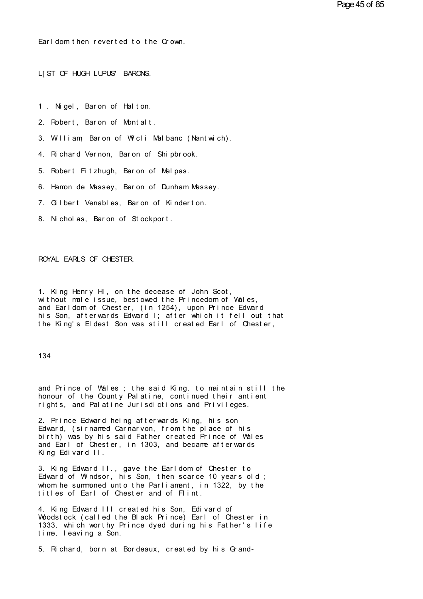Ear l dom t hen r ever t ed t o t he Cr own. Earl dom then reverted to the Crown.<br>L[ST OF HUGH LUPUS' BARONS.

L[ST OF HUGH LUPUS' BARONS.<br>1 . Nigel, Baron of Halton.<br>2. Robert Baron of Montalt

- 
- 2. Nigel, Baron of Halton.<br>2. Robert, Baron of Montalt.<br>3. William Baron of Wicli Malbanc (Nantw
- 1. Nigel, Baron of Halton.<br>2. Robert, Baron of Montalt.<br>3. William, Baron of Wicli Malbanc (Nantwich).<br>4. Richard Vernon, Baron of Shinbrook. 2. Robert, Baron of Montalt.<br>3. William, Baron of Wicli Malbanc (Nantwich).<br>4. Richard Vernon, Baron of Shipbrook.<br>5. Pobert Eitzbuch, Baron of Malpas. 3. William, Baron of Wicli Malbanc (Nantwich).<br>4. Richard Vernon, Baron of Shipbrook.<br>5. Robert Fitzhugh, Baron of Malpas.<br>6. Hamm de Massey, Baron of Dunham Massey.
- 
- 
- 4. Richard Vernon, Baron of Shipbrook.<br>5. Robert Fitzhugh, Baron of Malpas.<br>6. Hamon de Massey, Baron of Dunham Massey. 5. Robert Fitzhugh, Baron of Malpas.<br>6. Hamon de Massey, Baron of Dunham Massey.<br>7. Gilbert Venables, Baron of Kinderton.<br>8. Nicholas. Baron of Stockport.
- 8. Gilbert Venables, Baron of Kinderton.<br>8. Nicholas, Baron of Stockport.
- 

## ROYAL EARLS OF CHESTER.

ROYAL EARLS OF CHESTER.<br>1. King Henry HI, on the decease of John Scot,<br>without male issue, bestowed the Princedom of Wales,<br>and Earldom of Chester (in 1254), upon Prince Edward ROYAL EARLS OF CHESTER.<br>1. King Henry HI, on the decease of John Scot,<br>without male issue, bestowed the Princedom of Wales,<br>and Earldom of Chester, (in 1254), upon Prince Edward<br>his Son, afterwards Edward L: after which it 1. King Henry HI, on the decease of John Scot,<br>without male issue, bestowed the Princedom of Wales,<br>and Earldom of Chester, (in 1254), upon Prince Edward<br>his Son, afterwards Edward I; after which it fell out that<br>the King' 1. King Henry HI, on the decease of John Scot,<br>without male issue, bestowed the Princedom of Wales,<br>and Earldom of Chester, (in 1254), upon Prince Edward<br>his Son, afterwards Edward I; after which it fell out that<br>the King' 1. King Henry HI, on the decease of John Scot,<br>without male issue, bestowed the Princedom of Wales,<br>and Earldom of Chester, (in 1254), upon Prince Edward<br>his Son, afterwards Edward I; after which it fell out that<br>the King'

## 134

134<br>and Prince of Wales ; the said King, to maintain still the<br>honour of the County Palatine, continued their antient<br>rights, and Palatine lurisdictions and Privileges 134<br>and Prince of Wales ; the said King, to maintain still the<br>honour of the County Palatine, continued their antient<br>rights, and Palatine Jurisdictions and Privileges. and Prince of Wales; the said King, to maintain still the<br>honour of the County Palatine, continued their antient<br>rights, and Palatine Jurisdictions and Privileges.<br>2. Prince Edward being afterwards King, bis son. and Prince of Wales; the said King, to maintain still thonour of the County Palatine, continued their antient<br>rights, and Palatine Jurisdictions and Privileges.<br>2. Prince Edward heing afterwards King, his son<br>Edward, (sirn

honour of the County Palatine, continued their antient<br>rights, and Palatine Jurisdictions and Privileges.<br>2. Prince Edward heing afterwards King, his son<br>Edward, (sirnamed Carnarvon, from the place of his<br>birth) was by his honour of the County Palatine, continued their antient<br>rights, and Palatine Jurisdictions and Privileges.<br>2. Prince Edward heing afterwards King, his son<br>Edward, (sirnamed Carnarvon, from the place of his<br>birth) was by his rights, and Palatine Jurisdictions and Privileges.<br>2. Prince Edward heing afterwards King, his son<br>Edward, (sirnamed Carnarvon, from the place of his<br>birth) was by his said Father created Prince of Wales<br>and Earl of Cheste 2. Prince Edward heing afterwed<br>Edward, (sirnamed Carnarvon,<br>birth) was by his said Father<br>and Earl of Chester, in 1303,<br>King Edivard II.<br>3. King Edward II. gave the Edward, (sirnamed Carnarvon, from the place of his<br>birth) was by his said Father created Prince of Wales<br>and Earl of Chester, in 1303, and became afterwards<br>King Edivard II., gave the Earldom of Chester to<br>Edward of Windso

birth) was by his said Father created Prince of Wales<br>and Earl of Chester, in 1303, and became afterwards<br>King Edivard II.<br>3. King Edward II., gave the Earldom of Chester to<br>Edward of Windsor, his Son, then scarce 10 years and Earl of Chester, in 1303, and became afterwards<br>King Edivard II. gave the Earldom of Chester to<br>Edward of Windsor, his Son, then scarce 10 years old ;<br>whom he summoned unto the Parliament, in 1322, by the<br>titles of Ear King Edivard II.<br>3. King Edward II., gave the Earldom of Chester to<br>Edward of Windsor, his Son, then scarce 10 years old<br>whom he summoned unto the Parliament, in 1322, by th<br>titles of Earl of Chester and of Flint.<br>4. King 3. King Edward II., gave the Earldom of Chester to<br>Edward of Windsor, his Son, then scarce 10 years old;<br>whom he summoned unto the Parliament, in 1322, by the<br>titles of Earl of Chester and of Flint.<br>4. King Edward III crea

Edward of Windsor, his Son, then scarce 10 years old;<br>whom he summoned unto the Parliament, in 1322, by the<br>titles of Earl of Chester and of Flint.<br>4. King Edward III created his Son, Edivard of<br>Woodstock (called the Black whom he summoned unto the Parliament, in 1322, by the<br>titles of Earl of Chester and of Flint.<br>4. King Edward III created his Son, Edivard of<br>Woodstock (called the Black Prince) Earl of Chester in<br>1333, which worthy Prince titles of Earl of Chester<br>4. King Edward III create<br>Woodstock (called the Bla<br>1333, which worthy Prince<br>time, leaving a Son.<br>5. Bichard, born at Borde 4. King Edward III created his Son, Edivard of<br>Woodstock (called the Black Prince) Earl of Chester in<br>1333, which worthy Prince dyed during his Father's life<br>time, leaving a Son.<br>5. Richard, born at Bordeaux, created by hi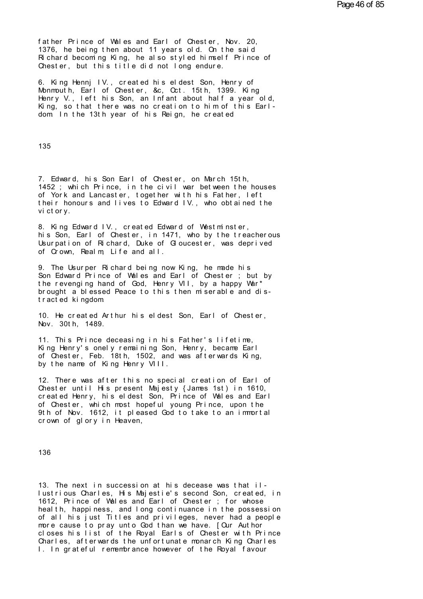father Prince of Wales and Earl of Chester, Nov. 20, 1376, he being then about 11 years old. On the said father Prince of Wales and Earl of Chester, Nov. 20,<br>1376, he being then about 11 years old. On the said<br>Richard becoming King, he also styled himself Prince of<br>Chester, but this title did not long endure father Prince of Wales and Earl of Chester, Nov. 20,<br>1376, he being then about 11 years old. On the said<br>Richard becoming King, he also styled himself Prince of<br>Chester, but this title did not long endure. father Prince of Wales and Earl of Chester, Nov. 20,<br>1376, he being then about 11 years old. On the said<br>Richard becoming King, he also styled himself Prince of<br>Chester, but this title did not long endure.<br>6. King Henni IV

6. King Hennj IV., created his eldest Son, Henry of Monmouth, Earl of Chester, &c, Oct. 15th, 1399. King 1376, he being then about 11 years old. On the said<br>Richard becoming King, he also styled himself Prince of<br>Chester, but this title did not long endure.<br>6. King Hennj IV., created his eldest Son, Henry of<br>Monmouth, Earl of Henr Chester, but this title did not long endure.<br>6. King Hennj IV., created his eldest Son, Henry of<br>Monmouth, Earl of Chester, &c, Oct. 15th, 1399. King<br>Henry V., left his Son, an Infant about half a year old,<br>King, so t Chester, but this title did not long endure.<br>6. King Hennj IV., created his eldest Son, Henry of<br>Monmouth, Earl of Chester, &c, Oct. 15th, 1399. King<br>Henry V., left his Son, an Infant about half a year old,<br>King, so that t

135

135<br>7. Edward, his Son Earl of Chester, on March 15th,<br>1452 ; which Prince, in the civil war between the houses<br>of York and Lancaster, together with his Eather Left 135<br>7. Edward, his Son Earl of Chester, on March 15th,<br>1452 ; which Prince, in the civil war between the houses<br>of York and Lancaster, together with his Father, left<br>their honours and lives to Edward IV, who obtained the 7. Edward, his Son Earl of Chester, on March 15th,<br>1452 ; which Prince, in the civil war between the houses<br>of York and Lancaster, together with his Father, left<br>their honours and lives to Edward IV., who obtained the<br>vict 7. Edward, his Son Earl of Chester, on March 15th,<br>1452 ; which Prince, in the civil war between the houses<br>of York and Lancaster, together with his Father, left<br>their honours and lives to Edward IV., who obtained the<br>vict 7. Edward, his Son Earl of Chester, on March 15th,<br>1452; which Prince, in the civil war between the houses<br>of York and Lancaster, together with his Father, left<br>their honours and lives to Edward IV., who obtained the<br>victo

his Son, Earl of Chester, in 1471, who by the treacherous of York and Lancaster, together with his Father, left<br>their honours and lives to Edward IV., who obtained the<br>victory.<br>8. King Edward IV., created Edward of Westminster,<br>his Son, Earl of Chester, in 1471, who by the treach their honours and lives to Edward IV., who obtained the<br>victory.<br>8. King Edward IV., created Edward of Westminster,<br>his Son, Earl of Chester, in 1471, who by the treacherous<br>Usurpation of Richard, Duke of Gloucester, was d victory.<br>8. King Edward IV., created Edward of Westn<br>his Son, Earl of Chester, in 1471, who by t<br>Usurpation of Richard, Duke of Gloucester,<br>of Crown, Realm, Life and all.<br>9. The Isurper Richard being now King, be n 8. King Edward IV., created Edward of Westminster,<br>his Son, Earl of Chester, in 1471, who by the treacherous<br>Usurpation of Richard, Duke of Gloucester, was deprived<br>of Crown, Realm, Life and all.<br>9. The Usurper Richard bei

his Son, Earl of Chester, in 1471, who by the treacherous<br>Usurpation of Richard, Duke of Gloucester, was deprived<br>of Crown, Realm, Life and all.<br>9. The Usurper Richard being now King, he made his<br>Son Edward Prince of Wales Usurpation of Richard, Duke of Gloucester, was deprived<br>of Crown, Realm, Life and all.<br>9. The Usurper Richard being now King, he made his<br>Son Edward Prince of Wales and Earl of Chester ; but by<br>the revenging hand of God, H of Crown, Realm, Life and all.<br>9. The Usurper Richard being now King, he made his<br>Son Edward Prince of Wales and Earl of Chester ; but by<br>the revenging hand of God, Henry VII, by a happy War\*<br>brought a blessed Peace to thi 9. The Usurper Richard b<br>Son Edward Prince of Walthe revenging hand of God<br>brought a blessed Peace<br>tracted kingdom.<br>10. He created Arthur bi the revenging hand of God, Henry VII, by a happy War\*<br>brought a blessed Peace to this then miserable and distracted kingdom<br>10. He created Arthur his eldest Son, Earl of Chester,<br>Nov. 30th. 1489. brought a blessed Peace to this then miserable and distracted kingdom<br>10. He created Arthur his eldest Son, Earl of Chester,<br>Nov. 30th, 1489.<br>11. This Prince deceasing in his Father's lifetime,

King Henry's onely remaining Son, Henry, became Earl 10. He created Arthur his eldest Son, Earl of Chester,<br>Nov. 30th, 1489.<br>11. This Prince deceasing in his Father's lifetime,<br>King Henry's onely remaining Son, Henry, became Earl<br>of Chester, Feb. 18th, 1502, and was afterwar 10. He created Arthur his eldest Son, Earl of Chester,<br>Nov. 30th, 1489.<br>11. This Prince deceasing in his Father's lifetime,<br>King Henry's onely remaining Son, Henry, became Earl<br>of Chester, Feb. 18th, 1502, and was afterwar Nov. 30th, 1489.<br>11. This Prince deceasing in his Father's liking Henry's onely remaining Son, Henry, bec<br>of Chester, Feb. 18th, 1502, and was afterwa<br>by the name of King Henry VIII.<br>12. There was after this no special cre

by the name of King Henry VIII.<br>12. There was after this no special creation of Earl of<br>Chester until His present Majesty {James 1st) in 1610, King Henry's onely remaining Son, Henry, became Earl<br>of Chester, Feb. 18th, 1502, and was afterwards King,<br>by the name of King Henry VIII.<br>12. There was after this no special creation of Earl of<br>Chester until His present M of Chester, Feb. 18th, 1502, and was afterwards King,<br>by the name of King Henry VIII.<br>12. There was after this no special creation of Earl of<br>Chester until His present Majesty {James 1st) in 1610,<br>created Henry, his eldest by the name of King Henry VIII.<br>12. There was after this no special creation of Earl of<br>Chester until His present Majesty {James 1st) in 1610,<br>created Henry, his eldest Son, Prince of Wales and Earl<br>of Chester, which most 12. There was after this no special creation of Earl of Chester until His present Majesty {James 1st) in 1610, created Henry, his eldest Son, Prince of Wales and Earl of Chester, which most hopeful young Prince, upon the 9 12. Inere was after this no sp<br>Chester until His present Maje<br>created Henry, his eldest Son,<br>of Chester, which most hopeful<br>9th of Nov. 1612, it pleased C<br>crown of glory in Heaven,

136

136<br>13. The next in succession at his decease was that il-<br>lustrious Charles, His Majestie's second Son, created, in<br>1612. Prince of Wales and Earl of Chester : for whose 136<br>13. The next in succession at his decease was that il-<br>lustrious Charles, His Majestie's second Son, created, in<br>1612, Prince of Wales and Earl of Chester ; for whose<br>health, banniness, and long continuance in the poss 13. The next in succession at his decease was that il-<br>lustrious Charles, His Majestie's second Son, created, in<br>1612, Prince of Wales and Earl of Chester ; for whose<br>health, happiness, and long continuance in the possessi 13. The next in succession at his decease was that il-<br>lustrious Charles, His Majestie's second Son, created, in<br>1612, Prince of Wales and Earl of Chester ; for whose<br>health, happiness, and long continuance in the possessi 13. The next in succession at his decease was that il-<br>lustrious Charles, His Majestie's second Son, created, in<br>1612, Prince of Wales and Earl of Chester ; for whose<br>health, happiness, and long continuance in the possessi 13. The next in succession at his decease was that il-<br>lustrious Charles, His Majestie's second Son, created, in<br>1612, Prince of Wales and Earl of Chester ; for whose<br>health, happiness, and long continuance in the possessi lustrious Charles, His Majestie's second Son, created, in<br>1612, Prince of Wales and Earl of Chester ; for whose<br>health, happiness, and long continuance in the possession<br>of all his just Titles and privileges, never had a p 1612, Prince of Wales and Earl of Chester; for whose<br>health, happiness, and long continuance in the possession<br>of all his just Titles and privileges, never had a people<br>more cause to pray unto God than we have. [Our Author health, happiness, and long continuance in the possession<br>of all his just Titles and privileges, never had a people<br>more cause to pray unto God than we have. [Our Author<br>closes his list of the Royal Earls of Chester with P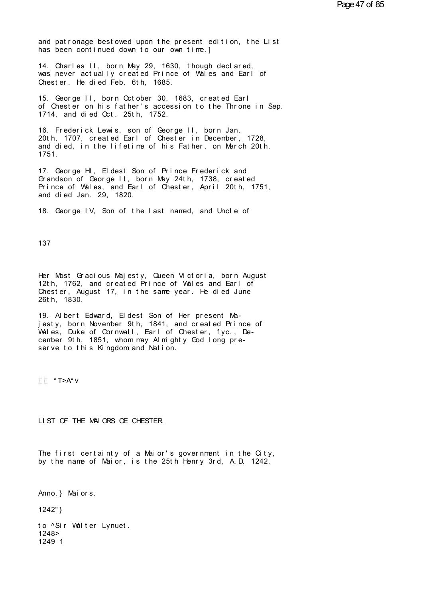and patronage bestowed upon the present edition, the List<br>has been continued down to our own time.] and patronage bestowed upon the present edition, the L<br>has been continued down to our own time.]<br>14. Charles II, born May 29, 1630, though declared

and patronage bestowed upon the present edition, the List<br>has been continued down to our own time.]<br>14. Charles II, born May 29, 1630, though declared,<br>was never actually created Prince of Wales and Earl of<br>Chester He died and patronage bestowed upon the present edition, the List<br>has been continued down to our own time.]<br>14. Charles II, born May 29, 1630, though declared,<br>was never actually created Prince of Wales and Earl of<br>Chester. He die has been continued down to our own time.]<br>14. Charles II, born May 29, 1630, though declared,<br>was never actually created Prince of Wales and Earl of<br>Chester. He died Feb. 6th, 1685. 14. Charles II, born May 29, 1630, though declared,<br>was never actually created Prince of Wales and Earl of<br>Chester. He died Feb. 6th, 1685.<br>15. George II, born October 30, 1683, created Earl<br>of Chester on his father's acce

14. Charles II, born May 29, 1630, though declared,<br>was never actually created Prince of Wales and Earl of<br>Chester. He died Feb. 6th, 1685.<br>15. George II, born October 30, 1683, created Earl<br>of Chester on his father's acce 15. George II, born October 30, 1683, created Earl of Chester on his father's accession to the Throne<br>1714, and died Oct. 25th, 1752.<br>16. Frederick Lewis, son of George II, born Jan. 15. George II, born October 30, 1683, created Earl<br>of Chester on his father's accession to the Throne in Se<br>1714, and died Oct. 25th, 1752.<br>16. Frederick Lewis, son of George II, born Jan.<br>20th, 1707, created Earl of Chest

15. George II, born October 30, 1683, created Earl<br>of Chester on his father's accession to the Throne in Sep.<br>1714, and died Oct. 25th, 1752.<br>16. Frederick Lewis, son of George II, born Jan.<br>20th, 1707, created Earl of Che of Chester on his father's accession to the Throne in Sep.<br>1714, and died Oct. 25th, 1752.<br>16. Frederick Lewis, son of George II, born Jan.<br>20th, 1707, created Earl of Chester in December, 1728,<br>and died, in the lifetime o 1751. 16. Frederick Lewis, son of George II, born Jan.<br>20th, 1707, created Earl of Chester in December, 1728,<br>and died, in the lifetime of his Father, on March 20th,<br>1751.<br>17. George HI, Eldest Son of Prince Frederick and<br>Grands

20th, 1707, created Earl of Chester in December, 1728,<br>and died, in the lifetime of his Father, on March 20th,<br>1751.<br>17. George Hl, Eldest Son of Prince Frederick and<br>Grandson of George II, born May 24th, 1738, created<br>Pri and died, in the lifetime of his Father, on March 20th,<br>1751.<br>17. George HI, Eldest Son of Prince Frederick and<br>Grandson of George II, born May 24th, 1738, created<br>Prince of Wales, and Earl of Chester, April 20th, 1751,<br>an 1/51.<br>17. George HI, Eldest Son of Pr<br>Grandson of George II, born May<br>Prince of Wales, and Earl of Ch<br>and died Jan. 29, 1820.<br>18. George IV Son of the Last 17. George HI, Eldest Son of Prince Frederick and<br>Grandson of George II, born May 24th, 1738, created<br>Prince of Wales, and Earl of Chester, April 20th, 1751,<br>and died Jan. 29, 1820.<br>18. George IV, Son of the last named, an

137

137<br>Her Most Gracious Majesty, Queen Victoria, born August<br>12th, 1762, and created Prince of Wales and Earl of<br>Chester, August 17, in the same year. He died lune 137<br>Her Most Gracious Majesty, Queen Victoria, born August<br>12th, 1762, and created Prince of Wales and Earl of<br>Chester, August 17, in the same year. He died June<br>26th, 1830 Her Most Gracious Majesty, Queen Victoria, born August<br>12th, 1762, and created Prince of Wales and Earl of<br>Chester, August 17, in the same year. He died June<br>26th, 1830. Her Most Gracious N<br>12th, 1762, and cree<br>Chester, August 17,<br>26th, 1830.<br>19. Albert Edward Her Most Gracious Majesty, Queen Victoria, born August<br>12th, 1762, and created Prince of Wales and Earl of<br>Chester, August 17, in the same year. He died June<br>26th, 1830.<br>19. Albert Edward, Eldest Son of Her present Ma-<br>jes

12th, 1762, and created Prince of Wales and Earl of<br>Chester, August 17, in the same year. He died June<br>26th, 1830.<br>19. Albert Edward, Eldest Son of Her present Ma-<br>jesty, born November 9th, 1841, and created Prince of<br>Wale Chester, August 17, in the same year. He died June<br>26th, 1830.<br>19. Albert Edward, Eldest Son of Her present Ma-<br>jesty, born November 9th, 1841, and created Prince of<br>Wales, Duke of Cornwall, Earl of Chester, fyc., De-<br>cemb cember 9th, 1851, whom may Almighty God long preserve to this Kingdom and Nation.<br> $\frac{1}{2}$  \* T>A\* v

LI ST OF THE MAI ORS OE CHESTER.

LIST OF THE MAIORS OE CHESTER.<br>The first certainty of a Maior's government in the City,<br>by the name of Maior, is the 25th Henry 3rd, A.D. 1242. The first certainty of a Maior's government in the  $\alpha$ ty, by the name of Maior, is the 25th Henry 3rd, A.D. 1242.<br>Anno.} Maiors.<br>1242"}

Anno.} Maiors.<br>1242"}<br>to ^Sir Welter Ivnu

Anno.} Maiors.<br>1242"}<br>to ^Sir Walter Lynuet.<br>1248><br>1249 1 1248> 1249 1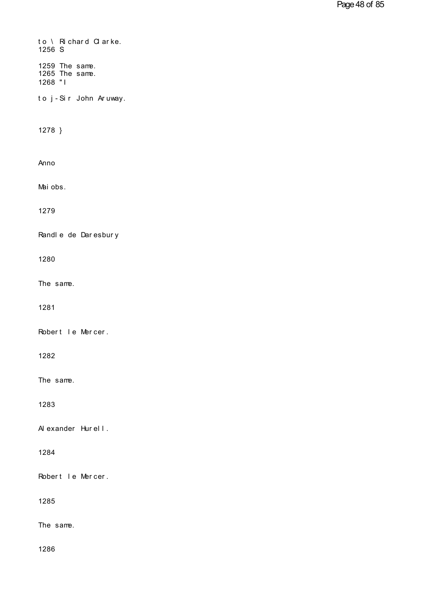| to \ Richard Clarke.<br>1256 S              |
|---------------------------------------------|
| 1259 The same.<br>1265 The same.<br>1268 "1 |
| to j-Sir John Aruway.                       |
| 1278 }                                      |
| Anno                                        |
| Mai obs.                                    |
| 1279                                        |
| Randle de Daresbury                         |
| 1280                                        |
| The same.                                   |
| 1281                                        |
| Robert le Mercer.                           |
| 1282                                        |
| The same.                                   |
| 1283                                        |
| Al exander Hurell.                          |
| 1284                                        |
| Robert I e Mercer.                          |
| 1285                                        |
| The same.                                   |
| 1286                                        |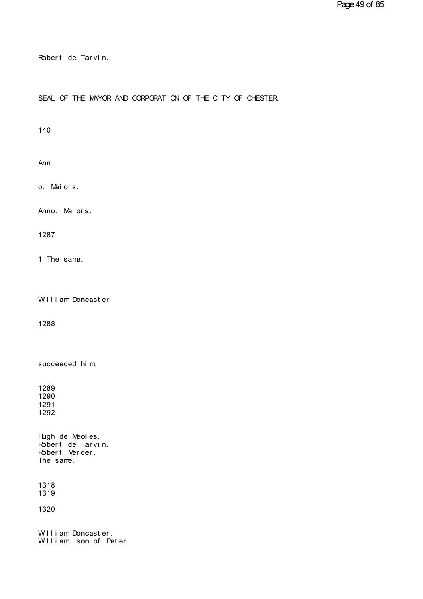Robert de Tarvin.<br>Pobert de Tarvin.

## Robert de Tarvin.<br>SEAL OF THE MAYOR AND CORPORATION OF THE CITY OF CHESTER.

140

Ann

Ann<br>o. Mai or s.

o. Maiors.<br>Anno. Maiors.

1287

1 The same.

1 The same.<br>William Doncaster

1288

1288<br>succeeded hi m

Hugh de Meoles.<br>Robert de Tarvin.<br>Robert Mercer. 1291<br>1292<br>Hugh de Meoles.<br>Robert de Tarvin.<br>Robert Mercer.<br>The samme 1292<br>Hugh de Meoles.<br>Robert de Tarvin.<br>Robert Mercer.<br>The same. The same.

1318 1319

1320

1319<br>1320<br>William Doncaster.<br>William, son of Peter 1320<br>William Doncaster.<br>William, son of Peter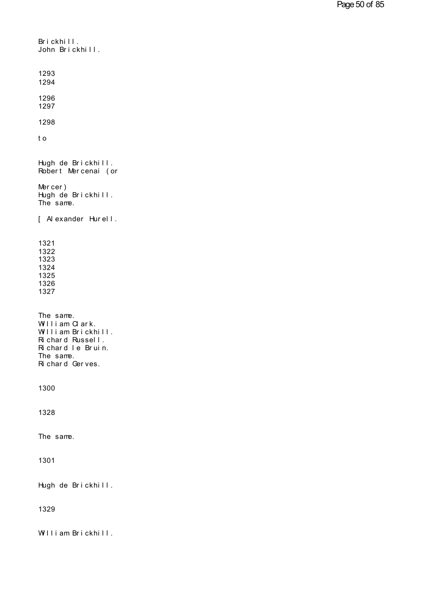```
Brickhill.<br>John Brickhill.
John Br i ckhi l l .
1293
1294
1296
1297
1298
1296<br>1297<br>1298<br>t o
1298<br>to<br>Hugh de Brickhill.<br>Robert Mercenai (or
to<br>Hugh de Brickhill.<br>Robert Mercenai (or<br>Mercer)
Hugh de Brickhill.<br>Robert Mercenai (or<br>Mercer)<br>Hugh de Brickhill.
Hugh de Brickhill.<br>Robert Mercenai (or<br>Mercer)<br>Hugh de Brickhill.<br>The same.
The same.
Mercer)<br>Hugh de Brickhill.<br>The same.<br>[ Alexander Hurell.
1321
1322
1323
1324
1325
1326
1327
The same.<br>William Clark.
1326<br>1327<br>The same.<br>William Clark.<br>William Brickhill.<br>Richard Russell
1327<br>The same.<br>William Clark.<br>William Brickhill.<br>Richard Russell.<br>Richard Le Bruin.
The same.<br>William Clark.<br>William Brickhill.<br>Richard Russell.<br>Richard le Bruin.<br>The same
The same.<br>William Clark.<br>William Brickhill.<br>Richard Russell.<br>Richard le Bruin.<br>The same.<br>Richard Gerves.
The same.<br>Richard Gerves.
William Clark.<br>William Brickhill.<br>Richard Russell.<br>Richard le Bruin.<br>The same.<br>Richard Gerves.
1300
1328
The same.
1301
1301<br>Hugh de Brickhill.
1329
1329<br>William Brickhill.
```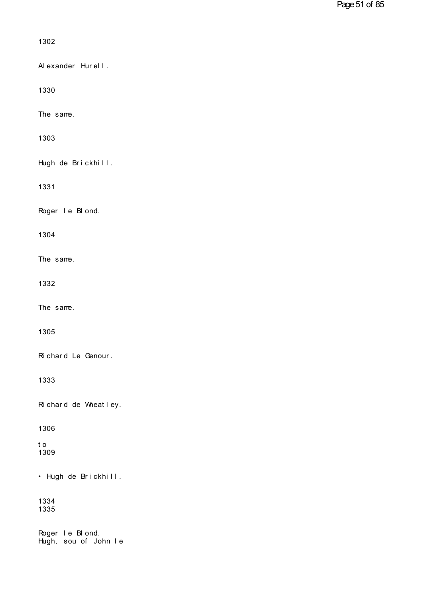| 1302                                      |
|-------------------------------------------|
| Al exander Hurell.                        |
| 1330                                      |
| The same.                                 |
| 1303                                      |
| Hugh de Brickhill.                        |
| 1331                                      |
| Roger I e BI ond.                         |
| 1304                                      |
| The same.                                 |
| 1332                                      |
| The same.                                 |
| 1305                                      |
| Richard Le Genour.                        |
| 1333                                      |
| Richard de Wheatley.                      |
| 1306                                      |
| t o<br>1309                               |
| • Hugh de Brickhill.                      |
| 1334<br>1335                              |
| Roger I e Bl ond.<br>Hugh, sou of John Ie |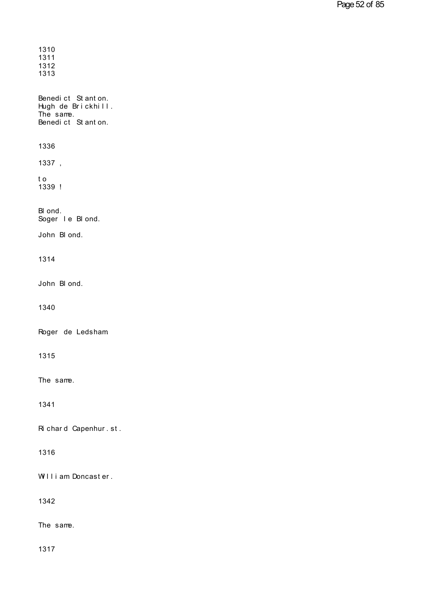| 1310<br>1311<br>1312<br>1313                                              |
|---------------------------------------------------------------------------|
| Benedict Stanton.<br>Hugh de Brickhill.<br>The same.<br>Benedict Stanton. |
| 1336                                                                      |
| 1337,                                                                     |
| t o<br>1339 !                                                             |
| BI ond.<br>Soger I e Bl ond.                                              |
| John Blond.                                                               |
| 1314                                                                      |
| John B ond.                                                               |
| 1340                                                                      |
| Roger de Ledsham                                                          |
| 1315                                                                      |
| The same.                                                                 |
| 1341                                                                      |
| Richard Capenhur.st.                                                      |
| 1316                                                                      |
| William Doncaster.                                                        |
| 1342                                                                      |
| The same.                                                                 |
| 1317                                                                      |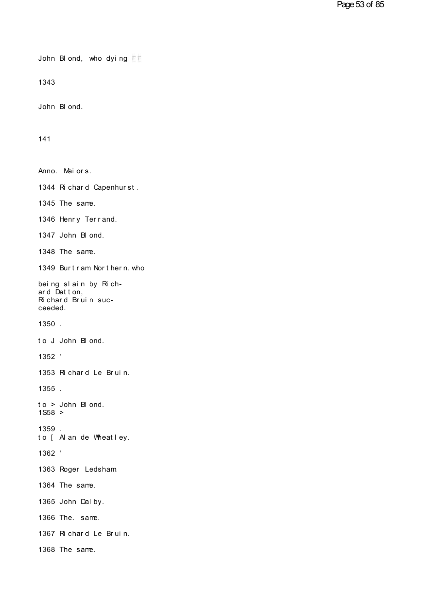John Blond, who dying  $E$ 

1343

1343<br>John Bl ond.

141

141<br>Anno. Mai or s.<br>1344 Bishard Capenburst Anno. Maiors.<br>1344 Richard Capenhurst.<br>1345 The same 1345 The same. 1344 Richard Capenhurst.<br>1345 The same.<br>1346 Henry Terrand.<br>1347 John Blond. 1345 The same.<br>1346 Henry Terrand.<br>1347 John Bl ond.<br>1348 The same 1348 The same. 1347 John Blond.<br>1348 The same.<br>1349 Burtram Northern.who 1348 The same.<br>1349 Burtram Northern.who<br>being slain by Rich-<br>ard Datton,<br>Richard Bruin suc-1349 Burtram Northern.who<br>being slain by Rich-<br>ard Datton,<br>Richard Bruin suc-<br>ceeded. 1350 . H chard Bruin suc-<br>ceeded.<br>1350 .<br>to J John Bl ond.<br>1352 ' 1352 ' to J John Blond.<br>1352 '<br>1353 Richard Le Bruin.<br>1355 1355 . 1353 Richard Le Bruin.<br>1355 .<br>to > John Blond. 1S58 > 1359 . to > John Blond.<br>1S58 ><br>1359 .<br>to [ Al an de Wheatley.<br>1362 ' 1362 ' to [ Alan de Wheatley.<br>1362 '<br>1363 Roger Ledsham. 1364 The same. 1363 Roger Ledsham<br>1364 The same.<br>1365 John Dal by.<br>1366 The same 1364 The same.<br>1365 John Dalby.<br>1366 The. same.<br>1367 Bichard Le Bruin. 1365 John Dalby.<br>1366 The. same.<br>1367 Richard Le Bruin.<br>1368 The same. 1368 The same.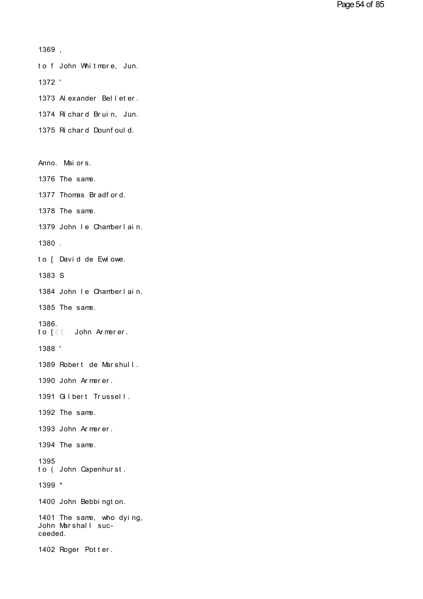```
1369 ,
```
1369,<br>to f John Whitmore,Jun.<br>1372,

1372 '

to f John Whitmore, Jun.<br>1372 '<br>1373 Alexander Belleter.<br>1374 Richard Bruin, Jun.

1372 '<br>1373 Alexander Belleter.<br>1374 Richard Bruin, Jun.<br>1375 Richard Dounfould 1373 Alexander Belleter.<br>1374 Richard Bruin, Jun.<br>1375 Richard Dounfould.

1375 Richard Dounfould.<br>Anno. Mai or s.

1376 The same.

Anno. Maiors.<br>1376 The same.<br>1377 Thomas Bradford.<br>1378 The same.

1378 The same.

1377 Thomas Bradford.<br>1378 The same.<br>1379 John le Chamberlain.<br>1380 1379 John Ie Chamberlain.<br>1380 .<br>to [ David de Ewlowe.

1380 .

1383 S

to [ David de Ewlowe.<br>1383 S<br>1384 John le Chamberlain.<br>1385 The same

1385 The same.

1386. 1384 John Ie Chamberlain.<br>1385 The same.<br>1386.<br>to [ L L John Armerer. 1386.<br>to [EE John Armerer.<br>1388 '<br>1389 Robert de Marshull.<br>1390 John Armerer.

1388 '

1388 '<br>1389 Robert de Marshull.<br>1390 John Armerer.<br>1391 Gilbert Trussell. 1389 Robert de Marshull.<br>1390 John Armerer.<br>1391 Gilbert Trussell.<br>1392 The same

1391 Gilbert Trussell.<br>1392 The same.<br>1393 John Armerer.<br>1394 The same.

1392 The same.

1394 The same.

1395<br>to (John Capenhurst. 1393 John Armerer.<br>1394 The same.<br>1395<br>to ( John Capenhurst.<br>1399 \* 1395<br>to (John Capenhurst.<br>1399 \*<br>1400 John Bebbi ngt on.<br>1401 The same, who dying.

1399 \*

1399 \*<br>1400 John Bebbington.<br>1401 The same, who dying,<br>John Marshall suc-1399 \*<br>1400 John Bebbington.<br>1401 The same, who dying,<br>John Marshall suc-<br>ceeded. 1401 The same, who dying,<br>John Marshall suc-<br>ceeded.<br>1402 Roger Potter.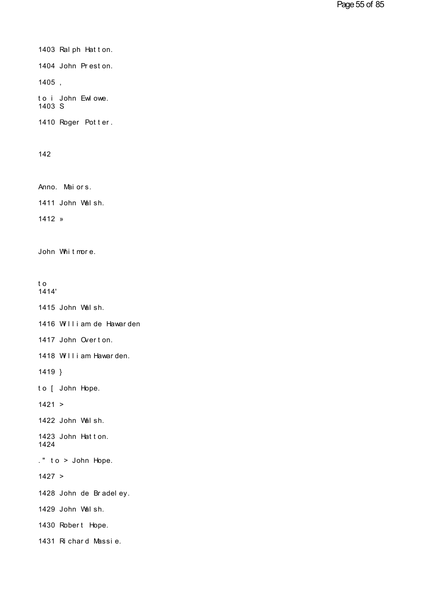1403 Ralph Hatton.<br>1404 John Preston. 1403 Ralph Hatton.<br>1404 John Preston.<br>1405 1405 , 1404 John Preston.<br>1405 ,<br>to i John Ewlowe.<br>1403 S 1403 S 1405 ,<br>to i John Ewlowe.<br>1403 S<br>1410 Roger Potter.

142

142<br>Anno. Maiors.<br>1411 John Walsh

Anno. Maiors.<br>1411 John Walsh.<br>1412 »

1412 »

1412 »<br>John Whitmore. John Whitmore.<br>to

1414'

to<br>1414'<br>1415 John Walsh.<br>1416 William de Hawarden.

to<br>1414'<br>1415 John Walsh.<br>1416 William de Hawarden<br>1417 John Overton. 1415 John Walsh.<br>1416 William de Hawarden<br>1417 John Overton. 1416 William de Hawarden<br>1417 John Overton.<br>1418 William Hawarden.<br>1419 \

1418 William Hawarden.<br>1419 }<br>to [ John Hope.

1419 }

 $1421 >$ 

to [ John Hope.<br>1421 ><br>1422 John Walsh.<br>1423 John Hatton

1421 ><br>1422 John Walsh.<br>1423 John Hatton.<br>1424 1424 1422 John Walsh.<br>1423 John Hatton.<br>1424<br>." to > John Hope.

 $1427 >$ 

." to > John Hope.<br>1427 ><br>1428 John de Bradeley.<br>1429 John Welsh 1427 ><br>1428 John de Bradeley.<br>1429 John Walsh.<br>1430 Pobert Hope. 1428 John de Bradeley.<br>1429 John Walsh.<br>1430 Robert Hope.<br>1431 Bichard Massie.

1429 John Walsh.<br>1430 Robert Hope.<br>1431 Richard Massie.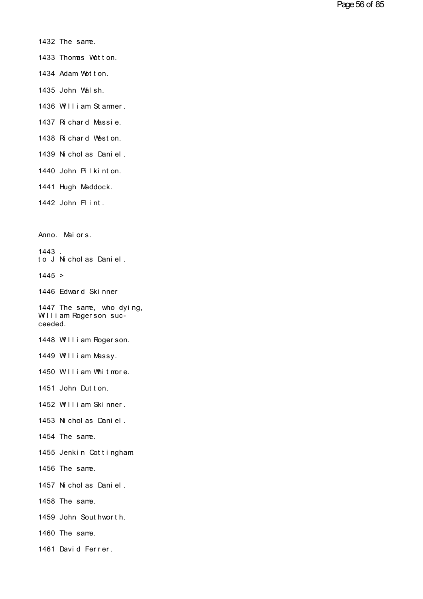- 1432 The same.
- 1432 The same.<br>1433 Thomas Wotton.<br>1434 Adam Wotton. 1432 The same.<br>1433 Thomas Wotton.<br>1434 Adam Wotton.<br>1435 John Wolsh. 1433 Thomas Wotton.<br>1434 Adam Wotton.<br>1435 John Walsh.<br>1436 William Stammer.
- 
- 
- 1434 Adam Wotton.<br>1435 John Walsh.<br>1436 William Stammer.<br>1437 Richard Massie. 1435 John Walsh.<br>1436 William Stammer.<br>1437 Richard Massie.<br>1438 Richard Meston. 1436 William Stammer.<br>1437 Richard Massie.<br>1438 Richard Weston.<br>1439 Nicholas Daniel
- 
- 
- 1437 Richard Massie.<br>1438 Richard Weston.<br>1439 Nicholas Daniel.<br>1440 John Bilkinton. 1438 Richard Weston.<br>1439 Nicholas Daniel.<br>1440 John Pilkinton.<br>1441 Hugh Meddock.
- 1440 John Pilkinton.<br>1441 Hugh Maddock.<br>1442 John Flint.
- 1441 Hugh Maddock.
- 1442 John Flint.<br>Anno. Maiors.<br>1443

1443.<br>to J Nicholas Daniel. Anno. Maiors.<br>1443 .<br>to J Nicholas Daniel.<br>1445 > 1443 .<br>to J Nicholas Daniel.<br>1445 ><br>1446 Edward Skinner<br>1447 The same, who dving.

1445 >

1445 ><br>1446 Edward Skinner<br>1447 The same, who dying,<br>William Rogerson suc-1445 ><br>1446 Edward Skinner<br>1447 The same, who dying,<br>William Rogerson suc-<br>ceeded. 1447 The same, who dying,<br>William Rogerson suc-<br>ceeded.<br>1448 William Rogerson. William Rogerson succeeded.<br>1448 William Rogerson.<br>1449 William Massy.<br>1450 William Whitmore.

1448 William Rogerson.<br>1449 William Massy.<br>1450 W lliam Whit more.<br>1451 John Dutton.

1449 William Massy.<br>1450 William Whitmore.<br>1451 John Dutton.<br>1452 William Skinner.

1450 William Whitmore.<br>1451 John Dutton.<br>1452 William Skinner.<br>1453 Nicholas Daniel

- 1451 John Dutton.<br>1452 William Skinner.<br>1453 Nicholas Daniel.<br>1454 The same 1453 Nicholas Daniel.<br>1454 The same.<br>1455 Jenkin Cottingham.
- 1454 The same.

1455 Jenkin Cottingham<br>1456 The same.<br>1457 Nicholas Daniel.<br>1458 The same.

1456 The same.

1458 The same.

1457 Nicholas Daniel.<br>1458 The same.<br>1459 John Sout hworth. 1459 John Southworth.<br>1460 The same.<br>1461 David Ferrer.

1460 The same.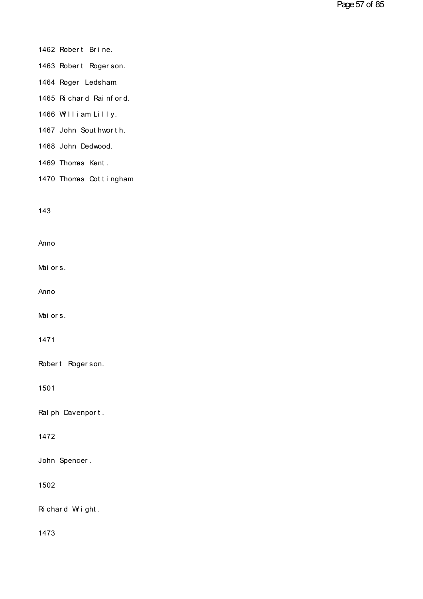# 1462 Robert Brine.<br>1463 Robert Bogerson

- 1462 Robert Brine.<br>1463 Robert Rogerson.<br>1464 Poger Ledsbam. 1462 Robert Brine.<br>1463 Robert Rogerson.<br>1464 Roger Ledsham.
- 
- 1463 Robert Rogerson.<br>1464 Roger Ledsham<br>1465 Richard Rainford.<br>1466 William Lilly. 1465 Richard Rainford.<br>1466 William Lilly.<br>1467 John Southworth. 1465 Richard Rainford.<br>1466 William Lilly.<br>1467 John Southworth.
- 
- 1467 John Southworth.<br>1468 John Dedwood.<br>1469 Thomas Kent.<br>1470 Thomas Cottingham
- 1468 John Dedwood.
- 
- 1469 Thomas Kent.<br>1470 Thomas Cottingham.

143

Anno

Anno<br>Mai or s.

Anno

Anno<br>Mai or s.

1471

1471<br>Robert Rogerson.

1501

1501<br>Ralph Davenport.

1472

1472<br>John Spencer .

1502

1502<br>Richard Wright.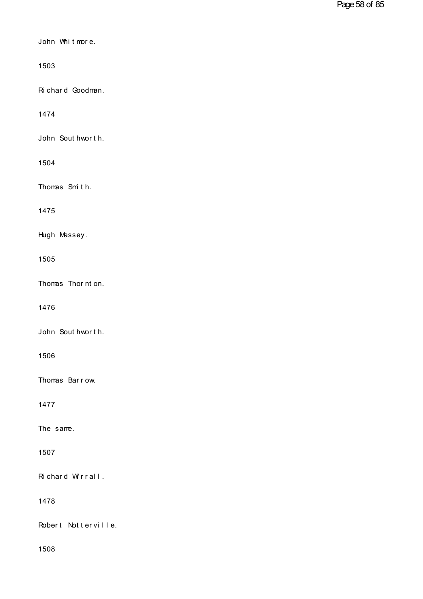| John Whitmore.      |
|---------------------|
| 1503                |
| Richard Goodman.    |
| 1474                |
| John Sout hworth.   |
| 1504                |
| Thomas Smith.       |
| 1475                |
| Hugh Massey.        |
| 1505                |
| Thomas Thor nt on.  |
| 1476                |
| John Sout hworth.   |
| 1506                |
| Thomas Barrow.      |
| 1477                |
| The same.           |
| 1507                |
| Richard Wirrall.    |
| 1478                |
| Robert Notterville. |
| 1508                |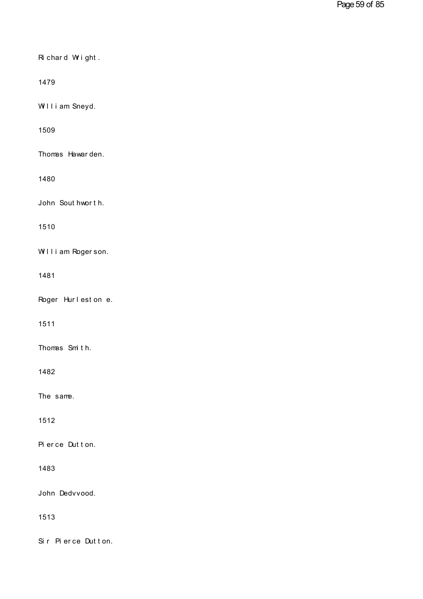| Richard Wright.    |
|--------------------|
| 1479               |
| William Sneyd.     |
| 1509               |
| Thomas Hawarden.   |
| 1480               |
| John Sout hworth.  |
| 1510               |
| William Rogerson.  |
| 1481               |
| Roger Hurleston e. |
| 1511               |
| Thomas Smith.      |
| 1482               |
| The same.          |
| 1512               |
| Pierce Dutton.     |
| 1483               |
| John Dedvvood.     |
| 1513               |
| Sir Pierce Dutton. |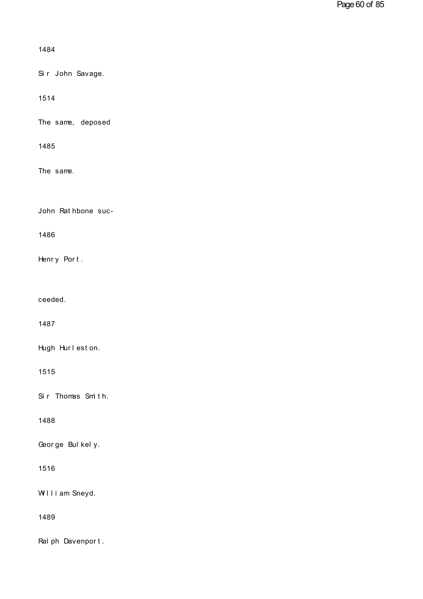| 1484                        |
|-----------------------------|
| Sir John Savage.            |
| 1514                        |
| The same, deposed           |
| 1485                        |
| The same.                   |
| John Rat hbone suc-<br>1486 |
| Henry Port.                 |
| ceeded.                     |
| 1487                        |
| Hugh Hurleston.             |
| 1515                        |
| Sir Thomas Smith.           |
| 1488                        |
| George Bulkely.             |
| 1516                        |
| William Sneyd.              |
| 1489                        |
| Ral ph Davenport.           |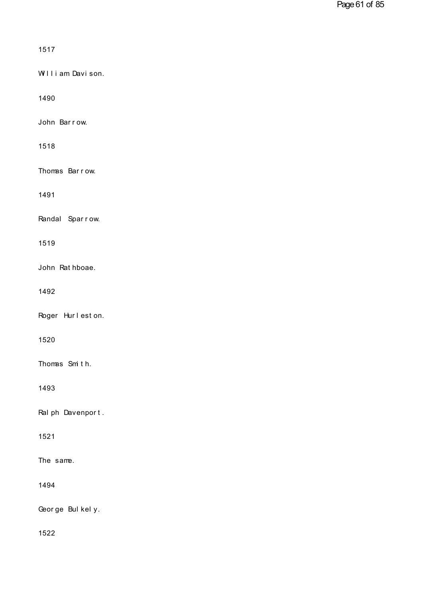| 1517              |
|-------------------|
| William Davison.  |
| 1490              |
| John Barrow.      |
| 1518              |
| Thomas Barrow.    |
| 1491              |
| Randal Sparrow.   |
| 1519              |
| John Rathboae.    |
| 1492              |
| Roger Hurleston.  |
| 1520              |
| Thomas Smith.     |
| 1493              |
| Ral ph Davenport. |
| 1521              |
| The same.         |
| 1494              |
| George Bulkely.   |
| 1522              |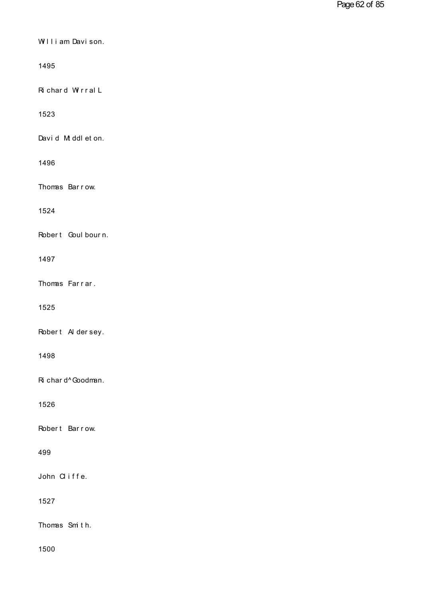| William Davison.   |
|--------------------|
| 1495               |
| Richard WirralL    |
| 1523               |
| David M ddl et on. |
| 1496               |
| Thomas Barrow.     |
| 1524               |
| Robert Goul bourn. |
| 1497               |
| Thomas Farrar.     |
| 1525               |
| Robert Aldersey.   |
| 1498               |
| Ri char d^Goodman. |
| 1526               |
| Robert Barrow.     |
| 499                |
| John Cliffe.       |
| 1527               |
| Thomas Smith.      |
| 1500               |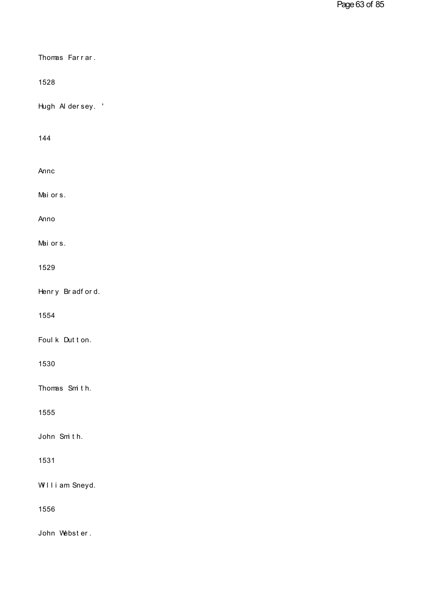| Thomas Farrar.   |
|------------------|
| 1528             |
| Hugh Aldersey. ' |
| 144              |
| Annc             |
| Mai or s.        |
| Anno             |
| Mai or s.        |
| 1529             |
| Henry Bradford.  |
| 1554             |
| Foul k Dut t on. |
| 1530             |
| Thomas Smith.    |
| 1555             |
| John Smith.      |
| 1531             |
| WIIi am Sneyd.   |
| 1556             |
| John Webster.    |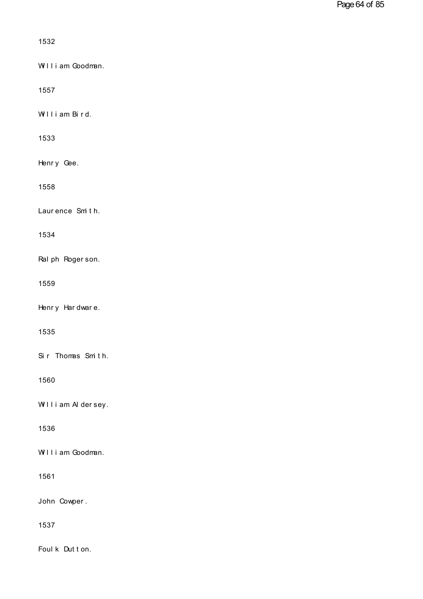| 1532              |
|-------------------|
| William Goodman.  |
| 1557              |
| William Bird.     |
| 1533              |
| Henry Gee.        |
| 1558              |
| Laurence Smith.   |
| 1534              |
| Ral ph Roger son. |
| 1559              |
| Henry Hardware.   |
| 1535              |
| Sir Thomas Smith. |
| 1560              |
| William Aldersey. |
| 1536              |
| William Goodman.  |
|                   |
| 1561              |
| John Cowper.      |
| 1537              |
| Foul k Dut t on.  |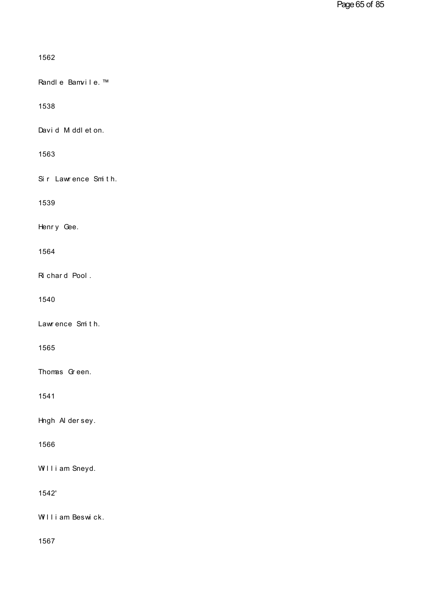| 1562                |
|---------------------|
| Randle Bamvile.™    |
| 1538                |
| David M ddl et on.  |
| 1563                |
| Sir Lawrence Smith. |
| 1539                |
| Henry Gee.          |
| 1564                |
| Richard Pool.       |
| 1540                |
| Lawrence Smith.     |
| 1565                |
| Thomas Green.       |
| 1541                |
| Hngh Aldersey.      |
| 1566                |
| William Sneyd.      |
| 1542'               |
| William Beswick.    |
|                     |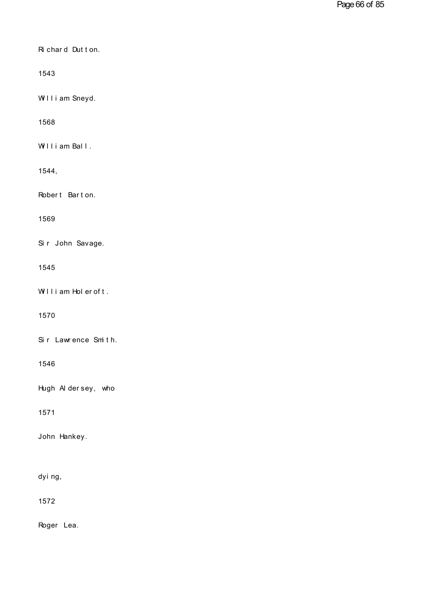| Richard Dutton. |  |  |
|-----------------|--|--|

1543

William Sneyd.

1568

1568<br>William Ball .

1544,

1544,<br>Robert Barton.

1569

Si r John Savage.

1545

1545<br>William Holeroft.

1570

1570<br>Sir Lawrence Smith.

1546

Hugh Al der sey, who

1571

John Hankey. John <del>H</del>ankey.<br>dying,

1572

Roger Lea.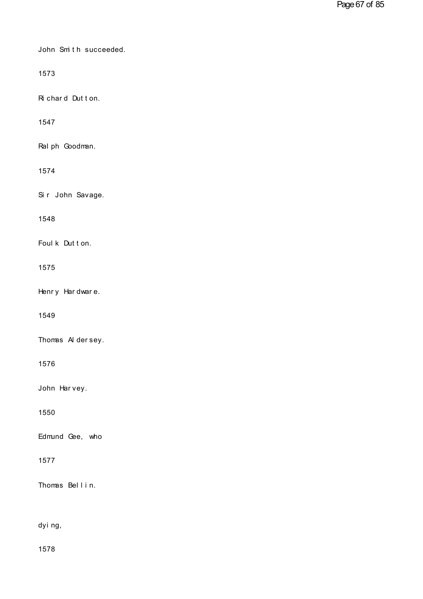John Smith succeeded.

1573

1573<br>Ri char d Dut t on.

1547

Ral ph Goodman.

1574

Si r John Savage.

1548

1548<br>Foul k Dut t on.

1575

1575<br>Henry Hardware.

1549

1549<br>Thomas Aldersey.

1576

1576<br>John Harvey.

1550

Edmund Gee, who

1577

1577<br>Thomas Bellin. Thomas Bellin.<br>dying,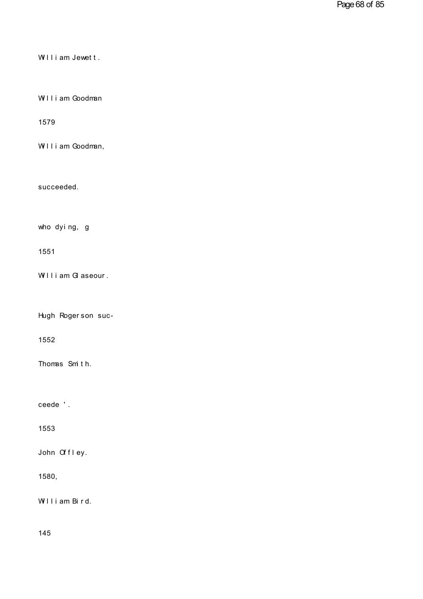William Jewett.

William Jewett.<br>William Goodman

1579

William Goodman,

succeeded.

succeeded.<br>who dying, g

1551

1551<br>William Glaseour .

William Glaseour.<br>Hugh Rogerson suc-

1552

1552<br>Thomas Smith. Thomas Sm th.<br>ceede ' .

1553

1553<br>John Offley.

1580,

1580,<br>William Bird.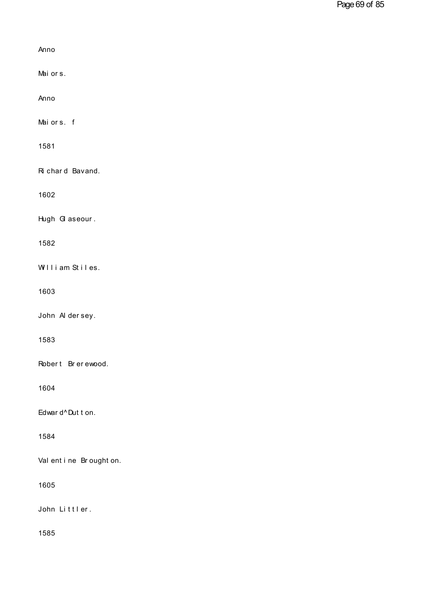| Anno                      |
|---------------------------|
| Maiors.                   |
| Anno                      |
| Maiors. f                 |
| 1581                      |
| Ri chard Bavand.          |
| 1602                      |
| Hugh G aseour.            |
| 1582                      |
| William Stiles.           |
| 1603                      |
| John A dersey.            |
| 1583                      |
| Robert Brerewood.         |
| 1604                      |
| Edwar d^Dut t on.         |
| 1584                      |
| Val ent i ne Br ought on. |
| 1605                      |
| John Littler.             |
| 1585                      |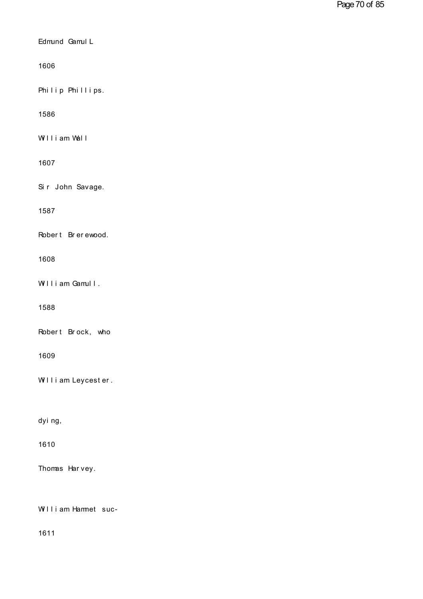| Edmund Gamul L      |
|---------------------|
| 1606                |
| Philip Phillips.    |
| 1586                |
| William Wall        |
| 1607                |
| Sir John Savage.    |
| 1587                |
| Robert Brerewood.   |
| 1608                |
| William Gamull.     |
| 1588                |
| Robert Brock, who   |
| 1609                |
| William Leycester.  |
|                     |
| dyi ng,             |
| 1610                |
| Thomas Harvey.      |
| William Hamnet suc- |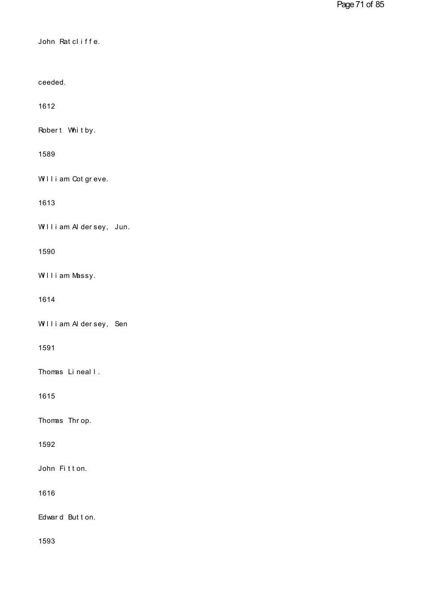John Rat cl i f f e.

ceeded.

1612

1612<br>Robert Whitby.

1589

1589<br>William Cotgreve.

1613

William Aldersey, Jun.

1590

William Massy.

1614

William Aldersey, Sen

1591

1591<br>Thomas Lineal I .

1615

1615<br>Thomas Thr op.

1592

1592<br>John Fitton.

1616

1616<br>Edward Button.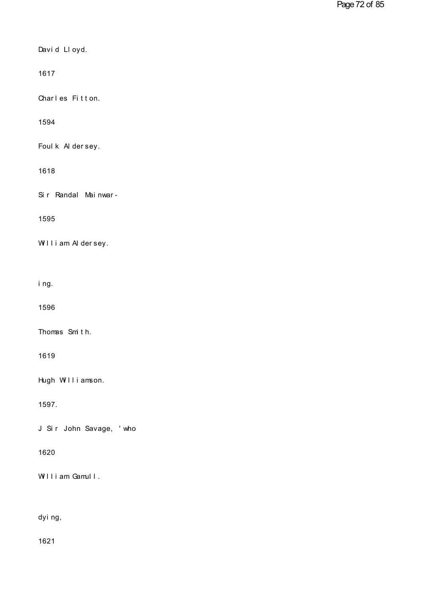| David Lloyd. |  |
|--------------|--|

1617

1617<br>Charles Fitton.

1594

1594<br>Foul k Al der sey.

## 1618

1618<br>Sir Randal Mainwar-

1595

1595<br>William Aldersey. William Alderse<br>ing.<br>ing.

1596

Thomas Smi t h.

1619

Hugh Williamson.

1597.

J Sir John Savage, 'who

1620

1620<br>William Gamull. William Gamull.<br>dying,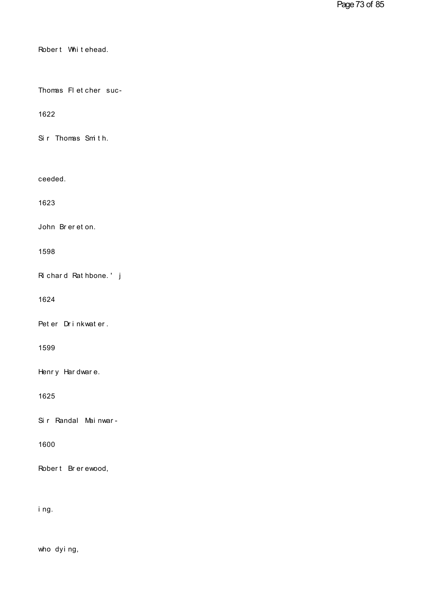| Robert Whitehead.      |
|------------------------|
| Thomas FI et cher suc- |
| 1622                   |
| Sir Thomas Smith.      |
| ceeded.                |
| 1623                   |
| John Brereton.         |
| 1598                   |
| Richard Rathbone.' j   |
| 1624                   |
| Peter Drinkwater.      |
| 1599                   |
| Henry Hardware.        |
| 1625                   |
| Sir Randal Mainwar-    |
| 1600                   |
| Robert Brerewood,      |
| i ng.                  |

ing.<br>who dying,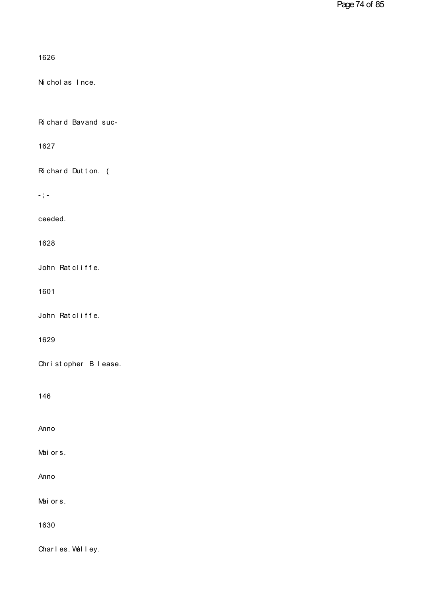```
1626
```
Ni chol as Ince.

Richard Bavand suc-

1627

Richard Dutton. (

 $\sim$  )  $\sim$ 

ceeded.

1628

John Ratcliffe.

1601

John Ratcliffe.

1629

Christopher Blease.

146

Anno

Maiors.

Anno

Mai or s.

1630

Charles. Walley.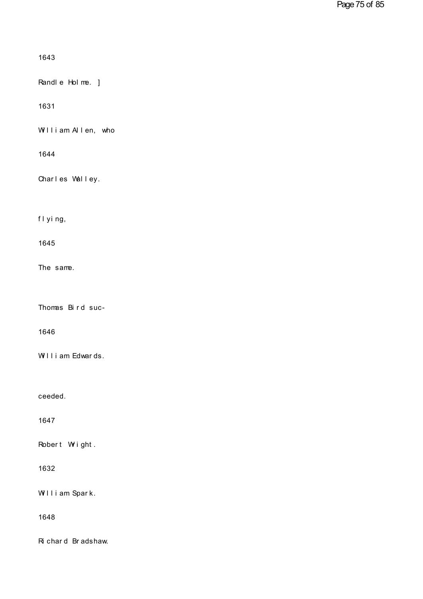1643<br>Randle Holme. ]

1631

William Allen, who

1644

1644<br>Charles Walley. Charles Walley.<br>flying,

1645

The same.

The same.<br>Thomas Bird suc-

1646

1646<br>William Edwards.

ceeded.

1647

1647<br>Robert Wright.

1632

1632<br>William Spark.

1648

1648<br>Ri char d Br adshaw.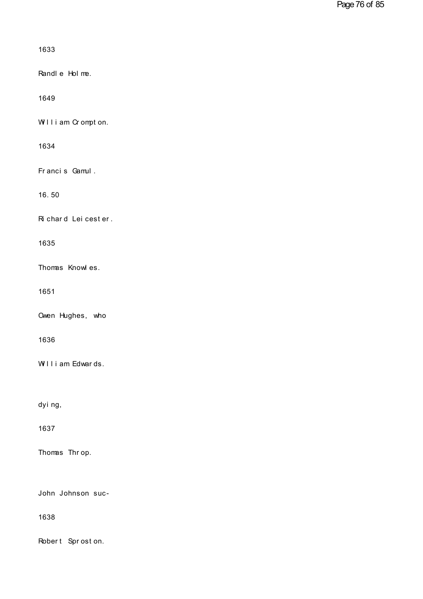```
1633
```
Randl e Hol me.

1649

William Crompton.

1634

Francis Gamul.

16.50

Richard Leicester.

1635

Thomas Knowles.

1651

Owen Hughes, who

1636

William Edwards.

dyi ng,

1637

Thomas Throp.

John Johnson suc-

1638

Robert Sproston.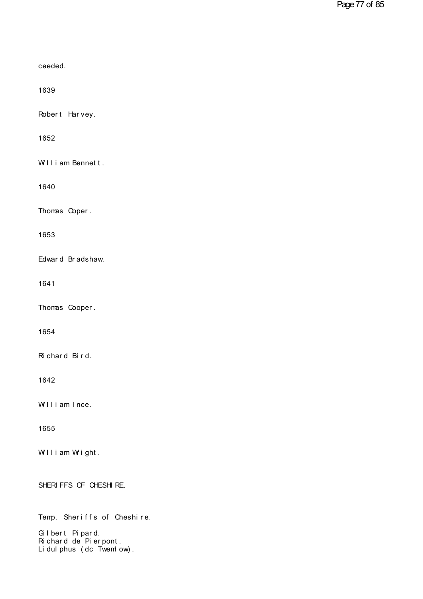| ceeded.                                                                                            |
|----------------------------------------------------------------------------------------------------|
| 1639                                                                                               |
| Robert Harvey.                                                                                     |
| 1652                                                                                               |
| William Bennett.                                                                                   |
| 1640                                                                                               |
| Thomas Coper.                                                                                      |
| 1653                                                                                               |
| Edward Bradshaw.                                                                                   |
| 1641                                                                                               |
| Thomas Cooper.                                                                                     |
| 1654                                                                                               |
| Richard Bird.                                                                                      |
| 1642                                                                                               |
| William Ince.                                                                                      |
| 1655                                                                                               |
| William Wight.                                                                                     |
| SHERI FFS OF CHESHI RE.                                                                            |
| Temp. Sheriffs of Cheshire.<br>Gibert Pipard.<br>Richard de Pierpont.<br>Li dul phus (dc Twem ow). |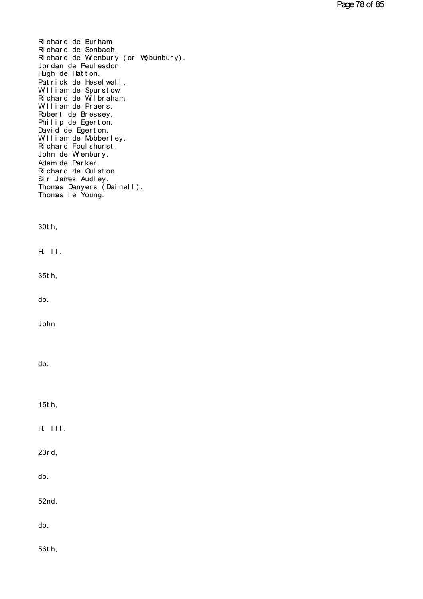Ri chard de Burham.<br>Ri chard de Sonbach.<br>Ri chard de Wrenbury (or Wybu Ri chard de Burham<br>Ri chard de Sonbach.<br>Ri chard de Wrenbury (o Richard de Burham<br>Richard de Sonbach.<br>Richard de Wrenbury (or Wybunbury).<br>Jordan de Peulesdon.<br>Hugh de Hatton Richard de Burham<br>Richard de Sonbach.<br>Richard de Wienbury (or Wybu<br>Jordan de Peulesdon.<br>Hugh de Hatton.<br>Patrick de Haselwall. Richard de Burham<br>Richard de Sonbach.<br>Richard de Wrenbury (or Wy<br>Jordan de Peulesdon.<br>Hugh de Hatton.<br>Patrick de Heselwall.<br>William de Spurstow. Hichard de Burham<br>Richard de Sonbach.<br>Richard de Wrenbury (or Wybunbury)<br>Jordan de Peulesdon.<br>Hugh de Hatton.<br>Patrick de Heselwall.<br>William de Spurstow.<br>Richard de Wilbraham Hichard de Sonbach.<br>Richard de Wrenbury (or Wybunbu<br>Jordan de Peulesdon.<br>Hugh de Hatton.<br>Patrick de Heselwall.<br>William de Spurstow.<br>Richard de Wilbraham.<br>William de Praers. Richard de Wrenbury (or Wybunb<br>Jordan de Peulesdon.<br>Hugh de Hatton.<br>Patrick de Heselwall.<br>William de Spurstow.<br>Richard de Wilbraham.<br>William de Praers.<br>Robert de Bressey. Jordan de Peulesdon.<br>Hugh de Hatton.<br>Patrick de Heselwall.<br>William de Spurstow.<br>Richard de Wilbraham<br>William de Praers.<br>Robert de Bressey.<br>Philin de Egerton. Hugh de Hatton.<br>Patrick de Heselwall.<br>William de Spurstow.<br>Richard de Wilbraham<br>William de Praers.<br>Robert de Bressey.<br>Philip de Egerton.<br>David de Egerton. Patrick de Heselwall.<br>William de Spurstow.<br>Richard de Wilbraham<br>William de Praers.<br>Robert de Bressey.<br>Philip de Egerton.<br>David de Egerton.<br>William de Abbberley. William de Spurstow.<br>Richard de Wilbraham<br>William de Praers.<br>Robert de Bressey.<br>Philip de Egerton.<br>David de Egerton.<br>William de Mobberley.<br>Richard Foulsburst. Richard de Wilbraham<br>William de Praers.<br>Robert de Bressey.<br>Philip de Egerton.<br>David de Egerton.<br>William de Mobberley.<br>Richard Foulshurst.<br>John de Wenbury. William de Praers.<br>Robert de Bressey.<br>Philip de Egerton.<br>David de Egerton.<br>William de Mobberley.<br>Richard Foulshurst.<br>John de Wienbury.<br>Adam de Parker. Robert de Bressey.<br>Philip de Egerton.<br>David de Egerton.<br>William de Mobberley.<br>Richard Foulshurst.<br>John de Wienbury.<br>Adam de Parker.<br>Pichard de Oulston. Philip de Egerton.<br>David de Egerton.<br>William de Mobberley.<br>Richard Foulshurst.<br>John de Wenbury.<br>Adam de Parker.<br>Richard de Qulston.<br>Sir lames Audley. David de Egerton.<br>William de Mobberley.<br>Richard Foulshurst.<br>John de Wienbury.<br>Adam de Parker.<br>Richard de Qulston.<br>Sir James Audley.<br>Thomas Danyers (Dainell). William de Mobberley.<br>Richard Foulshurst.<br>John de Wienbury.<br>Adam de Parker.<br>Richard de Qulston.<br>Sir James Audley.<br>Thomas Danyers (Dainell).<br>Thomas Le Young. Hichard Foulshurst.<br>John de Wienbury.<br>Adam de Parker.<br>Richard de Qulston.<br>Sir James Audley.<br>Thomas Danyers (Dainell).<br>Thomas le Young. John de Wrenbury.<br>Adam de Parker.<br>Richard de Quiston.<br>Sir James Audley.<br>Thomas Danyers (Dainel<br>Thomas le Young. Thomas I e  $\text{Young.}$ <br>30t h, 30t h,<br>H. II .<br>H. II .

H. II.<br>35t h,

do.

John

do.

do.<br>15t h,

15t h,<br>H. III . H. III.<br>23r d,

do.

52nd,

do.

do.<br>56t h,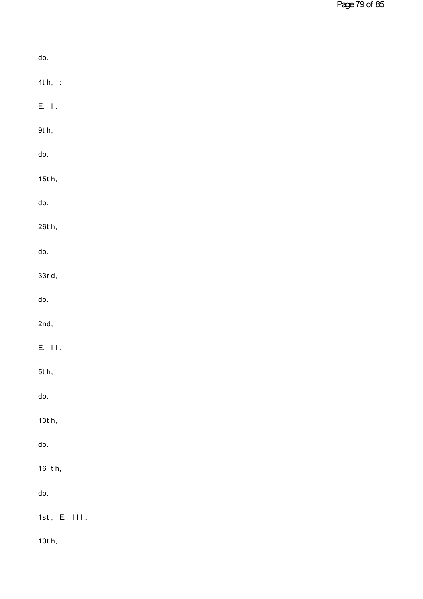| do.                          |
|------------------------------|
| $4t h,$ :                    |
| $\mathsf{E}, \ \mathsf{I}$ . |
| 9t h,                        |
| do.                          |
| 15t h,                       |
| do.                          |
| 26t h,                       |
| do.                          |
| 33rd,                        |
| do.                          |
| 2nd,                         |
| $E.$ $\Pi$ .                 |
| 5t h,                        |
| do.                          |
| 13t h,                       |
| do.                          |
| 16 th,                       |
| do.                          |
| $1st$ , E. $111$ .           |
| 10t h,                       |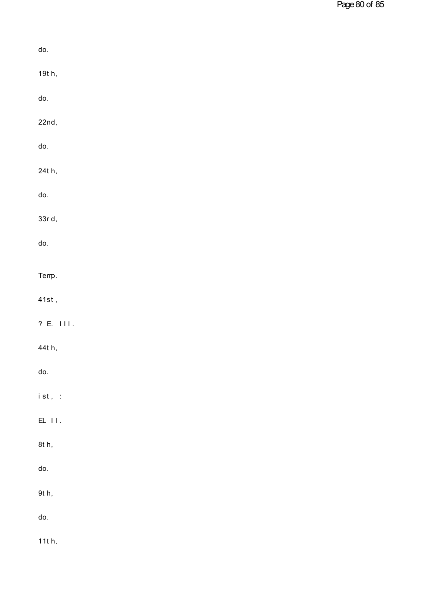| do.                             |
|---------------------------------|
| 19t h,                          |
| do.                             |
| 22nd,                           |
| do.                             |
| 24t h,                          |
| do.                             |
| 33rd,                           |
| do.                             |
| Temp.                           |
| $41st$ ,                        |
| ? E. III.                       |
| 44t h,                          |
| do.                             |
| $i\,\operatorname{st}$ , $\,$ : |
| $\mathsf{EL}$ $\mathsf{H}$ .    |
| 8t h,                           |
| do.                             |
| 9t h,                           |
| do.                             |
| 11 $t$ h,                       |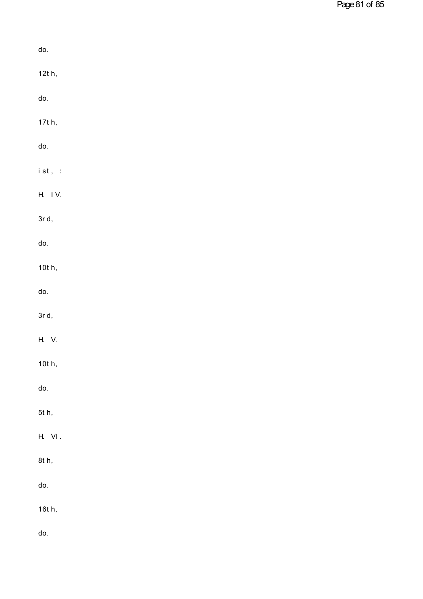| do.                                  |  |  |  |
|--------------------------------------|--|--|--|
| 12t h,                               |  |  |  |
| do.                                  |  |  |  |
| 17t h,                               |  |  |  |
| do.                                  |  |  |  |
| $i \mathrel{\mathsf{st}}$ , $\;\; :$ |  |  |  |
| H. IV.                               |  |  |  |
| $3r$ d,                              |  |  |  |
| do.                                  |  |  |  |
| 10t h,                               |  |  |  |
| do.                                  |  |  |  |
| $3r$ d,                              |  |  |  |
| H. V.                                |  |  |  |
| 10t h,                               |  |  |  |
| do.                                  |  |  |  |
| 5t h,                                |  |  |  |
| $\mathsf{H}$ VI .                    |  |  |  |
| 8t h,                                |  |  |  |
| do.                                  |  |  |  |
| 16t h,                               |  |  |  |
| do.                                  |  |  |  |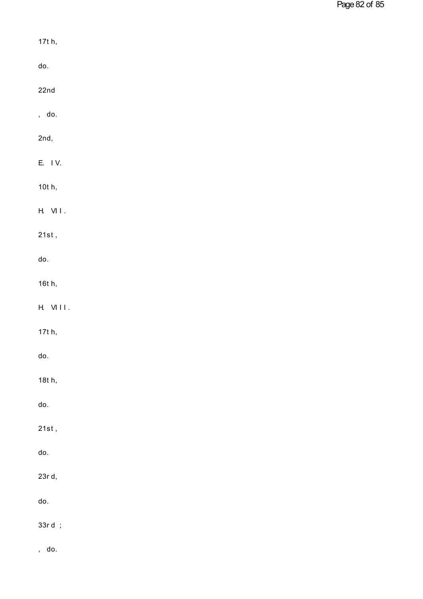| 17t h,                |  |  |
|-----------------------|--|--|
| do.                   |  |  |
| 22n <sub>d</sub>      |  |  |
| , do.                 |  |  |
| 2nd,                  |  |  |
| E. IV.                |  |  |
| $10t$ h,              |  |  |
| $H.$ VII.             |  |  |
| $21st$ ,              |  |  |
| do.                   |  |  |
| 16t h,                |  |  |
| VIII.<br>Н.           |  |  |
| 17t h,                |  |  |
| do.                   |  |  |
| 18t h,                |  |  |
| do.                   |  |  |
| $21st$ ,              |  |  |
| do.                   |  |  |
| 23r d,                |  |  |
| do.                   |  |  |
| 33rd ;                |  |  |
| do.<br>$\overline{a}$ |  |  |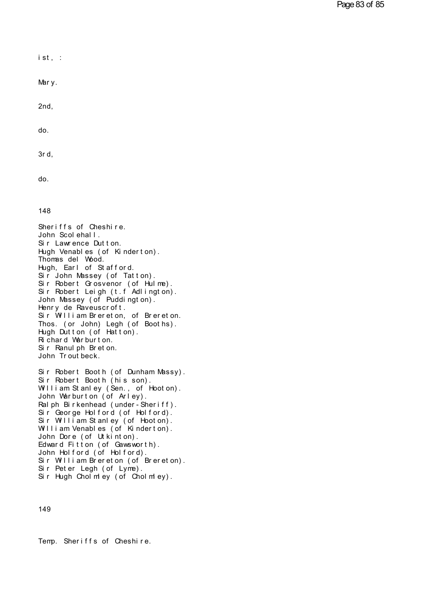$i$  st, : ist, :<br>Mary.

2nd,

do.

do.<br>3r d,

do.

148

148<br>Sheriffs of Cheshire.<br>John Scolehall.<br>Sir Lawrence Dutton. 148<br>Sheriffs of Cheshire.<br>John Scolehall.<br>Sir Lawrence Dutton.<br>Hugh Venables (of Kinderton). Sheriffs of Cheshire.<br>John Scolehall.<br>Sir Lawrence Dutton.<br>Hugh Venables (of Kinderton). 148<br>Sheriffs of Cheshire.<br>John Scolehall.<br>Sir Lawrence Dutton.<br>Hugh Venables (of Kinderton).<br>Thomas del Wood.<br>Hugh Farl of Stafford. Sheriffs of Cheshire.<br>John Scolehall.<br>Sir Lawrence Dutton.<br>Hugh Venables (of Kinder<br>Thomas del Wood.<br>Hugh, Earl of Stafford.<br>Sir John Massey (of Tatt Sheriffs of Cheshire.<br>John Scolehall.<br>Sir Lawrence Dutton.<br>Hugh Venables (of Kinderton).<br>Thomas del Wood.<br>Hugh, Earl of Stafford.<br>Sir John Massey (of Tatton).<br>Sir Robert Crosvenor (of Hulme). John Scolenall.<br>Sir Lawrence Dutton.<br>Hugh Venables (of Kinderton).<br>Thomas del Wood.<br>Hugh, Earl of Stafford.<br>Sir John Massey (of Tatton).<br>Sir Robert Grosvenor (of Hulme).<br>Sir Robert Leigh (t f Adlington). Sir Lawrence Dutton.<br>Hugh Venables (of Kinderton).<br>Thomas del Wood.<br>Hugh, Earl of Stafford.<br>Sir John Massey (of Tatton).<br>Sir Robert Eeigh (t.f Adlington).<br>John Massey (of Puddington). Hugh Venables (of Kinderton).<br>Thomas del Wood.<br>Hugh, Earl of Stafford.<br>Sir John Massey (of Tatton).<br>Sir Robert Grosvenor (of Hulme).<br>Sir Robert Leigh (t.f Adlington).<br>John Massey (of Puddington).<br>Henry de Rayeuscroft Thomas del Wood.<br>Hugh, Earl of Stafford.<br>Sir John Massey (of Tatton).<br>Sir Robert Grosvenor (of Hulme).<br>Sir Robert Leigh (t.f Adlington).<br>John Massey (of Puddington).<br>Henry de Raveuscroft.<br>Sir William Brereton. of Brereton. Hugh, Earl of Statford.<br>Sir John Massey (of Tatton).<br>Sir Robert Grosvenor (of Hulme).<br>Sir Robert Leigh (t.f Adlington).<br>John Massey (of Puddington).<br>Henry de Raveuscroft.<br>Sir William Brereton, of Brereton.<br>Thos. (or John) Sir John Massey (of latton).<br>Sir Robert Grosvenor (of Hulme).<br>Sir Robert Leigh (t.f Adlington).<br>John Massey (of Puddington).<br>Henry de Raveuscroft.<br>Sir William Brereton, of Brereton.<br>Thos. (or John) Legh (of Booths).<br>Hugh D Sir Robert Grosvenor (of Hulme).<br>Sir Robert Leigh (t.f Adlington).<br>John Massey (of Puddington).<br>Henry de Raveuscroft.<br>Sir William Brereton, of Brereton.<br>Thos. (or John) Legh (of Booths).<br>Hugh Dutton (of Hatton).<br>Richard Wa Sir Robert Leigh (t.f Adlington).<br>John Massey (of Puddington).<br>Henry de Raveuscroft.<br>Sir William Brereton, of Brereton.<br>Thos. (or John) Legh (of Booths).<br>Hugh Dutton (of Hatton).<br>Richard Warburton.<br>Sir Ranulph Breton. John Massey (of Puddington).<br>Henry de Raveuscroft.<br>Sir William Brereton, of Brer<br>Thos. (or John) Legh (of Boot<br>Hugh Dutton (of Hatton).<br>Richard Warburton.<br>Sir Ranulph Breton.<br>John Troutheck Henry de Haveuscroft.<br>Sir William Brereton, of Brere<br>Thos. (or John) Legh (of Booth<br>Hugh Dutton (of Hatton).<br>Richard Warburton.<br>Sir Ranulph Breton.<br>John Troutbeck. Thos. (or John) Legh (of Booths).<br>Hugh Dutton (of Hatton).<br>Richard Warburton.<br>Sir Ranulph Breton.<br>John Troutbeck. Hugh Dutton (of Hatton).<br>Richard Warburton.<br>Sir Ranulph Breton.<br>John Troutbeck.<br>Sir Robert Booth (of Dunham Massy).<br>Sir Robert Booth (his son).<br>William Stanley (Sen., of Hooton). Richard Warburton.<br>Sir Ranulph Breton.<br>John Troutbeck.<br>Sir Robert Booth (of Dunham Massy).<br>Sir Robert Booth (his son).<br>William Stanley (Sen., of Hooton).<br>John Warburton (of Arley). Sir Ranulph Breton.<br>John Troutbeck.<br>Sir Robert Booth (of Dunham Massy).<br>Sir Robert Booth (his son).<br>William Stanley (Sen., of Hooton).<br>John Warburton (of Arley).<br>Palph Birkenhead (under Sheriff).

John Troutbeck.<br>Sir Robert Booth (of Dunham Massy).<br>Sir Robert Booth (his son).<br>William Stanley (Sen., of Hooton).<br>John Warburton (of Arley).<br>Ralph Birkenhead (under-Sheriff).<br>Sir George Holford (of Holford). Sir Robert Booth (of Dunham Massy).<br>Sir Robert Booth (his son).<br>William Stanley (Sen., of Hooton).<br>John Warburton (of Arley).<br>Ralph Birkenhead (under-Sheriff).<br>Sir George Holford (of Holford).<br>Sir William Stanley (of Hooto Sir Robert Booth (of Dunham Massy).<br>Sir Robert Booth (his son).<br>William Stanley (Sen., of Hooton).<br>John Warburton (of Arley).<br>Ralph Birkenhead (under-Sheriff).<br>Sir George Holford (of Holford).<br>Sir William Stanley (of Hooto Sir Robert Booth (his son).<br>William Stanley (Sen., of Hooton).<br>John Warburton (of Arley).<br>Ralph Birkenhead (under-Sheriff).<br>Sir George Holford (of Holford).<br>Sir William Stanley (of Hooton).<br>William Venables (of Kinderton). William Stanley (Sen., of Hooton).<br>John Warburton (of Arley).<br>Ralph Birkenhead (under-Sheriff).<br>Sir George Holford (of Holford).<br>Sir William Stanley (of Hooton).<br>William Venables (of Kinderton).<br>John Dore (of Utkinton).<br>Ed John Warburton (of Arley).<br>Ralph Birkenhead (under-Sheriff).<br>Sir George Holford (of Holford).<br>Sir William Stanley (of Hooton).<br>William Venables (of Kinderton).<br>John Dore (of Utkinton).<br>Edward Fitton (of Gawsworth).<br>John Ho Ralph Birkenhead (under-Sheriff).<br>Sir George Holford (of Holford).<br>Sir William Stanley (of Hooton).<br>William Venables (of Kinderton).<br>John Dore (of Utkinton).<br>Edward Fitton (of Gawsworth).<br>John Holford (of Holford).<br>Sir Wil Sir George Holtord (of Holtord).<br>Sir William Stanley (of Hooton).<br>William Venables (of Kinderton).<br>John Dore (of Utkinton).<br>Edward Fitton (of Gawsworth).<br>John Holford (of Holford).<br>Sir William Brereton (of Brereton).<br>Sir P Sir William Stanley (of Hooton).<br>William Venables (of Kinderton).<br>John Dore (of Utkinton).<br>Edward Fitton (of Gawsworth).<br>John Holford (of Holford).<br>Sir William Brereton (of Brereton).<br>Sir Peter Legh (of Lyme).<br>Sir Hugh Cho John Dore (of Utkinton).<br>Edward Fitton (of Gawsworth).<br>John Holford (of Holford).<br>Sir William Brereton (of Brereton).<br>Sir Peter Legh (of Lyme).<br>Sir Hugh Cholmley (of Cholmley). John Dore (of Utkinton).<br>Edward Fitton (of Gawsworth).<br>John Holford (of Holford).<br>Sir William Brereton (of Brereton).<br>Sir Peter Legh (of Lyme).<br>Sir Hugh Cholmley (of Cholmley).

149

149<br>Temp. Sheriffs of Cheshire.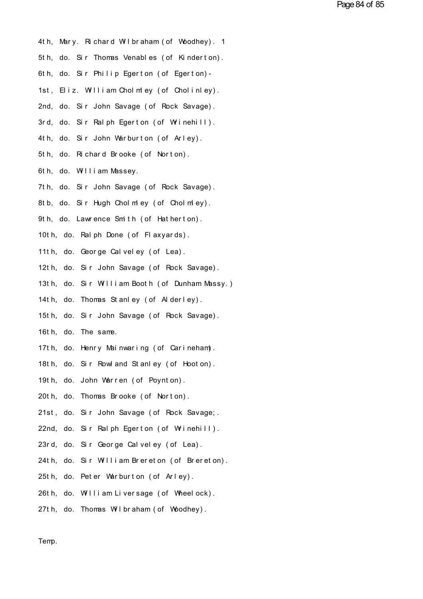- 4th, Mary. Richard Wilbraham (of Woodhey). 1<br>5th, do. Sir Thomas Venables (of Kinderton) 4th, Mary. Richard Wilbraham (of Woodhey). 1<br>5th, do. Sir Thomas Venables (of Kinderton).<br>6th, do. Sir Philip Egerton (of Egerton). 4th, Mary. Richard Wilbraham (of Woodhey). 1<br>5th, do. Sir Thomas Venables (of Kinderton).<br>6th, do. Sir Philip Egerton (of Egerton)-<br>1st, Eliz. William Cholm ey (of Cholinley).<br>2nd. do. Sir John Savage (of Rock Savage). 6th, do. Sir Philip Egerton (of Egerton)–<br>1st, Eliz. William Cholmley (of Cholinley).<br>2nd, do. Sir John Savage (of Rock Savage).<br>3rd, do. Sir Palph Egerton (of Wrinebill). 1st, Eliz. William Cholmley (of Cholinley).<br>2nd, do. Sir John Savage (of Rock Savage).<br>3rd, do. Sir Ralph Egerton (of Wrinehill).<br>4th, do. Sir John Warburton (of Arley). 2nd, do. Sir John Savage (of Rock Savage).<br>3rd, do. Sir Ralph Egerton (of Wrinehill).<br>4th, do. Sir John Warburton (of Arley).<br>5th, do. Bichard Brooke (of Norton). 3rd, do. Sir Ralph Egerton (of Wrinehill).<br>4th, do. Sir John Warburton (of Arley).<br>5th, do. Richard Brooke (of Norton).<br>6th, do. William Massey. 4th, do. Sir John Warburton (of Arley).<br>5th, do. Richard Brooke (of Norton).<br>6th, do. William Massey. 5th, do. Richard Brooke (of Norton).<br>6th, do. William Massey.<br>7th, do. Sir John Savage (of Rock Savage).<br>8th, do. Sir Hugh Cholmley (of Cholmley). 6th, do. William Massey.<br>7th, do. Sir John Savage (of Rock Savage).<br>8tb, do. Sir Hugh Cholmley (of Cholmley).<br>9th, do. Lawrence Smith (of Hatherton). 7th, do. Sir John Savage (of Rock Savage).<br>8tb, do. Sir Hugh Cholmley (of Cholmley).<br>9th, do. Lawrence Smith (of Hatherton).<br>10th, do. Ralph Done (of Flaxyards). 8tb, do. Sir Hugh Cholmley (of Cholmley).<br>9th, do. Lawrence Smith (of Hatherton).<br>10th, do. Ral ph Done (of Fl axyards).<br>11th, do. George Calveley (of Lea). 9th, do. Lawrence Smith (of Hatherton). 10th, do. Ralph Done (of Flaxyards).<br>11th, do. George Calveley (of Lea).<br>12th, do. Sir John Savage (of Rock Savage).<br>13th, do. Sir William Booth (of Dunham Massy.). 11th, do. George Calveley (of Lea).<br>12th, do. Sir John Savage (of Rock Savage).<br>13th, do. Sir William Booth (of Dunham Massy.)<br>14th, do. Thomas Stanley (of Alderley). 12th, do. Sir John Savage (of Rock Savage).<br>13th, do. Sir William Booth (of Dunham Massy.)<br>14th, do. Thomas St anley (of Al derley).<br>15th, do. Sir John Savage (of Rock Savage) 13th, do. Sir William Booth (of Dunham Massy.)<br>14th, do. Thomas Stanley (of Alderley).<br>15th, do. Sir John Savage (of Rock Savage).<br>16th, do. The same. 14th, do. Thomas Stanley (of Alderley). 15th, do. Sir John Savage (of Rock Savage).<br>16th, do. The same.<br>17th, do. Henry Mainwaring (of Carineham).<br>18th, do. Sir Rowland Stanley (of Hooton). 16th, do. The same.<br>17th, do. Henry Mainwaring (of Carineham).<br>18th, do. Sir Rowl and St anl ey (of Hoot on).<br>19th, do. John Warren (of Poynton). 17th, do. Henry Mainwaring (of Carineham).<br>18th, do. Sir Rowland Stanley (of Hooton).<br>19th, do. John Warren (of Poynton).<br>20th, do. Thomas Brooke (of Norton). 18th, do. Sir Rowland Stanley (of Hooton).<br>19th, do. John Warren (of Poynton).<br>20th, do. Thomas Brooke (of Norton).
- 
- 
- 19th, do. John Warren (of Poynton).<br>20th, do. Thomas Brooke (of Norton).<br>21st, do. Sir John Savage (of Rock Savage; .<br>22nd, do. Sir Palph Egerton (of Wrinebill).
- 20th, do. Thomas Brooke (of Norton).<br>21st, do. Sir John Savage (of Rock Savage;<br>22nd, do. Sir Ralph Egerton (of Wrinehill).<br>23rd, do. Sir George Calveley (of Lea). 21st, do. Sir John Savage (of Rock Savage;<br>22nd, do. Sir Ralph Egerton (of Wrinehill).<br>23rd, do. Sir George Calveley (of Lea).<br>24th do. Sir William Brereton (of Brereton).
- 
- 22nd, do. Sir Ralph Egerton (of Wrinehill).<br>23rd, do. Sir George Calveley (of Lea).<br>24th, do. Sir William Brereton (of Brereton).<br>25th, do. Peter Werburton (of Arley). 23rd, do. Sir George Calveley (of Lea).<br>24th, do. Sir William Brereton (of Brereton).<br>25th, do. Peter Warburton (of Arley). 24th, do. Sir William Brereton (of Brereton).<br>25th, do. Peter Warburton (of Arley).<br>26th, do. William Liversage (of Wheelock).<br>27th, do. Thomas Wilbrabam (of Whodbey).
- 
- 25th, do. Peter Warburton (of Arley).<br>26th, do. William Liversage (of Wheelock).<br>27th, do. Thomas Wilbraham (of Woodhey).
- 

Temp.